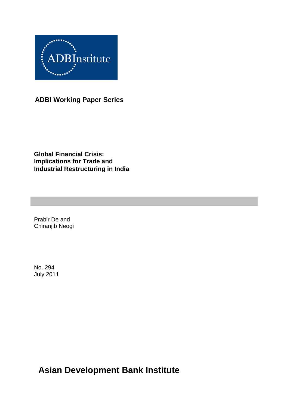

**ADBI Working Paper Series**

**Global Financial Crisis: Implications for Trade and Industrial Restructuring in India**

Prabir De and Chiranjib Neogi

No. 294 July 2011

**Asian Development Bank Institute**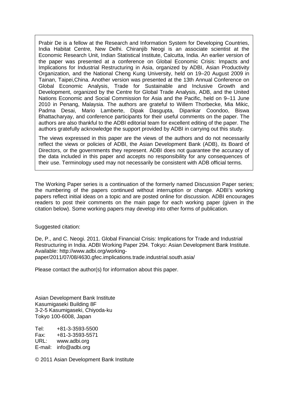Prabir De is a fellow at the Research and Information System for Developing Countries, India Habitat Centre, New Delhi. Chiranjib Neogi is an associate scientist at the Economic Research Unit, Indian Statistical Institute, Calcutta, India. An earlier version of the paper was presented at a conference on Global Economic Crisis: Impacts and Implications for Industrial Restructuring in Asia, organized by ADBI, Asian Productivity Organization, and the National Cheng Kung University, held on 19–20 August 2009 in Tainan, Taipei,China. Another version was presented at the 13th Annual Conference on Global Economic Analysis, Trade for Sustainable and Inclusive Growth and Development, organized by the Centre for Global Trade Analysis, ADB, and the United Nations Economic and Social Commission for Asia and the Pacific, held on 9–11 June 2010 in Penang, Malaysia. The authors are grateful to Willem Thorbecke, Mia Mikic, Padma Desai, Mario Lamberte, Dipak Dasgupta, Dipankar Coondoo, Biswa Bhattacharyay, and conference participants for their useful comments on the paper. The authors are also thankful to the ADBI editorial team for excellent editing of the paper. The authors gratefully acknowledge the support provided by ADBI in carrying out this study.

The views expressed in this paper are the views of the authors and do not necessarily reflect the views or policies of ADBI, the Asian Development Bank (ADB), its Board of Directors, or the governments they represent. ADBI does not guarantee the accuracy of the data included in this paper and accepts no responsibility for any consequences of their use. Terminology used may not necessarily be consistent with ADB official terms.

The Working Paper series is a continuation of the formerly named Discussion Paper series; the numbering of the papers continued without interruption or change. ADBI's working papers reflect initial ideas on a topic and are posted online for discussion. ADBI encourages readers to post their comments on the main page for each working paper (given in the citation below). Some working papers may develop into other forms of publication.

Suggested citation:

De, P., and C. Neogi. 2011. Global Financial Crisis: Implications for Trade and Industrial Restructuring in India. ADBI Working Paper 294. Tokyo: Asian Development Bank Institute. Available: http://www.adbi.org/workingpaper/2011/07/08/4630.gfec.implications.trade.industrial.south.asia/

Please contact the author(s) for information about this paper.

Asian Development Bank Institute Kasumigaseki Building 8F 3-2-5 Kasumigaseki, Chiyoda-ku Tokyo 100-6008, Japan

Tel: +81-3-3593-5500 Fax: +81-3-3593-5571 www.adbi.org E-mail: info@adbi.org

© 2011 Asian Development Bank Institute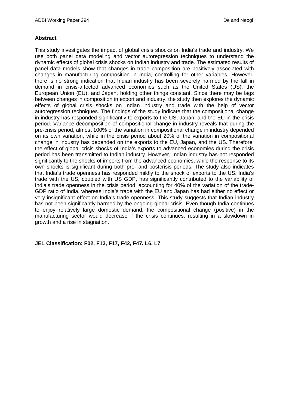### **Abstract**

This study investigates the impact of global crisis shocks on India's trade and industry. We use both panel data modeling and vector autoregression techniques to understand the dynamic effects of global crisis shocks on Indian industry and trade. The estimated results of panel data models show that changes in trade composition are positively associated with changes in manufacturing composition in India, controlling for other variables. However, there is no strong indication that Indian industry has been severely harmed by the fall in demand in crisis-affected advanced economies such as the United States (US), the European Union (EU), and Japan, holding other things constant. Since there may be lags between changes in composition in export and industry, the study then explores the dynamic effects of global crisis shocks on Indian industry and trade with the help of vector autoregression techniques. The findings of the study indicate that the compositional change in industry has responded significantly to exports to the US, Japan, and the EU in the crisis period. Variance decomposition of compositional change in industry reveals that during the pre-crisis period, almost 100% of the variation in compositional change in industry depended on its own variation, while in the crisis period about 20% of the variation in compositional change in industry has depended on the exports to the EU, Japan, and the US. Therefore, the effect of global crisis shocks of India's exports to advanced economies during the crisis period has been transmitted to Indian industry. However, Indian industry has not responded significantly to the shocks of imports from the advanced economies, while the response to its own shocks is significant during both pre- and postcrisis periods. The study also indicates that India's trade openness has responded mildly to the shock of exports to the US. India's trade with the US, coupled with US GDP, has significantly contributed to the variability of India's trade openness in the crisis period, accounting for 40% of the variation of the trade-GDP ratio of India, whereas India's trade with the EU and Japan has had either no effect or very insignificant effect on India's trade openness. This study suggests that Indian industry has not been significantly harmed by the ongoing global crisis. Even though India continues to enjoy relatively large domestic demand, the compositional change (positive) in the manufacturing sector would decrease if the crisis continues, resulting in a slowdown in growth and a rise in stagnation.

**JEL Classification: F02, F13, F17, F42, F47, L6, L7**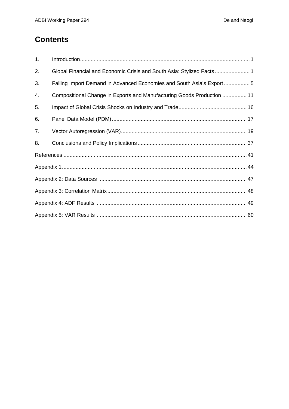# **Contents**

| 1. |                                                                        |
|----|------------------------------------------------------------------------|
| 2. | Global Financial and Economic Crisis and South Asia: Stylized Facts 1  |
| 3. | Falling Import Demand in Advanced Economies and South Asia's Export5   |
| 4. | Compositional Change in Exports and Manufacturing Goods Production  11 |
| 5. |                                                                        |
| 6. |                                                                        |
| 7. |                                                                        |
| 8. |                                                                        |
|    |                                                                        |
|    |                                                                        |
|    |                                                                        |
|    |                                                                        |
|    |                                                                        |
|    |                                                                        |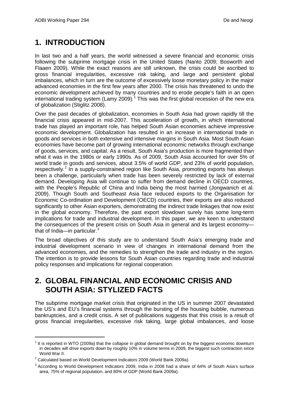# **1. INTRODUCTION**

In last two and a half years, the world witnessed a severe financial and economic crisis following the subprime mortgage crisis in the United States (Nanto 2009; Bosworth and Flaaen 2009). While the exact reasons are still unknown, the crisis could be ascribed to gross financial irregularities, excessive risk taking, and large and persistent global imbalances, which in turn are the outcome of excessively loose monetary policy in the major advanced economies in the first few years after 2000. The crisis has threatened to undo the economic development achieved by many countries and to erode people's faith in an open international trading system (Lamy 2009).<sup>[1](#page-4-0)</sup> This was the first global recession of the new era of globalization (Stiglitz 2008).

Over the past decades of globalization, economies in South Asia had grown rapidly till the financial crisis appeared in mid-2007. This acceleration of growth, in which international trade has played an important role, has helped South Asian economies achieve impressive economic development. Globalization has resulted in an increase in international trade in goods and services in both extensive and intensive margins in South Asia. Most South Asian economies have become part of growing international economic networks through exchange of goods, services, and capital. As a result, South Asia's production is more fragmented than what it was in the 1980s or early 1990s. As of 2009, South Asia accounted for over 5% of world trade in goods and services, about 3.5% of world GDP, and 23% of world population, respectively.<sup>[2](#page-4-1)</sup> In a supply-constrained region like South Asia, promoting exports has always been a challenge, particularly when trade has been severely restricted by lack of external demand. Developing Asia will continue to suffer from demand decline in OECD countries, with the People's Republic of China and India being the most harmed (Jongwanich et al. 2009). Though South and Southeast Asia face reduced exports to the Organisation for Economic Co-ordination and Development (OECD) countries, their exports are also reduced significantly to other Asian exporters, demonstrating the indirect trade linkages that now exist in the global economy. Therefore, the past export slowdown surely has some long-term implications for trade and industrial development. In this paper, we are keen to understand the consequences of the present crisis on South Asia in general and its largest economy that of India—in particular. $3$ 

The broad objectives of this study are to understand South Asia's emerging trade and industrial development scenario in view of changes in international demand from the advanced economies, and the remedies to strengthen the trade and industry in the region. The intention is to provide lessons for South Asian countries regarding trade and industrial policy responses and implications for regional cooperation.

# **2. GLOBAL FINANCIAL AND ECONOMIC CRISIS AND SOUTH ASIA: STYLIZED FACTS**

The subprime mortgage market crisis that originated in the US in summer 2007 devastated the US's and EU's financial systems through the bursting of the housing bubble, numerous bankruptcies, and a credit crisis. A set of publications suggests that this crisis is a result of gross financial irregularities, excessive risk taking, large global imbalances, and loose

<span id="page-4-0"></span> $1$  It is reported in WTO (2009a) that the collapse in global demand brought on by the biggest economic downturn in decades will drive exports down by roughly 10% in volume terms in 2009, the biggest such contraction since World War II.

<span id="page-4-1"></span> $2$  Calculated based on World Development Indicators 2009 (World Bank 2009a).

<span id="page-4-2"></span><sup>&</sup>lt;sup>3</sup> According to World Development Indicators 2009, India in 2008 had a share of 64% of South Asia's surface area, 75% of regional population, and 80% of GDP (World Bank 2009a).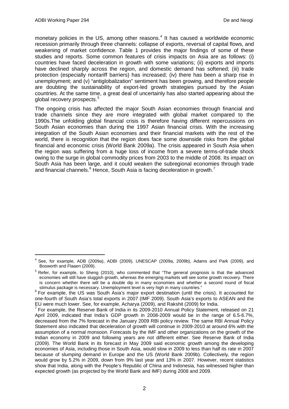monetary policies in the US, among other reasons. [4](#page-5-0) It has caused a worldwide economic recession primarily through three channels: collapse of exports, reversal of capital flows, and weakening of market confidence. Table 1 provides the major findings of some of these studies and reports. Some common features of crisis impacts on Asia are as follows: (i) countries have faced deceleration in growth with some variations; (ii) exports and imports have declined sharply across the region, and domestic demand has softened; (iii) trade protection (especially nontariff barriers) has increased; (iv) there has been a sharp rise in unemployment; and (v) "antiglobalization" sentiment has been growing, and therefore people are doubting the sustainability of export-led growth strategies pursued by the Asian countries. At the same time, a great deal of uncertainly has also started appearing about the global recovery prospects.<sup>[5](#page-5-1)</sup>

The ongoing crisis has affected the major South Asian economies through financial and trade channels since they are more integrated with global market compared to the 1990s.The unfolding global financial crisis is therefore having different repercussions on South Asian economies than during the 1997 Asian financial crisis. With the increasing integration of the South Asian economies and their financial markets with the rest of the world, there is recognition that the region does face some downside risks from the global financial and economic crisis (World Bank 2009a). The crisis appeared in South Asia when the region was suffering from a huge loss of income from a severe terms-of-trade shock owing to the surge in global commodity prices from 2003 to the middle of 2008. Its impact on South Asia has been large, and it could weaken the subregional economies through trade and financial channels. $6$  Hence, South Asia is facing deceleration in growth.<sup>[7](#page-5-3)</sup>

<span id="page-5-0"></span> <sup>4</sup> See, for example, ADB (2009a), ADBI (2009), UNESCAP (2009a, 2009b), Adams and Park (2009), and Bosworth and Flaaen (2009).

<span id="page-5-1"></span><sup>&</sup>lt;sup>5</sup> Refer, for example, to Sheng (2010), who commented that "The general prognosis is that the advanced economies will still have sluggish growth, whereas the emerging markets will see some growth recovery. There is concern whether there will be a double dip in many economies and whether a second round of fiscal stimulus package is necessary. Unemployment level is very high in many countries."

<span id="page-5-2"></span> $6$  For example, the US was South Asia's major export destination (until the crisis). It accounted for one-fourth of South Asia's total exports in 2007 (IMF 2009). South Asia's exports to ASEAN and the EU were much lower. See, for example, Acharya (2009), and Rakshit (2009) for India.<br><sup>7</sup> For example, the Reserve Bank of India in its 2009-2010 Annual Policy Statement, released on 21

<span id="page-5-3"></span>April 2009, indicated that India's GDP growth in 2008-2009 would be in the range of 6.5-6.7%, decreased from the 7% forecast in the January 2009 RBI policy review. The same RBI Annual Policy Statement also indicated that deceleration of growth will continue in 2009-2010 at around 6% with the assumption of a normal monsoon. Forecasts by the IMF and other organizations on the growth of the Indian economy in 2009 and following years are not different either. See Reserve Bank of India (2009). The World Bank in its forecast in May 2009 said economic growth among the developing economies of Asia, including those in South Asia, would slow in 2009 to less than half its rate in 2007 because of slumping demand in Europe and the US (World Bank 2009b). Collectively, the region would grow by 5.2% in 2009, down from 9% last year and 13% in 2007. However, recent statistics show that India, along with the People's Republic of China and Indonesia, has witnessed higher than expected growth (as projected by the World Bank and IMF) during 2008 and 2009.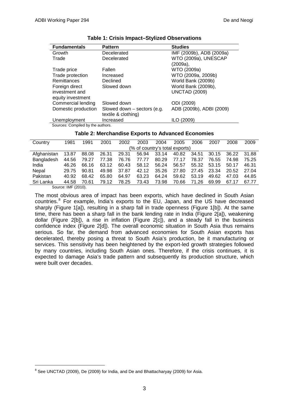| <b>Fundamentals</b>               | <b>Pattern</b>                | <b>Studies</b>           |
|-----------------------------------|-------------------------------|--------------------------|
| Growth                            | Decelerated                   | IMF (2009b), ADB (2009a) |
| Trade                             | Decelerated                   | WTO (2009a), UNESCAP     |
|                                   |                               | $(2009a)$ ,              |
| Trade price                       | Fallen                        | WTO (2009a)              |
| Trade protection                  | Increased                     | WTO (2009a, 2009b)       |
| <b>Remittances</b>                | Declined                      | World Bank (2009b)       |
| Foreign direct                    | Slowed down                   | World Bank (2009b),      |
| investment and                    |                               | <b>UNCTAD (2009)</b>     |
| equity investment                 |                               |                          |
| Commercial lending                | Slowed down                   | ODI (2009)               |
| Domestic production               | Slowed down $-$ sectors (e.g. | ADB (2009b), ADBI (2009) |
|                                   | textile & clothing)           |                          |
| Unemployment                      | Increased                     | ILO (2009)               |
| Sources: Compiled by the authors. |                               |                          |

#### **Table 1: Crisis Impact–Stylized Observations**

### **Table 2: Merchandise Exports to Advanced Economies**

| Country     | 1981                | 1991  | 2001  | 2002  | 2003                           | 2004  | 2005  | 2006  | 2007  | 2008  | 2009  |
|-------------|---------------------|-------|-------|-------|--------------------------------|-------|-------|-------|-------|-------|-------|
|             |                     |       |       |       | (% of country's total exports) |       |       |       |       |       |       |
| Afghanistan | 13.87               | 88.08 | 26.31 | 29.31 | 56.94                          | 33.14 | 40.82 | 34.51 | 30.15 | 36.22 | 31.88 |
| Bangladesh  | 44.56               | 79.27 | 77.38 | 76.76 | 77.77                          | 80.29 | 77.17 | 78.37 | 76.55 | 74.98 | 75.25 |
| India       | 46.26               | 66.16 | 63.12 | 60.43 | 58.12                          | 56.24 | 56.57 | 55.32 | 53.15 | 50.17 | 46.31 |
| Nepal       | 29.75               | 90.81 | 49.98 | 37.87 | 42.12                          | 35.26 | 27.80 | 27.45 | 23.34 | 20.52 | 27.04 |
| Pakistan    | 40.92               | 68.42 | 65.80 | 64.97 | 63.23                          | 64.24 | 59.62 | 53.19 | 49.62 | 47.03 | 44.85 |
| Sri Lanka   | 44.58               | 70.61 | 79.12 | 78.25 | 73.43                          | 73.98 | 70.66 | 71.26 | 69.99 | 67.17 | 67.77 |
|             | Source: IMF (2010). |       |       |       |                                |       |       |       |       |       |       |

 $\in$  (2010)

The most obvious area of impact has been exports, which have declined in South Asian countries.<sup>[8](#page-6-0)</sup> For example, India's exports to the EU, Japan, and the US have decreased sharply (Figure 1[a]), resulting in a sharp fall in trade openness (Figure 1[b]). At the same time, there has been a sharp fall in the bank lending rate in India (Figure 2[a]), weakening dollar (Figure 2[b]), a rise in inflation (Figure 2[c]), and a steady fall in the business confidence index (Figure 2[d]). The overall economic situation in South Asia thus remains serious. So far, the demand from advanced economies for South Asian exports has decelerated, thereby posing a threat to South Asia's production, be it manufacturing or services. This sensitivity has been heightened by the export-led growth strategies followed by many countries, including South Asian ones. Therefore, if the crisis continues, it is expected to damage Asia's trade pattern and subsequently its production structure, which were built over decades.

<span id="page-6-0"></span><sup>&</sup>lt;sup>8</sup> See UNCTAD (2009), De (2009) for India, and De and Bhattacharyay (2009) for Asia.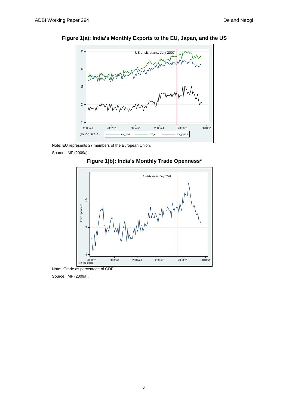

**Figure 1(a): India's Monthly Exports to the EU, Japan, and the US**

Note: EU represents 27 members of the European Union.

Source: IMF (2009a).





Note: \*Trade as percentage of GDP.

Source: IMF (2009a).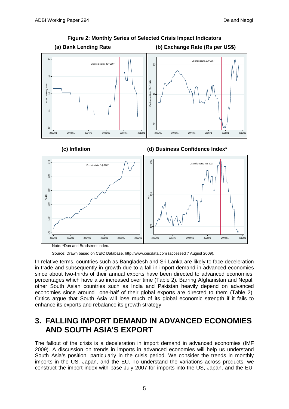

# **Figure 2: Monthly Series of Selected Crisis Impact Indicators**

Note: \*Dun and Bradstreet index.

Source: Drawn based on CEIC Database, http://www.ceicdata.com (accessed 7 August 2009).

In relative terms, countries such as Bangladesh and Sri Lanka are likely to face deceleration in trade and subsequently in growth due to a fall in import demand in advanced economies since about two-thirds of their annual exports have been directed to advanced economies, percentages which have also increased over time (Table 2). Barring Afghanistan and Nepal, other South Asian countries such as India and Pakistan heavily depend on advanced economies since around one-half of their global exports are directed to them (Table 2). Critics argue that South Asia will lose much of its global economic strength if it fails to enhance its exports and rebalance its growth strategy.

# **3. FALLING IMPORT DEMAND IN ADVANCED ECONOMIES AND SOUTH ASIA'S EXPORT**

The fallout of the crisis is a deceleration in import demand in advanced economies (IMF 2009). A discussion on trends in imports in advanced economies will help us understand South Asia's position, particularly in the crisis period. We consider the trends in monthly imports in the US, Japan, and the EU. To understand the variations across products, we construct the import index with base July 2007 for imports into the US, Japan, and the EU.

5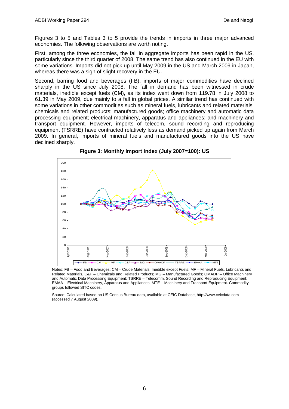Figures 3 to 5 and Tables 3 to 5 provide the trends in imports in three major advanced economies. The following observations are worth noting.

First, among the three economies, the fall in aggregate imports has been rapid in the US, particularly since the third quarter of 2008. The same trend has also continued in the EU with some variations. Imports did not pick up until May 2009 in the US and March 2009 in Japan, whereas there was a sign of slight recovery in the EU.

Second, barring food and beverages (FB), imports of major commodities have declined sharply in the US since July 2008. The fall in demand has been witnessed in crude materials, inedible except fuels (CM), as its index went down from 119.78 in July 2008 to 61.39 in May 2009, due mainly to a fall in global prices. A similar trend has continued with some variations in other commodities such as mineral fuels, lubricants and related materials; chemicals and related products; manufactured goods; office machinery and automatic data processing equipment; electrical machinery, apparatus and appliances; and machinery and transport equipment. However, imports of telecom, sound recording and reproducing equipment (TSRRE) have contracted relatively less as demand picked up again from March 2009. In general, imports of mineral fuels and manufactured goods into the US have declined sharply.



**Figure 3: Monthly Import Index (July 2007=100): US**

Notes: FB – Food and Beverages; CM – Crude Materials, Inedible except Fuels; MF – Mineral Fuels, Lubricants and Related Materials, C&P – Chemicals and Related Products; MG – Manufactured Goods; OMADP – Office Machinery and Automatic Data Processing Equipment; TSRRE – Telecomm, Sound Recording and Reproducing Equipment; EMAA – Electrical Machinery, Apparatus and Appliances; MTE – Machinery and Transport Equipment. Commodity groups followed SITC codes.

Source: Calculated based on US Census Bureau data, available at CEIC Database, http://www.ceicdata.com (accessed 7 August 2009).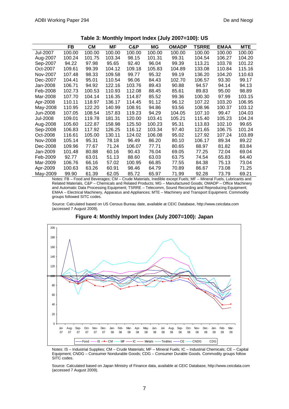|                 | FB     | CМ     | ΜF     | C&P    | ΜG     | OMADP  | TSRRE  | <b>EMAA</b> | <b>MTE</b> |
|-----------------|--------|--------|--------|--------|--------|--------|--------|-------------|------------|
| Jul-2007        | 100.00 | 100.00 | 100.00 | 100.00 | 100.00 | 100.00 | 100.00 | 100.00      | 100.00     |
| Aug-2007        | 100.24 | 101.75 | 103.34 | 98.15  | 101.31 | 99.31  | 104.54 | 106.27      | 104.20     |
| Sep-2007        | 94.22  | 97.98  | 95.65  | 92.40  | 96.04  | 99.39  | 113.21 | 103.78      | 101.22     |
| Oct-2007        | 109.61 | 99.39  | 104.12 | 109.18 | 105.83 | 104.89 | 133.08 | 110.84      | 115.16     |
| Nov-2007        | 107.48 | 98.33  | 109.58 | 99.77  | 95.32  | 99.19  | 136.20 | 104.20      | 110.63     |
| Dec-2007        | 104.41 | 95.01  | 110.54 | 96.06  | 84.43  | 102.70 | 106.57 | 93.30       | 99.17      |
| Jan-2008        | 106.71 | 94.92  | 122.16 | 103.76 | 89.43  | 90.88  | 94.57  | 94.14       | 94.13      |
| Feb-2008        | 102.73 | 100.53 | 110.93 | 112.08 | 88.45  | 85.61  | 89.83  | 95.00       | 98.89      |
| Mar-2008        | 107.70 | 104.14 | 116.35 | 114.87 | 85.52  | 99.36  | 100.30 | 97.99       | 103.15     |
| Apr-2008        | 110.11 | 118.97 | 136.17 | 114.45 | 91.12  | 96.12  | 107.22 | 103.20      | 106.95     |
| May-2008        | 110.95 | 122.20 | 140.99 | 108.91 | 94.86  | 93.56  | 108.96 | 100.37      | 103.12     |
| Jun-2008        | 107.05 | 108.54 | 157.83 | 119.23 | 94.29  | 104.05 | 107.10 | 99.47       | 104.03     |
| <b>Jul-2008</b> | 109.01 | 119.78 | 181.31 | 120.00 | 103.41 | 105.21 | 115.40 | 105.23      | 104.24     |
| Aug-2008        | 105.60 | 122.87 | 158.98 | 125.50 | 100.23 | 95.31  | 113.83 | 102.10      | 99.65      |
| Sep-2008        | 106.83 | 117.92 | 126.25 | 116.12 | 103.34 | 97.40  | 121.65 | 106.75      | 101.24     |
| Oct-2008        | 116.61 | 105.00 | 130.11 | 124.02 | 106.08 | 95.02  | 127.92 | 107.24      | 103.89     |
| Nov-2008        | 105.14 | 95.31  | 78.18  | 96.49  | 86.20  | 80.10  | 106.17 | 89.34       | 89.22      |
| Dec-2008        | 109.96 | 77.67  | 71.24  | 106.07 | 77.71  | 80.65  | 88.97  | 81.82       | 83.84      |
| Jan-2009        | 101.48 | 80.88  | 60.16  | 90.43  | 76.04  | 69.05  | 77.25  | 72.04       | 69.04      |
| Feb-2009        | 92.77  | 63.01  | 51.13  | 88.60  | 63.03  | 63.75  | 74.54  | 65.83       | 64.40      |
| Mar-2009        | 106.76 | 66.16  | 57.02  | 100.95 | 66.85  | 77.55  | 84.38  | 75.13       | 73.04      |
| Apr-2009        | 100.63 | 63.26  | 60.91  | 98.46  | 64.79  | 70.89  | 86.67  | 73.08       | 71.25      |
| May-2009        | 99.90  | 61.39  | 62.05  | 85.72  | 65.97  | 71.99  | 92.28  | 73.79       | 69.21      |

**Table 3: Monthly Import Index (July 2007=100): US**

Notes: FB – Food and Beverages; CM – Crude Materials, Inedible except Fuels; MF – Mineral Fuels, Lubricants and Related Materials, C&P – Chemicals and Related Products; MG – Manufactured Goods; OMADP – Office Machinery and Automatic Data Processing Equipment; TSRRE – Telecomm, Sound Recording and Reproducing Equipment; EMAA – Electrical Machinery, Apparatus and Appliances; MTE – Machinery and Transport Equipment. Commodity groups followed SITC codes.

Source: Calculated based on US Census Bureau date, available at CEIC Database, http://www.ceicdata.com (accessed 7 August 2009).



**Figure 4: Monthly Import Index (July 2007=100): Japan**

Notes: IS – Industrial Supplies; CM – Crude Materials; MF – Mineral Fuels; IC – Industrial Chemicals; CE – Capital Equipment; CNDG – Consumer Nondurable Goods; CDG – Consumer Durable Goods. Commodity groups follow SITC codes.

Source: Calculated based on Japan Ministry of Finance data, available at CEIC Database, http://www.ceicdata.com (accessed 7 August 2009).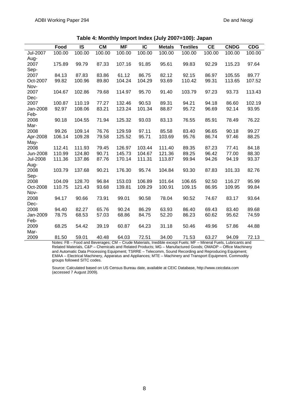|          | Food   | IS     | <b>CM</b> | ΜF     | IC     | <b>Metals</b> | <b>Textiles</b> | <b>CE</b> | <b>CNDG</b> | <b>CDG</b> |
|----------|--------|--------|-----------|--------|--------|---------------|-----------------|-----------|-------------|------------|
| Jul-2007 | 100.00 | 100.00 | 100.00    | 100.00 | 100.00 | 100.00        | 100.00          | 100.00    | 100.00      | 100.00     |
| Aug-     |        |        |           |        |        |               |                 |           |             |            |
| 2007     | 175.89 | 99.79  | 87.33     | 107.16 | 91.85  | 95.61         | 99.83           | 92.29     | 115.23      | 97.64      |
| Sep-     |        |        |           |        |        |               |                 |           |             |            |
| 2007     | 84.13  | 87.83  | 83.86     | 61.12  | 86.75  | 82.12         | 92.15           | 86.97     | 105.55      | 89.77      |
| Oct-2007 | 99.82  | 100.96 | 89.80     | 104.24 | 104.29 | 93.69         | 110.42          | 99.31     | 113.65      | 107.52     |
| Nov-     |        |        |           |        |        |               |                 |           |             |            |
| 2007     | 104.67 | 102.86 | 79.68     | 114.97 | 95.70  | 91.40         | 103.79          | 97.23     | 93.73       | 113.43     |
| Dec-     |        |        |           |        |        |               |                 |           |             |            |
| 2007     | 100.87 | 110.19 | 77.27     | 132.46 | 90.53  | 89.31         | 94.21           | 94.18     | 86.60       | 102.19     |
| Jan-2008 | 92.97  | 108.06 | 83.21     | 123.24 | 101.34 | 88.87         | 95.72           | 96.69     | 92.14       | 93.95      |
| Feb-     |        |        |           |        |        |               |                 |           |             |            |
| 2008     | 90.18  | 104.55 | 71.94     | 125.32 | 93.03  | 83.13         | 76.55           | 85.91     | 78.49       | 76.22      |
| Mar-     |        |        |           |        |        |               |                 |           |             |            |
| 2008     | 99.26  | 109.14 | 76.76     | 129.59 | 97.11  | 85.58         | 83.40           | 96.65     | 90.18       | 99.27      |
| Apr-2008 | 106.14 | 109.28 | 79.58     | 125.52 | 95.71  | 103.69        | 95.76           | 86.74     | 97.46       | 88.25      |
| May-     |        |        |           |        |        |               |                 |           |             |            |
| 2008     | 112.41 | 111.93 | 79.45     | 126.97 | 103.44 | 111.40        | 89.35           | 87.23     | 77.41       | 84.18      |
| Jun-2008 | 110.99 | 124.80 | 90.71     | 145.73 | 104.67 | 121.36        | 89.25           | 96.42     | 77.00       | 88.30      |
| Jul-2008 | 111.36 | 137.86 | 87.76     | 170.14 | 111.31 | 113.87        | 99.94           | 94.26     | 94.19       | 93.37      |
| Aug-     |        |        |           |        |        |               |                 |           |             |            |
| 2008     | 103.79 | 137.68 | 90.21     | 176.30 | 95.74  | 104.84        | 93.30           | 87.83     | 101.33      | 82.76      |
| Sep-     |        |        |           |        |        |               |                 |           |             |            |
| 2008     | 104.09 | 128.70 | 96.84     | 153.03 | 106.89 | 101.64        | 106.65          | 92.50     | 116.27      | 95.99      |
| Oct-2008 | 110.75 | 121.43 | 93.68     | 139.81 | 109.29 | 100.91        | 109.15          | 86.95     | 109.95      | 99.84      |
| Nov-     |        |        |           |        |        |               |                 |           |             |            |
| 2008     | 94.17  | 90.66  | 73.91     | 99.01  | 90.58  | 78.04         | 90.52           | 74.67     | 83.17       | 93.64      |
| Dec-     |        |        |           |        |        |               |                 |           |             |            |
| 2008     | 94.40  | 82.27  | 65.76     | 90.24  | 86.29  | 63.93         | 86.40           | 69.43     | 83.40       | 89.68      |
| Jan-2009 | 78.75  | 68.53  | 57.03     | 68.86  | 84.75  | 52.20         | 86.23           | 60.62     | 95.62       | 74.59      |
| Feb-     |        |        |           |        |        |               |                 |           |             |            |
| 2009     | 68.25  | 54.42  | 39.19     | 60.87  | 64.23  | 31.18         | 50.46           | 49.96     | 57.86       | 44.88      |
| Mar-     |        |        |           |        |        |               |                 |           |             |            |
| 2009     | 81.50  | 59.01  | 40.48     | 64.03  | 72.51  | 34.00         | 71.53           | 63.27     | 94.09       | 72.13      |

**Table 4: Monthly Import Index (July 2007=100): Japan**

Notes: FB – Food and Beverages; CM – Crude Materials, Inedible except Fuels; MF – Mineral Fuels, Lubricants and Related Materials, C&P – Chemicals and Related Products; MG – Manufactured Goods; OMADP – Office Machinery and Automatic Data Processing Equipment; TSRRE – Telecomm, Sound Recording and Reproducing Equipment; EMAA – Electrical Machinery, Apparatus and Appliances; MTE – Machinery and Transport Equipment. Commodity groups followed SITC codes.

Source: Calculated based on US Census Bureau date, available at CEIC Database, http://www.ceicdata.com (accessed 7 August 2009).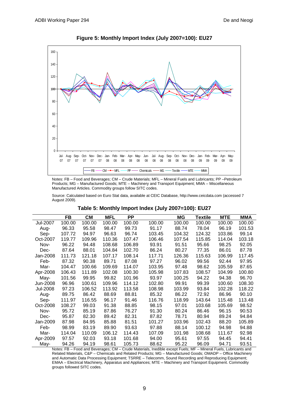

**Figure 5: Monthly Import Index (July 2007=100): EU27**

Notes: FB – Food and Beverages; CM – Crude Materials; MFL – Mineral Fuels and Lubricants; PP –Petroleum Products; MG – Manufactured Goods; MTE – Machinery and Transport Equipment; MMA – Miscellaneous Manufactured Articles. Commodity groups follow SITC codes.

Source: Calculated based on Euro Stat data, available at CEIC Database, http://www.ceicdata.com (accessed 7 August 2009).

|          | FB     | CМ     | <b>MFL</b> | РP     |        | ΜG     | Textile | <b>MTE</b> | MMA    |
|----------|--------|--------|------------|--------|--------|--------|---------|------------|--------|
| Jul-2007 | 100.00 | 100.00 | 100.00     | 100.00 | 100.00 | 100.00 | 100.00  | 100.00     | 100.00 |
| Aug-     | 96.33  | 95.58  | 98.47      | 99.73  | 91.17  | 88.74  | 78.04   | 96.19      | 101.53 |
| Sep-     | 107.72 | 94.97  | 96.63      | 96.74  | 103.45 | 104.32 | 124.32  | 103.86     | 99.14  |
| Oct-2007 | 119.77 | 109.96 | 110.36     | 107.47 | 106.46 | 107.54 | 115.85  | 114.04     | 103.18 |
| Nov-     | 96.22  | 94.48  | 108.68     | 106.89 | 93.91  | 91.51  | 95.66   | 98.25      | 92.05  |
| Dec-     | 87.64  | 88.01  | 104.84     | 102.70 | 86.24  | 80.27  | 77.35   | 86.01      | 87.78  |
| Jan-2008 | 111.73 | 121.18 | 107.17     | 108.14 | 117.71 | 126.36 | 115.63  | 106.99     | 117.45 |
| Feb-     | 87.32  | 90.38  | 89.71      | 87.08  | 97.27  | 96.02  | 99.56   | 92.44      | 97.95  |
| Mar-     | 104.47 | 100.66 | 109.69     | 114.07 | 103.95 | 97.48  | 98.62   | 105.59     | 87.65  |
| Apr-2008 | 106.43 | 111.89 | 102.08     | 100.30 | 105.98 | 107.83 | 108.57  | 104.99     | 100.80 |
| May-     | 101.56 | 99.95  | 99.82      | 101.96 | 93.97  | 100.25 | 94.22   | 94.38      | 96.70  |
| Jun-2008 | 96.96  | 100.61 | 109.96     | 114.12 | 102.80 | 99.91  | 99.39   | 100.60     | 108.30 |
| Jul-2008 | 97.23  | 106.52 | 113.92     | 113.58 | 108.98 | 103.99 | 93.84   | 102.28     | 118.22 |
| Aug-     | 89.75  | 86.42  | 88.69      | 88.81  | 85.32  | 86.22  | 72.92   | 86.96      | 90.10  |
| Sep-     | 111.97 | 116.55 | 96.17      | 91.46  | 116.76 | 118.99 | 143.64  | 115.48     | 113.48 |
| Oct-2008 | 108.27 | 99.03  | 91.38      | 88.85  | 98.15  | 97.01  | 103.68  | 105.69     | 98.52  |
| Nov-     | 95.72  | 85.19  | 87.86      | 76.27  | 91.30  | 80.24  | 86.46   | 96.15      | 90.53  |
| Dec-     | 95.87  | 82.30  | 89.42      | 82.31  | 87.82  | 78.71  | 80.94   | 89.24      | 94.84  |
| Jan-2009 | 87.98  | 84.95  | 85.88      | 81.51  | 101.27 | 103.96 | 102.43  | 88.20      | 105.89 |
| Feb-     | 98.99  | 83.19  | 89.90      | 93.63  | 97.88  | 88.14  | 100.12  | 94.98      | 94.88  |
| Mar-     | 114.04 | 110.09 | 106.12     | 114.43 | 107.09 | 101.98 | 108.68  | 111.67     | 92.98  |
| Apr-2009 | 97.57  | 92.03  | 93.18      | 101.68 | 94.00  | 95.61  | 97.55   | 94.45      | 94.41  |
| May-     | 94.26  | 94.19  | 98.61      | 105.73 | 88.62  | 95.22  | 96.09   | 94.71      | 93.51  |

#### **Table 5: Monthly Import Index (July 2007=100): EU27**

Notes: FB – Food and Beverages; CM – Crude Materials, Inedible except Fuels; MF – Mineral Fuels, Lubricants and Related Materials, C&P – Chemicals and Related Products; MG – Manufactured Goods; OMADP – Office Machinery and Automatic Data Processing Equipment; TSRRE – Telecomm, Sound Recording and Reproducing Equipment; EMAA – Electrical Machinery, Apparatus and Appliances; MTE – Machinery and Transport Equipment. Commodity groups followed SITC codes.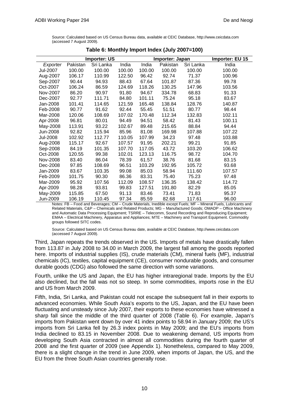Source: Calculated based on US Census Bureau data, available at CEIC Database, http://www.ceicdata.com (accessed 7 August 2009).

|          |          | <b>Importer: US</b> |        |        | Importer: Japan | Importer: EU 15 |        |
|----------|----------|---------------------|--------|--------|-----------------|-----------------|--------|
| Exporter | Pakistan | Sri Lanka           | India  | India  | Pakistan        | Sri Lanka       | India  |
| Jul-2007 | 100.00   | 100.00              | 100.00 | 100.00 | 100.00          | 100.00          | 100.00 |
| Aug-2007 | 106.17   | 110.99              | 122.50 | 96.42  | 92.74           | 71.37           | 100.96 |
| Sep-2007 | 90.44    | 94.93               | 88.43  | 67.64  | 101.87          | 87.36           | 99.78  |
| Oct-2007 | 106.24   | 86.59               | 124.69 | 118.26 | 130.25          | 147.96          | 103.56 |
| Nov-2007 | 86.20    | 90.97               | 91.80  | 94.67  | 334.78          | 68.83           | 91.33  |
| Dec-2007 | 92.77    | 111.71              | 84.80  | 101.11 | 75.24           | 95.18           | 83.67  |
| Jan-2008 | 101.41   | 114.65              | 121.59 | 165.48 | 138.84          | 128.76          | 140.87 |
| Feb-2008 | 90.77    | 91.62               | 92.44  | 55.45  | 51.51           | 80.77           | 98.44  |
| Mar-2008 | 120.06   | 108.69              | 107.02 | 170.48 | 112.34          | 132.83          | 102.11 |
| Apr-2008 | 96.81    | 80.01               | 94.49  | 94.51  | 58.42           | 81.43           | 100.11 |
| May-2008 | 113.91   | 93.22               | 102.67 | 89.48  | 215.65          | 88.84           | 94.44  |
| Jun-2008 | 92.82    | 115.94              | 85.96  | 81.08  | 169.98          | 107.88          | 107.22 |
| Jul-2008 | 102.92   | 112.77              | 110.05 | 107.99 | 34.23           | 97.48           | 103.88 |
| Aug-2008 | 115.17   | 92.67               | 107.57 | 91.95  | 202.21          | 99.21           | 91.85  |
| Sep-2008 | 84.19    | 101.35              | 107.70 | 117.05 | 43.72           | 103.20          | 106.62 |
| Oct-2008 | 120.55   | 99.38               | 102.01 | 123.13 | 116.75          | 98.72           | 104.70 |
| Nov-2008 | 83.40    | 86.04               | 78.39  | 61.57  | 38.76           | 81.68           | 83.15  |
| Dec-2008 | 97.85    | 108.69              | 96.51  | 103.29 | 192.95          | 105.72          | 93.68  |
| Jan-2009 | 83.67    | 103.35              | 99.08  | 85.03  | 58.94           | 111.60          | 107.57 |
| Feb-2009 | 101.75   | 90.30               | 86.36  | 83.31  | 75.40           | 75.23           | 97.48  |
| Mar-2009 | 95.92    | 107.56              | 112.09 | 108.57 | 136.35          | 138.42          | 114.72 |
| Apr-2009 | 98.28    | 93.81               | 99.83  | 127.51 | 191.80          | 82.29           | 85.05  |
| May-2009 | 115.85   | 67.50               | 91.13  | 83.46  | 73.41           | 71.83           | 95.37  |
| Jun-2009 | 106.19   | 110.45              | 97.34  | 85.59  | 82.68           | 117.61          | 96.00  |

**Table 6: Monthly Import Index (July 2007=100)**

Notes: FB – Food and Beverages; CM – Crude Materials, Inedible except Fuels; MF – Mineral Fuels, Lubricants and Related Materials, C&P – Chemicals and Related Products; MG – Manufactured Goods; OMADP – Office Machinery and Automatic Data Processing Equipment; TSRRE – Telecomm, Sound Recording and Reproducing Equipment; EMAA – Electrical Machinery, Apparatus and Appliances; MTE – Machinery and Transport Equipment. Commodity groups followed SITC codes.

Source: Calculated based on US Census Bureau date, available at CEIC Database, http://www.ceicdata.com (accessed 7 August 2009).

Third, Japan repeats the trends observed in the US. Imports of metals have drastically fallen from 113.87 in July 2008 to 34.00 in March 2009, the largest fall among the goods reported here. Imports of industrial supplies (IS), crude materials (CM), mineral fuels (MF), industrial chemicals (IC), textiles, capital equipment (CE), consumer nondurable goods, and consumer durable goods (CDG) also followed the same direction with some variations.

Fourth, unlike the US and Japan, the EU has higher intraregional trade. Imports by the EU also declined, but the fall was not so steep. In some commodities, imports rose in the EU and US from March 2009.

Fifth, India, Sri Lanka, and Pakistan could not escape the subsequent fall in their exports to advanced economies. While South Asia's exports to the US, Japan, and the EU have been fluctuating and unsteady since July 2007, their exports to these economies have witnessed a sharp fall since the middle of the third quarter of 2008 (Table 6). For example, Japan's imports from Pakistan went down by over 41 index points to 58.94 in January 2009; the US's imports from Sri Lanka fell by 26.3 index points in May 2009; and the EU's imports from India declined to 83.15 in November 2008. Due to weakening demand, US imports from developing South Asia contracted in almost all commodities during the fourth quarter of 2008 and the first quarter of 2009 (see Appendix 1). Nonetheless, compared to May 2009, there is a slight change in the trend in June 2009, when imports of Japan, the US, and the EU from the three South Asian countries generally rose.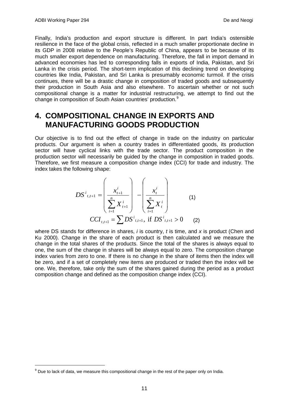Finally, India's production and export structure is different. In part India's ostensible resilience in the face of the global crisis, reflected in a much smaller proportionate decline in its GDP in 2008 relative to the People's Republic of China, appears to be because of its much smaller export dependence on manufacturing. Therefore, the fall in import demand in advanced economies has led to corresponding falls in exports of India, Pakistan, and Sri Lanka in the crisis period. The short-term implication of this declining trend on developing countries like India, Pakistan, and Sri Lanka is presumably economic turmoil. If the crisis continues, there will be a drastic change in composition of traded goods and subsequently their production in South Asia and also elsewhere. To ascertain whether or not such compositional change is a matter for industrial restructuring, we attempt to find out the change in composition of South Asian countries' production.<sup>[9](#page-14-0)</sup>

# **4. COMPOSITIONAL CHANGE IN EXPORTS AND MANUFACTURING GOODS PRODUCTION**

Our objective is to find out the effect of change in trade on the industry on particular products. Our argument is when a country trades in differentiated goods, its production sector will have cyclical links with the trade sector. The product composition in the production sector will necessarily be guided by the change in composition in traded goods. Therefore, we first measure a composition change index (CCI) for trade and industry. The index takes the following shape:

$$
DS^{i}_{t,t+1} = \left(\frac{x_{t+1}^{i}}{\sum_{i=1}^{n} X_{t+1}^{i}}\right) - \left(\frac{x_{t}^{i}}{\sum_{i=1}^{n} X_{t}^{i}}\right)
$$
(1)  

$$
CCI_{t,t+1} = \sum DS^{i}_{t,t+1}, \text{ if } DS^{i}_{t,t+1} > 0
$$
(2)

where DS stands for difference in shares, *i* is country, *t* is time, and *x* is product (Chen and Ku 2000). Change in the share of each product is then calculated and we measure the change in the total shares of the products. Since the total of the shares is always equal to one, the sum of the change in shares will be always equal to zero. The composition change index varies from zero to one. If there is no change in the share of items then the index will be zero, and if a set of completely new items are produced or traded then the index will be one. We, therefore, take only the sum of the shares gained during the period as a product composition change and defined as the composition change index (CCI).

<span id="page-14-0"></span> $9$  Due to lack of data, we measure this compositional change in the rest of the paper only on India.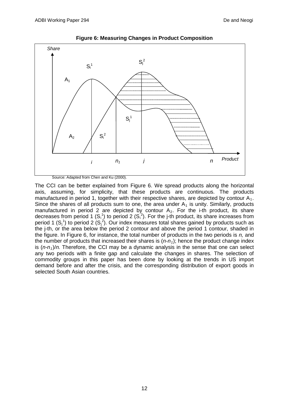

**Figure 6: Measuring Changes in Product Composition**

The CCI can be better explained from Figure 6. We spread products along the horizontal axis, assuming, for simplicity, that these products are continuous. The products manufactured in period 1, together with their respective shares, are depicted by contour  $A_1$ . Since the shares of all products sum to one, the area under  $A_1$  is unity. Similarly, products manufactured in period 2 are depicted by contour  $A_2$ . For the i-th product, its share decreases from period 1  $(S_i^1)$  to period 2  $(S_i^2)$ . For the j-th product, its share increases from period 1  $(S_j^1)$  to period 2  $(S_j^2)$ . Our index measures total shares gained by products such as the j-th, or the area below the period 2 contour and above the period 1 contour, shaded in the figure. In Figure 6, for instance, the total number of products in the two periods is *n,* and the number of products that increased their shares is  $(n-n<sub>1</sub>)$ ; hence the product change index is  $(n-n_1)/n$ . Therefore, the CCI may be a dynamic analysis in the sense that one can select any two periods with a finite gap and calculate the changes in shares. The selection of commodity groups in this paper has been done by looking at the trends in US import demand before and after the crisis, and the corresponding distribution of export goods in selected South Asian countries.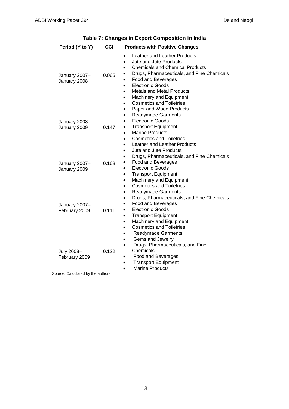| Period (Y to Y)                                                  | CCI   | <b>Products with Positive Changes</b>                                                                                                                                                                                                                                                                                                                 |
|------------------------------------------------------------------|-------|-------------------------------------------------------------------------------------------------------------------------------------------------------------------------------------------------------------------------------------------------------------------------------------------------------------------------------------------------------|
| January 2007-<br>January 2008                                    | 0.065 | Leather and Leather Products<br>Jute and Jute Products<br><b>Chemicals and Chemical Products</b><br>Drugs, Pharmaceuticals, and Fine Chemicals<br>Food and Beverages<br><b>Electronic Goods</b><br>$\bullet$<br><b>Metals and Metal Products</b><br>$\bullet$<br>Machinery and Equipment<br>$\bullet$<br><b>Cosmetics and Toiletries</b><br>$\bullet$ |
| January 2008-<br>January 2009                                    | 0.147 | Paper and Wood Products<br>$\bullet$<br><b>Readymade Garments</b><br>$\bullet$<br><b>Electronic Goods</b><br><b>Transport Equipment</b><br><b>Marine Products</b><br>$\bullet$<br><b>Cosmetics and Toiletries</b><br>Leather and Leather Products<br>$\bullet$                                                                                        |
| January 2007-<br>January 2009                                    | 0.168 | Jute and Jute Products<br>Drugs, Pharmaceuticals, and Fine Chemicals<br>Food and Beverages<br><b>Electronic Goods</b><br>$\bullet$<br><b>Transport Equipment</b><br>$\bullet$<br>Machinery and Equipment<br>$\bullet$<br><b>Cosmetics and Toiletries</b><br>$\bullet$                                                                                 |
| January 2007-<br>February 2009                                   | 0.111 | <b>Readymade Garments</b><br>٠<br>Drugs, Pharmaceuticals, and Fine Chemicals<br><b>Food and Beverages</b><br><b>Electronic Goods</b><br>٠<br><b>Transport Equipment</b><br>٠<br>Machinery and Equipment<br>$\bullet$<br><b>Cosmetics and Toiletries</b>                                                                                               |
| July 2008-<br>February 2009<br>ource: Calculated by the authors. | 0.122 | <b>Readymade Garments</b><br>$\bullet$<br>Gems and Jewelry<br>$\bullet$<br>Drugs, Pharmaceuticals, and Fine<br>Chemicals<br>Food and Beverages<br><b>Transport Equipment</b><br>$\bullet$<br><b>Marine Products</b><br>$\bullet$                                                                                                                      |

**Table 7: Changes in Export Composition in India**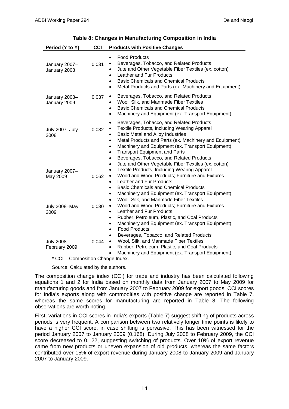| Period (Y to Y)               | CCI   | <b>Products with Positive Changes</b>                                                                                                                                                                                                                                                                                                                                                         |
|-------------------------------|-------|-----------------------------------------------------------------------------------------------------------------------------------------------------------------------------------------------------------------------------------------------------------------------------------------------------------------------------------------------------------------------------------------------|
| January 2007-<br>January 2008 | 0.031 | <b>Food Products</b><br>$\bullet$<br>Beverages, Tobacco, and Related Products<br>$\bullet$<br>Jute and Other Vegetable Fiber Textiles (ex. cotton)<br>Leather and Fur Products<br><b>Basic Chemicals and Chemical Products</b><br>٠<br>Metal Products and Parts (ex. Machinery and Equipment)<br>٠                                                                                            |
| January 2008-<br>January 2009 | 0.037 | Beverages, Tobacco, and Related Products<br>$\bullet$<br>Wool, Silk, and Manmade Fiber Textiles<br><b>Basic Chemicals and Chemical Products</b><br>$\bullet$<br>Machinery and Equipment (ex. Transport Equipment)<br>$\bullet$                                                                                                                                                                |
| July 2007-July<br>2008        | 0.032 | Beverages, Tobacco, and Related Products<br>$\bullet$<br>Textile Products, Including Wearing Apparel<br>Basic Metal and Alloy Industries<br>Metal Products and Parts (ex. Machinery and Equipment)<br>$\bullet$<br>Machinery and Equipment (ex. Transport Equipment)<br>$\bullet$<br><b>Transport Equipment and Parts</b><br>$\bullet$<br>Beverages, Tobacco, and Related Products            |
| January 2007-<br>May 2009     | 0.062 | Jute and Other Vegetable Fiber Textiles (ex. cotton)<br>$\bullet$<br><b>Textile Products, Including Wearing Apparel</b><br>$\bullet$<br>Wood and Wood Products; Furniture and Fixtures<br>$\bullet$<br>Leather and Fur Products<br>٠<br><b>Basic Chemicals and Chemical Products</b><br>٠<br>Machinery and Equipment (ex. Transport Equipment)<br>Wool, Silk, and Manmade Fiber Textiles<br>٠ |
| July 2008-May<br>2009         | 0.030 | Wood and Wood Products; Furniture and Fixtures<br>Leather and Fur Products<br>Rubber, Petroleum, Plastic, and Coal Products<br>$\bullet$<br>Machinery and Equipment (ex. Transport Equipment)<br>$\bullet$<br><b>Food Products</b><br>$\bullet$                                                                                                                                               |
| July 2008-<br>February 2009   | 0.044 | Beverages, Tobacco, and Related Products<br>$\bullet$<br>Wool, Silk, and Manmade Fiber Textiles<br>$\bullet$<br>Rubber, Petroleum, Plastic, and Coal Products<br>Machinery and Equipment (ex. Transport Equipment)<br>$\bullet$                                                                                                                                                               |

| Table 8: Changes in Manufacturing Composition in India |  |  |  |
|--------------------------------------------------------|--|--|--|
|--------------------------------------------------------|--|--|--|

\* CCI = Composition Change Index.

Source: Calculated by the authors.

The composition change index (CCI) for trade and industry has been calculated following equations 1 and 2 for India based on monthly data from January 2007 to May 2009 for manufacturing goods and from January 2007 to February 2009 for export goods. CCI scores for India's exports along with commodities with positive change are reported in Table 7, whereas the same scores for manufacturing are reported in Table 8. The following observations are worth noting.

First, variations in CCI scores in India's exports (Table 7) suggest shifting of products across periods is very frequent. A comparison between two relatively longer time points is likely to have a higher CCI score, in case shifting is pervasive. This has been witnessed for the period January 2007 to January 2009 (0.168). During July 2008 to February 2009, the CCI score decreased to 0.122, suggesting switching of products. Over 10% of export revenue came from new products or uneven expansion of old products, whereas the same factors contributed over 15% of export revenue during January 2008 to January 2009 and January 2007 to January 2009.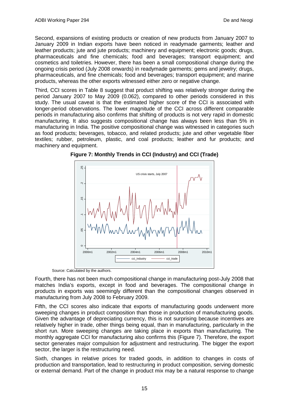Second, expansions of existing products or creation of new products from January 2007 to January 2009 in Indian exports have been noticed in readymade garments; leather and leather products; jute and jute products; machinery and equipment; electronic goods; drugs, pharmaceuticals and fine chemicals; food and beverages; transport equipment; and cosmetics and toiletries. However, there has been a small compositional change during the ongoing crisis period (July 2008 onwards) in readymade garments; gems and jewelry; drugs, pharmaceuticals, and fine chemicals; food and beverages; transport equipment; and marine products, whereas the other exports witnessed either zero or negative change.

Third, CCI scores in Table 8 suggest that product shifting was relatively stronger during the period January 2007 to May 2009 (0.062), compared to other periods considered in this study. The usual caveat is that the estimated higher score of the CCI is associated with longer-period observations. The lower magnitude of the CCI across different comparable periods in manufacturing also confirms that shifting of products is not very rapid in domestic manufacturing. It also suggests compositional change has always been less than 5% in manufacturing in India. The positive compositional change was witnessed in categories such as food products; beverages, tobacco, and related products; jute and other vegetable fiber textiles; rubber, petroleum, plastic, and coal products; leather and fur products; and machinery and equipment.





Source: Calculated by the authors.

Fourth, there has not been much compositional change in manufacturing post-July 2008 that matches India's exports, except in food and beverages. The compositional change in products in exports was seemingly different than the compositional changes observed in manufacturing from July 2008 to February 2009.

Fifth, the CCI scores also indicate that exports of manufacturing goods underwent more sweeping changes in product composition than those in production of manufacturing goods. Given the advantage of depreciating currency, this is not surprising because incentives are relatively higher in trade, other things being equal, than in manufacturing, particularly in the short run. More sweeping changes are taking place in exports than manufacturing. The monthly aggregate CCI for manufacturing also confirms this (Figure 7). Therefore, the export sector generates major compulsion for adjustment and restructuring. The bigger the export sector, the larger is the restructuring need.

Sixth, changes in relative prices for traded goods, in addition to changes in costs of production and transportation, lead to restructuring in product composition, serving domestic or external demand. Part of the change in product mix may be a natural response to change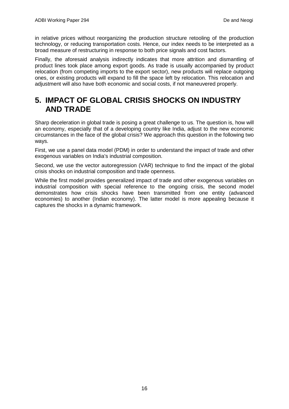in relative prices without reorganizing the production structure retooling of the production technology, or reducing transportation costs. Hence, our index needs to be interpreted as a broad measure of restructuring in response to both price signals and cost factors.

Finally, the aforesaid analysis indirectly indicates that more attrition and dismantling of product lines took place among export goods. As trade is usually accompanied by product relocation (from competing imports to the export sector), new products will replace outgoing ones, or existing products will expand to fill the space left by relocation. This relocation and adjustment will also have both economic and social costs, if not maneuvered properly.

# **5. IMPACT OF GLOBAL CRISIS SHOCKS ON INDUSTRY AND TRADE**

Sharp deceleration in global trade is posing a great challenge to us. The question is, how will an economy, especially that of a developing country like India, adjust to the new economic circumstances in the face of the global crisis? We approach this question in the following two ways.

First, we use a panel data model (PDM) in order to understand the impact of trade and other exogenous variables on India's industrial composition.

Second, we use the vector autoregression (VAR) technique to find the impact of the global crisis shocks on industrial composition and trade openness.

While the first model provides generalized impact of trade and other exogenous variables on industrial composition with special reference to the ongoing crisis, the second model demonstrates how crisis shocks have been transmitted from one entity (advanced economies) to another (Indian economy). The latter model is more appealing because it captures the shocks in a dynamic framework.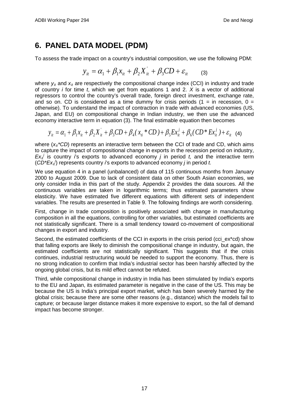# **6. PANEL DATA MODEL (PDM)**

To assess the trade impact on a country's industrial composition, we use the following PDM:

$$
y_{it} = \alpha_1 + \beta_1 x_{it} + \beta_2 X_{it}^{'} + \beta_3 CD + \varepsilon_{it} \qquad (3)
$$

where  $y_{it}$  and  $x_{it}$  are respectively the compositional change index (CCI) in industry and trade of country *i* for time *t*, which we get from equations 1 and 2. *X* is a vector of additional regressors to control the country's overall trade, foreign direct investment, exchange rate, and so on. CD is considered as a time dummy for crisis periods  $(1 = \text{in}$  recession,  $0 =$ otherwise). To understand the impact of contraction in trade with advanced economies (US, Japan, and EU) on compositional change in Indian industry, we then use the advanced economy interactive term in equation (3). The final estimable equation then becomes

$$
y_{it} = \alpha_1 + \beta_1 x_{it} + \beta_2 X_{it} + \beta_3 CD + \beta_4 (x_{it} * CD) + \beta_5 Ex_{it}^{j} + \beta_6 (CD * Ex_{it}^{j}) + \varepsilon_{it} \quad (4)
$$

where ( $x_{ij}$ <sup>\*</sup>CD) represents an interactive term between the CCI of trade and CD, which aims to capture the impact of compositional change in exports in the recession period on industry,  $Ex_i$  is country *i*'s exports to advanced economy *j* in period *t*, and the interactive term (*CD\*Exit j* ) represents country *i*'s exports to advanced economy *j* in period *t.*

We use equation 4 in a panel (unbalanced) of data of 115 continuous months from January 2000 to August 2009. Due to lack of consistent data on other South Asian economies, we only consider India in this part of the study. Appendix 2 provides the data sources. All the continuous variables are taken in logarithmic terms; thus estimated parameters show elasticity. We have estimated five different equations with different sets of independent variables. The results are presented in Table 9. The following findings are worth considering.

First, change in trade composition is positively associated with change in manufacturing composition in all the equations, controlling for other variables, but estimated coefficients are not statistically significant. There is a small tendency toward co-movement of compositional changes in export and industry.

Second, the estimated coefficients of the CCI in exports in the crisis period (cci ex\*cd) show that falling exports are likely to diminish the compositional change in industry, but again, the estimated coefficients are not statistically significant. This suggests that if the crisis continues, industrial restructuring would be needed to support the economy. Thus, there is no strong indication to confirm that India's industrial sector has been harshly affected by the ongoing global crisis, but its mild effect cannot be refuted.

Third, while compositional change in industry in India has been stimulated by India's exports to the EU and Japan, its estimated parameter is negative in the case of the US. This may be because the US is India's principal export market, which has been severely harmed by the global crisis; because there are some other reasons (e.g., distance) which the models fail to capture; or because larger distance makes it more expensive to export, so the fall of demand impact has become stronger.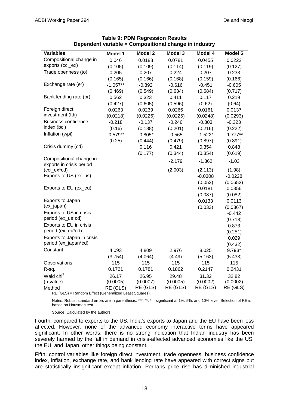| <b>Variables</b>                                    | Model 1    | <b>Model 2</b> | Model 3  | Model 4   | Model 5    |
|-----------------------------------------------------|------------|----------------|----------|-----------|------------|
| Compositional change in                             | 0.046      | 0.0188         | 0.0781   | 0.0455    | 0.0222     |
| exports (cci_ex)                                    | (0.105)    | (0.109)        | (0.114)  | (0.119)   | (0.127)    |
| Trade openness (to)                                 | 0.205      | 0.207          | 0.224    | 0.207     | 0.233      |
|                                                     | (0.165)    | (0.166)        | (0.168)  | (0.159)   | (0.166)    |
| Exchange rate (er)                                  | $-1.057**$ | $-0.892$       | $-0.616$ | $-0.451$  | $-0.605$   |
|                                                     | (0.469)    | (0.549)        | (0.634)  | (0.684)   | (0.717)    |
| Bank lending rate (br)                              | 0.562      | 0.323          | 0.411    | 0.117     | 0.219      |
|                                                     | (0.427)    | (0.605)        | (0.596)  | (0.62)    | (0.64)     |
| Foreign direct                                      | 0.0263     | 0.0239         | 0.0266   | 0.0161    | 0.0137     |
| investment (fdi)                                    | (0.0218)   | (0.0226)       | (0.0225) | (0.0248)  | (0.0293)   |
| <b>Business confidence</b>                          | $-0.218$   | $-0.137$       | $-0.246$ | $-0.303$  | $-0.323$   |
| index (bci)                                         | (0.16)     | (0.188)        | (0.201)  | (0.216)   | (0.222)    |
| Inflation (wpi)                                     | $-0.579**$ | $-0.805*$      | $-0.565$ | $-1.522*$ | $-1.777**$ |
|                                                     | (0.25)     | (0.444)        | (0.479)  | (0.897)   | (0.891)    |
| Crisis dummy (cd)                                   |            | 0.116          | 0.421    | 0.354     | 0.848      |
|                                                     |            | (0.177)        | (0.344)  | (0.354)   | (0.619)    |
| Compositional change in<br>exports in crisis period |            |                | $-2.179$ | $-1.362$  | $-1.03$    |
| (cci_ex*cd)                                         |            |                | (2.003)  | (2.113)   | (1.98)     |
| Exports to US (ex_us)                               |            |                |          | $-0.0308$ | $-0.0228$  |
|                                                     |            |                |          | (0.053)   | (0.0652)   |
| Exports to EU (ex_eu)                               |            |                |          | 0.0181    | 0.0356     |
|                                                     |            |                |          | (0.087)   | (0.082)    |
| Exports to Japan                                    |            |                |          | 0.0133    | 0.0113     |
| (ex_japan)                                          |            |                |          | (0.033)   | (0.0367)   |
| Exports to US in crisis                             |            |                |          |           | $-0.442$   |
| period (ex_us*cd)                                   |            |                |          |           | (0.718)    |
| Exports to EU in crisis                             |            |                |          |           | 0.873      |
| period (ex_eu*cd)                                   |            |                |          |           | (0.251)    |
| Exports to Japan in crisis                          |            |                |          |           | 0.029      |
| period (ex_japan*cd)                                |            |                |          |           | (0.432)    |
| Constant                                            | 4.093      | 4.809          | 2.976    | 8.025     | 9.793*     |
|                                                     | (3.754)    | (4.064)        | (4.49)   | (5.163)   | (5.433)    |
| Observations                                        | 115        | 115            | 115      | 115       | 115        |
| R-sq.                                               | 0.1721     | 0.1781         | 0.1862   | 0.2147    | 0.2431     |
| Wald chi <sup>2</sup>                               | 26.17      | 26.95          | 29.48    | 31.32     | 32.82      |
| (p-value)                                           | (0.0005)   | (0.0007)       | (0.0005) | (0.0002)  | (0.0002)   |
| Method                                              | RE (GLS)   | RE (GLS)       | RE (GLS) | RE (GLS)  | RE (GLS)   |

#### **Table 9: PDM Regression Results Dependent variable = Compositional change in industry**

RE (GLS) = Random Effect (Generalized Least Squares).

Notes: Robust standard errors are in parenthesis; \*\*\*, \*\*, \* = significant at 1%, 5%, and 10% level. Selection of RE is based on Hausman test.

Source: Calculated by the authors.

Fourth, compared to exports to the US, India's exports to Japan and the EU have been less affected. However, none of the advanced economy interactive terms have appeared significant. In other words, there is no strong indication that Indian industry has been severely harmed by the fall in demand in crisis-affected advanced economies like the US, the EU, and Japan, other things being constant.

Fifth, control variables like foreign direct investment, trade openness, business confidence index, inflation, exchange rate, and bank lending rate have appeared with correct signs but are statistically insignificant except inflation. Perhaps price rise has diminished industrial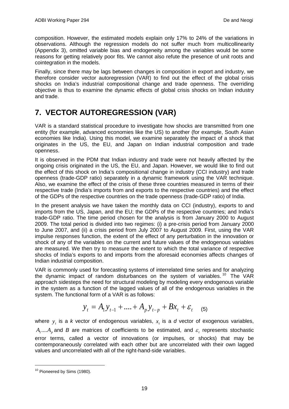composition. However, the estimated models explain only 17% to 24% of the variations in observations. Although the regression models do not suffer much from multicollinearity (Appendix 3), omitted variable bias and endogeneity among the variables would be some reasons for getting relatively poor fits. We cannot also refute the presence of unit roots and cointegration in the models.

Finally, since there may be lags between changes in composition in export and industry, we therefore consider vector autoregression (VAR) to find out the effect of the global crisis shocks on India's industrial compositional change and trade openness. The overriding objective is thus to examine the dynamic effects of global crisis shocks on Indian industry and trade.

# **7. VECTOR AUTOREGRESSION (VAR)**

VAR is a standard statistical procedure to investigate how shocks are transmitted from one entity (for example, advanced economies like the US) to another (for example, South Asian economies like India). Using this model, we examine separately the impact of a shock that originates in the US, the EU, and Japan on Indian industrial composition and trade openness.

It is observed in the PDM that Indian industry and trade were not heavily affected by the ongoing crisis originated in the US, the EU, and Japan. However, we would like to find out the effect of this shock on India's compositional change in industry (CCI industry) and trade openness (trade-GDP ratio) separately in a dynamic framework using the VAR technique. Also, we examine the effect of the crisis of these three countries measured in terms of their respective trade (India's imports from and exports to the respective countries) and the effect of the GDPs of the respective countries on the trade openness (trade-GDP ratio) of India.

In the present analysis we have taken the monthly data on CCI (industry), exports to and imports from the US, Japan, and the EU; the GDPs of the respective countries; and India's trade-GDP ratio. The time period chosen for the analysis is from January 2000 to August 2009. The total period is divided into two regimes: (i) a pre-crisis period from January 2000 to June 2007, and (ii) a crisis period from July 2007 to August 2009. First, using the VAR impulse responses function, the extent of the effect of any perturbation in the innovation or shock of any of the variables on the current and future values of the endogenous variables are measured. We then try to measure the extent to which the total variance of respective shocks of India's exports to and imports from the aforesaid economies affects changes of Indian industrial composition.

VAR is commonly used for forecasting systems of interrelated time series and for analyzing the dynamic impact of random disturbances on the system of variables.<sup>[10](#page-22-0)</sup> The VAR approach sidesteps the need for structural modeling by modeling every endogenous variable in the system as a function of the lagged values of all of the endogenous variables in the system. The functional form of a VAR is as follows:

$$
y_t = A_1 y_{t-1} + \dots + A_p y_{t-p} + B x_t + \varepsilon_t \quad (5)
$$

where  $y<sub>r</sub>$  is a *k* vector of endogenous variables,  $x<sub>r</sub>$  is a *d* vector of exogenous variables,  $A_1$ .... $A_n$  and *B* are matrices of coefficients to be estimated, and  $\varepsilon$ , represents stochastic error terms, called a vector of innovations (or impulses, or shocks) that may be contemporaneously correlated with each other but are uncorrelated with their own lagged values and uncorrelated with all of the right-hand-side variables.

<span id="page-22-0"></span><sup>&</sup>lt;sup>10</sup> Pioneered by Sims (1980).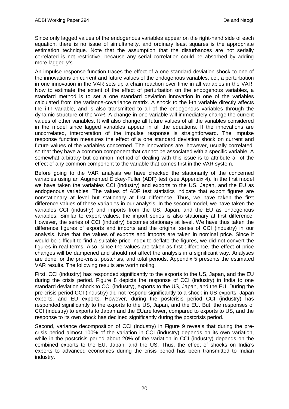Since only lagged values of the endogenous variables appear on the right-hand side of each equation, there is no issue of simultaneity, and ordinary least squares is the appropriate estimation technique. Note that the assumption that the disturbances are not serially correlated is not restrictive, because any serial correlation could be absorbed by adding more lagged *y*'s.

An impulse response function traces the effect of a one standard deviation shock to one of the innovations on current and future values of the endogenous variables, i.e., a perturbation in one innovation in the VAR sets up a chain reaction over time in all variables in the VAR. Now to estimate the extent of the effect of perturbation on the endogenous variables, a standard method is to set a one standard deviation innovation in one of the variables calculated from the variance-covariance matrix. A shock to the i-th variable directly affects the i-th variable, and is also transmitted to all of the endogenous variables through the dynamic structure of the VAR. A change in one variable will immediately change the current values of other variables. It will also change all future values of all the variables considered in the model since lagged variables appear in all the equations. If the innovations are uncorrelated, interpretation of the impulse response is straightforward. The impulse response function measures the effect of a one standard deviation shock on current and future values of the variables concerned. The innovations are, however, usually correlated, so that they have a common component that cannot be associated with a specific variable. A somewhat arbitrary but common method of dealing with this issue is to attribute all of the effect of any common component to the variable that comes first in the VAR system.

Before going to the VAR analysis we have checked the stationarity of the concerned variables using an Augmented Dickey-Fuller (ADF) test (see Appendix 4). In the first model we have taken the variables CCI (industry) and exports to the US, Japan, and the EU as endogenous variables. The values of ADF test statistics indicate that export figures are nonstationary at level but stationary at first difference. Thus, we have taken the first difference values of these variables in our analysis. In the second model, we have taken the variables CCI (industry) and imports from the US, Japan, and the EU as endogenous variables. Similar to export values, the import series is also stationary at first difference. However, the series of CCI (industry) becomes stationary at level. We have thus taken the difference figures of exports and imports and the original series of CCI (industry) in our analysis. Note that the values of exports and imports are taken in nominal price. Since it would be difficult to find a suitable price index to deflate the figures, we did not convert the figures in real terms. Also, since the values are taken as first difference, the effect of price changes will be dampened and should not affect the analysis in a significant way. Analyses are done for the pre-crisis, postcrisis, and total periods. Appendix 5 presents the estimated VAR results. The following results are worth noting.

First, CCI (industry) has responded significantly to the exports to the US, Japan, and the EU during the crisis period. Figure 8 depicts the response of CCI (industry) in India to one standard deviation shock to CCI (industry), exports to the US, Japan, and the EU. During the pre-crisis period CCI (industry) did not respond significantly to a shock in US exports, Japan exports, and EU exports. However, during the postcrisis period CCI (industry) has responded significantly to the exports to the US, Japan, and the EU. But, the responses of CCI (industry) to exports to Japan and the EUare lower, compared to exports to US, and the response to its own shock has declined significantly during the postcrisis period.

Second, variance decomposition of CCI (industry) in Figure 9 reveals that during the precrisis period almost 100% of the variation in CCI (industry) depends on its own variation, while in the postcrisis period about 20% of the variation in CCI (industry) depends on the combined exports to the EU, Japan, and the US. Thus, the effect of shocks on India's exports to advanced economies during the crisis period has been transmitted to Indian industry.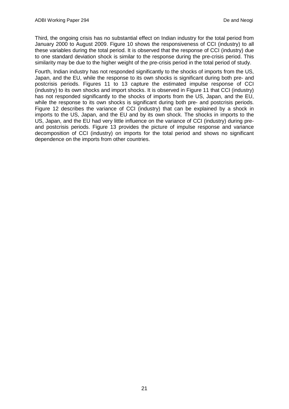Third, the ongoing crisis has no substantial effect on Indian industry for the total period from January 2000 to August 2009. Figure 10 shows the responsiveness of CCI (industry) to all these variables during the total period. It is observed that the response of CCI (industry) due to one standard deviation shock is similar to the response during the pre-crisis period. This similarity may be due to the higher weight of the pre-crisis period in the total period of study.

Fourth, Indian industry has not responded significantly to the shocks of imports from the US, Japan, and the EU, while the response to its own shocks is significant during both pre- and postcrisis periods. Figures 11 to 13 capture the estimated impulse response of CCI (industry) to its own shocks and import shocks. It is observed in Figure 11 that CCI (industry) has not responded significantly to the shocks of imports from the US, Japan, and the EU, while the response to its own shocks is significant during both pre- and postcrisis periods. Figure 12 describes the variance of CCI (industry) that can be explained by a shock in imports to the US, Japan, and the EU and by its own shock. The shocks in imports to the US, Japan, and the EU had very little influence on the variance of CCI (industry) during preand postcrisis periods. Figure 13 provides the picture of impulse response and variance decomposition of CCI (industry) on imports for the total period and shows no significant dependence on the imports from other countries.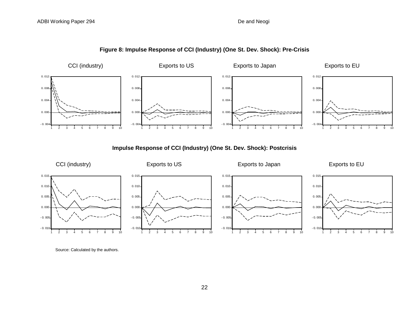

### **Figure 8: Impulse Response of CCI (Industry) (One St. Dev. Shock): Pre-Crisis**

**Impulse Response of CCI (Industry) (One St. Dev. Shock): Postcrisis**



Source: Calculated by the authors.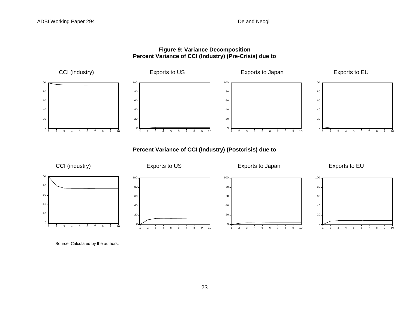### **Figure 9: Variance Decomposition Percent Variance of CCI (Industry) (Pre-Crisis) due to**



**Percent Variance of CCI (Industry) (Postcrisis) due to**

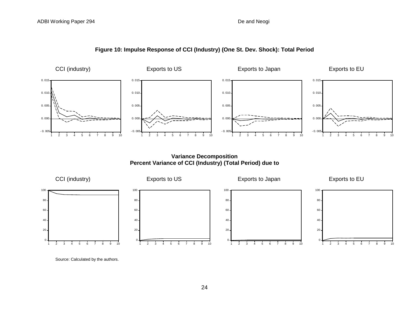

### **Figure 10: Impulse Response of CCI (Industry) (One St. Dev. Shock): Total Period**

**Variance Decomposition Percent Variance of CCI (Industry) (Total Period) due to**



Source: Calculated by the authors.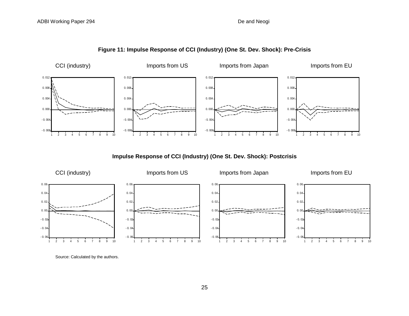



**Impulse Response of CCI (Industry) (One St. Dev. Shock): Postcrisis**

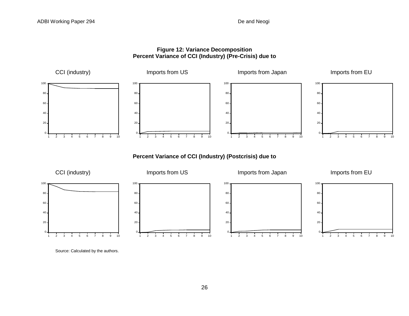### **Figure 12: Variance Decomposition Percent Variance of CCI (Industry) (Pre-Crisis) due to**



**Percent Variance of CCI (Industry) (Postcrisis) due to** 



Source: Calculated by the authors.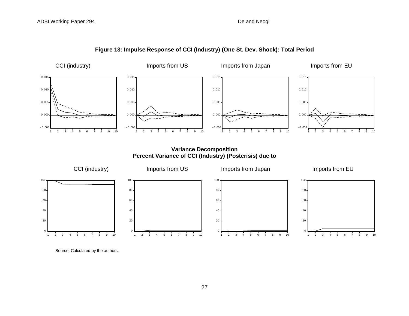

**Figure 13: Impulse Response of CCI (Industry) (One St. Dev. Shock): Total Period**

**Variance Decomposition Percent Variance of CCI (Industry) (Postcrisis) due to**

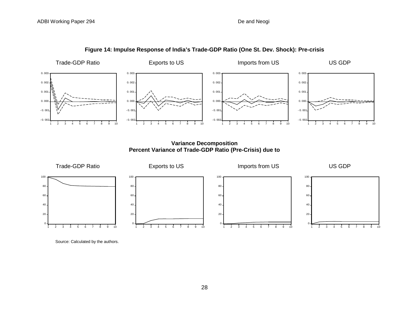

### **Figure 14: Impulse Response of India's Trade-GDP Ratio (One St. Dev. Shock): Pre-crisis**

**Variance Decomposition Percent Variance of Trade-GDP Ratio (Pre-Crisis) due to** 

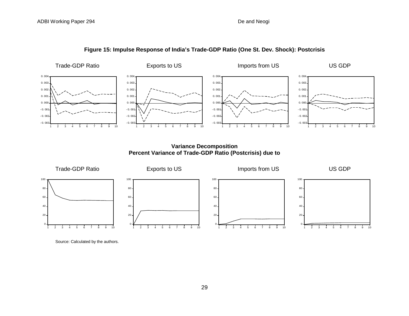

### **Figure 15: Impulse Response of India's Trade-GDP Ratio (One St. Dev. Shock): Postcrisis**

**Variance Decomposition Percent Variance of Trade-GDP Ratio (Postcrisis) due to** 

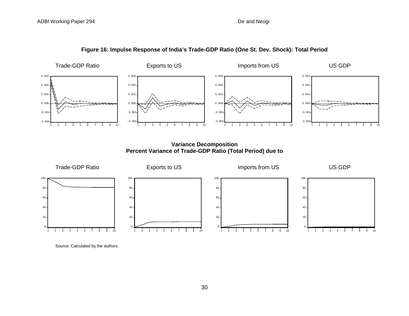

### **Figure 16: Impulse Response of India's Trade-GDP Ratio (One St. Dev. Shock): Total Period**

**Variance Decomposition Percent Variance of Trade-GDP Ratio (Total Period) due to** 



Source: Calculated by the authors.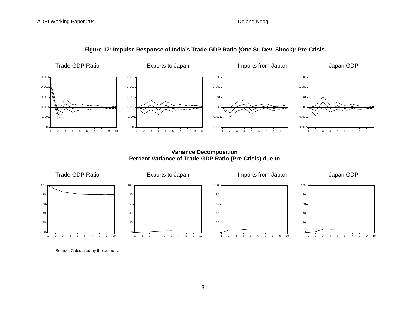

**Figure 17: Impulse Response of India's Trade-GDP Ratio (One St. Dev. Shock): Pre-Crisis**

**Variance Decomposition Percent Variance of Trade-GDP Ratio (Pre-Crisis) due to** 

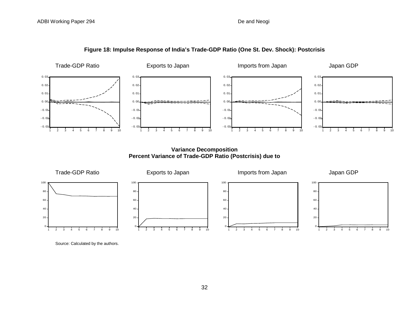



**Variance Decomposition Percent Variance of Trade-GDP Ratio (Postcrisis) due to** 



Source: Calculated by the authors.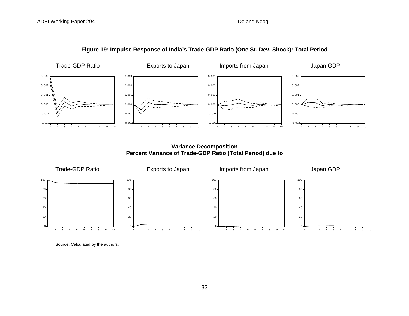

**Figure 19: Impulse Response of India's Trade-GDP Ratio (One St. Dev. Shock): Total Period**

**Variance Decomposition Percent Variance of Trade-GDP Ratio (Total Period) due to**

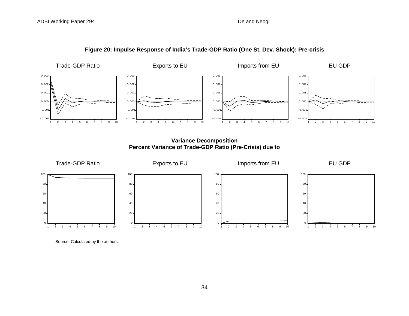

**Figure 20: Impulse Response of India's Trade-GDP Ratio (One St. Dev. Shock): Pre-crisis**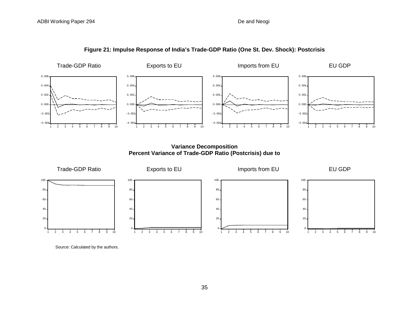

#### **Figure 21: Impulse Response of India's Trade-GDP Ratio (One St. Dev. Shock): Postcrisis**

**Variance Decomposition Percent Variance of Trade-GDP Ratio (Postcrisis) due to** 

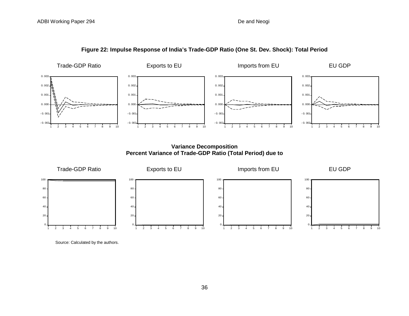

**Figure 22: Impulse Response of India's Trade-GDP Ratio (One St. Dev. Shock): Total Period**

**Variance Decomposition Percent Variance of Trade-GDP Ratio (Total Period) due to** 

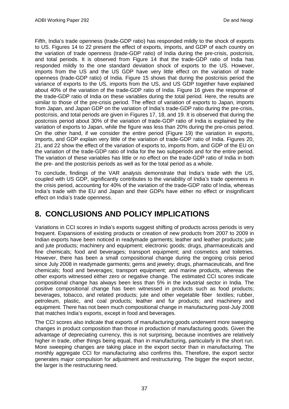Fifth, India's trade openness (trade-GDP ratio) has responded mildly to the shock of exports to US. Figures 14 to 22 present the effect of exports, imports, and GDP of each country on the variation of trade openness (trade-GDP ratio) of India during the pre-crisis, postcrisis, and total periods. It is observed from Figure 14 that the trade-GDP ratio of India has responded mildly to the one standard deviation shock of exports to the US. However, imports from the US and the US GDP have very little effect on the variation of trade openness (trade-GDP ratio) of India. Figure 15 shows that during the postcrisis period the variance of exports to the US, imports from the US, and US GDP together have explained about 40% of the variation of the trade-GDP ratio of India. Figure 16 gives the response of the trade-GDP ratio of India on these variables during the total period. Here, the results are similar to those of the pre-crisis period. The effect of variation of exports to Japan, imports from Japan, and Japan GDP on the variation of India's trade-GDP ratio during the pre-crisis, postcrisis, and total periods are given in Figures 17, 18, and 19. It is observed that during the postcrisis period about 30% of the variation of trade-GDP ratio of India is explained by the variation of exports to Japan, while the figure was less than 20% during the pre-crisis period. On the other hand, if we consider the entire period (Figure 19) the variation in exports, imports, and GDP explain very little of the variation of trade-GDP ratio of India. Figures 20, 21, and 22 show the effect of the variation of exports to, imports from, and GDP of the EU on the variation of the trade-GDP ratio of India for the two subperiods and for the entire period. The variation of these variables has little or no effect on the trade-GDP ratio of India in both the pre- and the postcrisis periods as well as for the total period as a whole.

To conclude, findings of the VAR analysis demonstrate that India's trade with the US, coupled with US GDP, significantly contributes to the variability of India's trade openness in the crisis period, accounting for 40% of the variation of the trade-GDP ratio of India, whereas India's trade with the EU and Japan and their GDPs have either no effect or insignificant effect on India's trade openness.

## **8. CONCLUSIONS AND POLICY IMPLICATIONS**

Variations in CCI scores in India's exports suggest shifting of products across periods is very frequent. Expansions of existing products or creation of new products from 2007 to 2009 in Indian exports have been noticed in readymade garments; leather and leather products; jute and jute products; machinery and equipment; electronic goods; drugs, pharmaceuticals and fine chemicals; food and beverages; transport equipment; and cosmetics and toiletries. However, there has been a small compositional change during the ongoing crisis period since July 2008 in readymade garments; gems and jewelry; drugs, pharmaceuticals, and fine chemicals; food and beverages; transport equipment; and marine products, whereas the other exports witnessed either zero or negative change. The estimated CCI scores indicate compositional change has always been less than 5% in the industrial sector in India. The positive compositional change has been witnessed in products such as food products; beverages, tobacco, and related products; jute and other vegetable fiber textiles; rubber, petroleum, plastic, and coal products; leather and fur products; and machinery and equipment. There has not been much compositional change in manufacturing post-July 2008 that matches India's exports, except in food and beverages.

The CCI scores also indicate that exports of manufacturing goods underwent more sweeping changes in product composition than those in production of manufacturing goods. Given the advantage of depreciating currency, this is not surprising, because incentives are relatively higher in trade, other things being equal, than in manufacturing, particularly in the short run. More sweeping changes are taking place in the export sector than in manufacturing. The monthly aggregate CCI for manufacturing also confirms this. Therefore, the export sector generates major compulsion for adjustment and restructuring. The bigger the export sector, the larger is the restructuring need.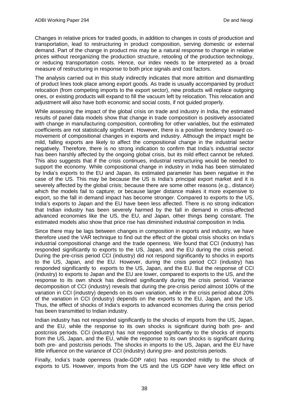Changes in relative prices for traded goods, in addition to changes in costs of production and transportation, lead to restructuring in product composition, serving domestic or external demand. Part of the change in product mix may be a natural response to change in relative prices without reorganizing the production structure, retooling of the production technology, or reducing transportation costs. Hence, our index needs to be interpreted as a broad measure of restructuring in response to both price signals and cost factors.

The analysis carried out in this study indirectly indicates that more attrition and dismantling of product lines took place among export goods. As trade is usually accompanied by product relocation (from competing imports to the export sector), new products will replace outgoing ones, or existing products will expand to fill the vacuum left by relocation. This relocation and adjustment will also have both economic and social costs, if not guided properly.

While assessing the impact of the global crisis on trade and industry in India, the estimated results of panel data models show that change in trade composition is positively associated with change in manufacturing composition, controlling for other variables, but the estimated coefficients are not statistically significant. However, there is a positive tendency toward comovement of compositional changes in exports and industry. Although the impact might be mild, falling exports are likely to affect the compositional change in the industrial sector negatively. Therefore, there is no strong indication to confirm that India's industrial sector has been harshly affected by the ongoing global crisis, but its mild effect cannot be refuted. This also suggests that if the crisis continues, industrial restructuring would be needed to support the economy. While compositional change in industry in India has been stimulated by India's exports to the EU and Japan, its estimated parameter has been negative in the case of the US. This may be because the US is India's principal export market and it is severely affected by the global crisis; because there are some other reasons (e.g., distance) which the models fail to capture; or because larger distance makes it more expensive to export, so the fall in demand impact has become stronger. Compared to exports to the US, India's exports to Japan and the EU have been less affected. There is no strong indication that Indian industry has been severely harmed by the fall in demand in crisis-affected advanced economies like the US, the EU, and Japan, other things being constant. The estimated models also show that price rise has diminished industrial composition in India.

Since there may be lags between changes in composition in exports and industry, we have therefore used the VAR technique to find out the effect of the global crisis shocks on India's industrial compositional change and the trade openness. We found that CCI (industry) has responded significantly to exports to the US, Japan, and the EU during the crisis period. During the pre-crisis period CCI (industry) did not respond significantly to shocks in exports to the US, Japan, and the EU. However, during the crisis period CCI (industry) has responded significantly to exports to the US, Japan, and the EU. But the response of CCI (industry) to exports to Japan and the EU are lower, compared to exports to the US, and the response to its own shock has declined significantly during the crisis period. Variance decomposition of CCI (industry) reveals that during the pre-crisis period almost 100% of the variation in CCI (industry) depends on its own variation, while in the crisis period about 20% of the variation in CCI (industry) depends on the exports to the EU, Japan, and the US. Thus, the effect of shocks of India's exports to advanced economies during the crisis period has been transmitted to Indian industry.

Indian industry has not responded significantly to the shocks of imports from the US, Japan, and the EU, while the response to its own shocks is significant during both pre- and postcrisis periods. CCI (industry) has not responded significantly to the shocks of imports from the US, Japan, and the EU, while the response to its own shocks is significant during both pre- and postcrisis periods. The shocks in imports to the US, Japan, and the EU have little influence on the variance of CCI (industry) during pre- and postcrisis periods.

Finally, India's trade openness (trade-GDP ratio) has responded mildly to the shock of exports to US. However, imports from the US and the US GDP have very little effect on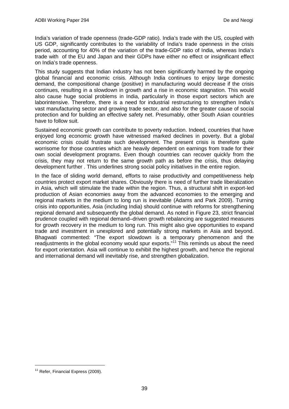India's variation of trade openness (trade-GDP ratio). India's trade with the US, coupled with US GDP, significantly contributes to the variability of India's trade openness in the crisis period, accounting for 40% of the variation of the trade-GDP ratio of India, whereas India's trade with of the EU and Japan and their GDPs have either no effect or insignificant effect on India's trade openness.

This study suggests that Indian industry has not been significantly harmed by the ongoing global financial and economic crisis. Although India continues to enjoy large domestic demand, the compositional change (positive) in manufacturing would decrease if the crisis continues, resulting in a slowdown in growth and a rise in economic stagnation. This would also cause huge social problems in India, particularly in those export sectors which are laborintensive. Therefore, there is a need for industrial restructuring to strengthen India's vast manufacturing sector and growing trade sector, and also for the greater cause of social protection and for building an effective safety net. Presumably, other South Asian countries have to follow suit.

Sustained economic growth can contribute to poverty reduction. Indeed, countries that have enjoyed long economic growth have witnessed marked declines in poverty. But a global economic crisis could frustrate such development. The present crisis is therefore quite worrisome for those countries which are heavily dependent on earnings from trade for their own social development programs. Even though countries can recover quickly from the crisis, they may not return to the same growth path as before the crisis, thus delaying development further . This underlines strong social policy initiatives in the entire region.

In the face of sliding world demand, efforts to raise productivity and competitiveness help countries protect export market shares. Obviously there is need of further trade liberalization in Asia, which will stimulate the trade within the region. Thus, a structural shift in export-led production of Asian economies away from the advanced economies to the emerging and regional markets in the medium to long run is inevitable (Adams and Park 2009). Turning crisis into opportunities, Asia (including India) should continue with reforms for strengthening regional demand and subsequently the global demand. As noted in Figure 23, strict financial prudence coupled with regional demand–driven growth rebalancing are suggested measures for growth recovery in the medium to long run. This might also give opportunities to expand trade and investment in unexplored and potentially strong markets in Asia and beyond. Bhagwati commented: "The export slowdown is a temporary phenomenon and the readjustments in the global economy would spur exports."<sup>[11](#page-42-0)</sup> This reminds us about the need for export orientation. Asia will continue to exhibit the highest growth, and hence the regional and international demand will inevitably rise, and strengthen globalization.

<span id="page-42-0"></span><sup>&</sup>lt;sup>11</sup> Refer, Financial Express (2009).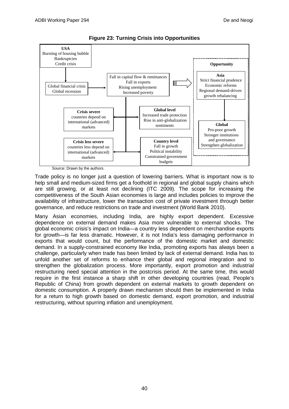

**Figure 23: Turning Crisis into Opportunities**

Source: Drawn by the authors.

Trade policy is no longer just a question of lowering barriers. What is important now is to help small and medium-sized firms get a foothold in regional and global supply chains which are still growing, or at least not declining (ITC 2009). The scope for increasing the competitiveness of the South Asian economies is large and includes policies to improve the availability of infrastructure, lower the transaction cost of private investment through better governance, and reduce restrictions on trade and investment (World Bank 2010).

Many Asian economies, including India, are highly export dependent. Excessive dependence on external demand makes Asia more vulnerable to external shocks. The global economic crisis's impact on India—a country less dependent on merchandise exports for growth—is far less dramatic. However, it is not India's less damaging performance in exports that would count, but the performance of the domestic market and domestic demand. In a supply-constrained economy like India, promoting exports has always been a challenge, particularly when trade has been limited by lack of external demand. India has to unfold another set of reforms to enhance their global and regional integration and to strengthen the globalization process. More importantly, export promotion and industrial restructuring need special attention in the postcrisis period. At the same time, this would require in the first instance a sharp shift in other developing countries (read, People's Republic of China) from growth dependent on external markets to growth dependent on domestic consumption. A properly drawn mechanism should then be implemented in India for a return to high growth based on domestic demand, export promotion, and industrial restructuring, without spurring inflation and unemployment.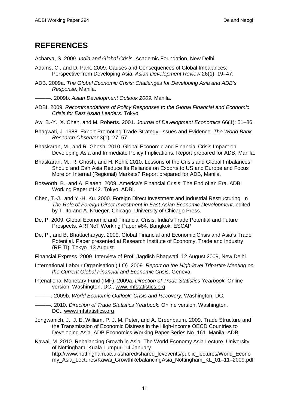## **REFERENCES**

Acharya, S. 2009. *India and Global Crisis.* Academic Foundation, New Delhi.

- Adams, C., and D. Park. 2009. Causes and Consequences of Global Imbalances: Perspective from Developing Asia. *Asian Development Review* 26(1): 19–47.
- ADB. 2009a. *The Global Economic Crisis: Challenges for Developing Asia and ADB's Response.* Manila.

———. 2009b. *Asian Development Outlook 2009.* Manila.

- ADBI. 2009. *Recommendations of Policy Responses to the Global Financial and Economic Crisis for East Asian Leaders.* Tokyo.
- Aw, B.-Y., X. Chen, and M. Roberts. 2001. *Journal of Development Economics* 66(1): 51–86.
- Bhagwati, J. 1988. Export Promoting Trade Strategy: Issues and Evidence. *The World Bank Research Observer* 3(1): 27–57.
- Bhaskaran, M., and R. Ghosh. 2010. Global Economic and Financial Crisis Impact on Developing Asia and Immediate Policy Implications. Report prepared for ADB, Manila.
- Bhaskaran, M., R. Ghosh, and H. Kohli. 2010. Lessons of the Crisis and Global Imbalances: Should and Can Asia Reduce Its Reliance on Exports to US and Europe and Focus More on Internal (Regional) Markets? Report prepared for ADB, Manila.
- Bosworth, B., and A. Flaaen. 2009. America's Financial Crisis: The End of an Era. ADBI Working Paper #142. Tokyo: ADBI.
- Chen, T.-J., and Y.-H. Ku. 2000. Foreign Direct Investment and Industrial Restructuring. In *The Role of Foreign Direct Investment in East Asian Economic Development,* edited by T. Ito and A. Krueger. Chicago: University of Chicago Press.
- De, P. 2009. Global Economic and Financial Crisis: India's Trade Potential and Future Prospects. ARTNeT Working Paper #64. Bangkok: ESCAP
- De, P., and B. Bhattacharyay. 2009. Global Financial and Economic Crisis and Asia's Trade Potential. Paper presented at Research Institute of Economy, Trade and Industry (REITI). Tokyo. 13 August.
- Financial Express. 2009. Interview of Prof. Jagdish Bhagwati, 12 August 2009, New Delhi.
- International Labour Organisation (ILO). 2009. *Report on the High-level Tripartite Meeting on the Current Global Financial and Economic Crisis*. Geneva.
- Intenational Monetary Fund (IMF). 2009a. *Direction of Trade Statistics Yearbook.* Online version. Washington, DC., [www.imfstatistics.org](http://www.imfstatistics.org/)
- ———. 2009b. *World Economic Outlook: Crisis and Recovery.* Washington, DC.
- ———. 2010. *Direction of Trade Statistics Yearbook.* Online version. Washington, DC., [www.imfstatistics.org](http://www.imfstatistics.org/)
- Jongwanich, J., J. E. William, P. J. M. Peter, and A. Greenbaum. 2009. Trade Structure and the Transmission of Economic Distress in the High-Income OECD Countries to Developing Asia. ADB Economics Working Paper Series No. 161. Manila: ADB.
- Kawai, M. 2010. Rebalancing Growth in Asia. The World Economy Asia Lecture. University of Nottingham. Kuala Lumpur. 14 January. http://www.nottingham.ac.uk/shared/shared\_levevents/public\_lectures/World\_Econo my Asia Lectures/Kawai GrowthRebalancingAsia Nottingham KL 01–11–2009.pdf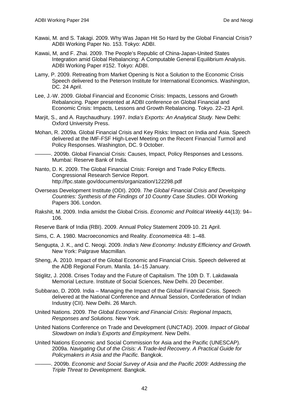- Kawai, M. and S. Takagi. 2009. Why Was Japan Hit So Hard by the Global Financial Crisis? ADBI Working Paper No. 153. Tokyo: ADBI.
- Kawai, M, and F. Zhai. 2009. The People's Republic of China-Japan-United States Integration amid Global Rebalancing: A Computable General Equilibrium Analysis. ADBI Working Paper #152. Tokyo: ADBI.
- Lamy, P. 2009. Retreating from Market Opening Is Not a Solution to the Economic Crisis Speech delivered to the Peterson Institute for International Economics. Washington, DC. 24 April.
- Lee, J.-W. 2009. Global Financial and Economic Crisis: Impacts, Lessons and Growth Rebalancing. Paper presented at ADBI conference on Global Financial and Economic Crisis: Impacts, Lessons and Growth Rebalancing. Tokyo. 22–23 April.
- Marjit, S., and A. Raychaudhury. 1997. *India's Exports: An Analytical Study.* New Delhi: Oxford University Press.
- Mohan, R. 2009a. Global Financial Crisis and Key Risks: Impact on India and Asia. Speech delivered at the IMF-FSF High-Level Meeting on the Recent Financial Turmoil and Policy Responses. Washington, DC. 9 October.
- ———. 2009b. Global Financial Crisis: Causes, Impact, Policy Responses and Lessons. Mumbai: Reserve Bank of India.
- Nanto, D. K. 2009. The Global Financial Crisis: Foreign and Trade Policy Effects. Congressional Research Service Report. http://fpc.state.gov/documents/organization/122298.pdf
- Overseas Development Institute (ODI). 2009. *The Global Financial Crisis and Developing Countries: Synthesis of the Findings of 10 Country Case Studies*. ODI Working Papers 306. London.
- Rakshit, M. 2009. India amidst the Global Crisis. *Economic and Political Weekly* 44(13): 94– 106.
- Reserve Bank of India (RBI). 2009. Annual Policy Statement 2009-10. 21 April.
- Sims, C. A. 1980. Macroeconomics and Reality. *Econometrica* 48: 1–48.
- Sengupta, J. K., and C. Neogi. 2009. *India's New Economy: Industry Efficiency and Growth.* New York: Palgrave Macmillan.
- Sheng, A. 2010. Impact of the Global Economic and Financial Crisis. Speech delivered at the ADB Regional Forum. Manila. 14–15 January.
- Stiglitz, J. 2008. Crises Today and the Future of Capitalism. The 10th D. T. Lakdawala Memorial Lecture. Institute of Social Sciences, New Delhi. 20 December.
- Subbarao, D. 2009. India Managing the Impact of the Global Financial Crisis. Speech delivered at the National Conference and Annual Session, Confederation of Indian Industry (CII). New Delhi. 26 March.
- United Nations. 2009. *The Global Economic and Financial Crisis: Regional Impacts, Responses and Solutions.* New York.
- United Nations Conference on Trade and Development (UNCTAD). 2009. *Impact of Global Slowdown on India's Exports and Employment*. New Delhi.
- United Nations Economic and Social Commission for Asia and the Pacific (UNESCAP). 2009a. *Navigating Out of the Crisis: A Trade-led Recovery. A Practical Guide for Policymakers in Asia and the Pacific.* Bangkok.
- ———. 2009b. *Economic and Social Survey of Asia and the Pacific 2009: Addressing the Triple Threat to Development.* Bangkok.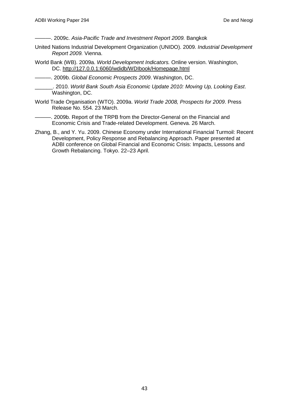———. 2009c. *Asia-Pacific Trade and Investment Report 2009.* Bangkok

- United Nations Industrial Development Organization (UNIDO). 2009. *Industrial Development Report 2009.* Vienna.
- World Bank (WB). 2009a. *World Development Indicators.* Online version. Washington, DC. <http://127.0.0.1:6060/wdidb/WDIbook/Homepage.html>

———. 2009b. *Global Economic Prospects 2009*. Washington, DC.

- \_\_\_\_\_\_. 2010. *World Bank South Asia Economic Update 2010: Moving Up, Looking East*. Washington, DC.
- World Trade Organisation (WTO). 2009a. *World Trade 2008, Prospects for 2009*. Press Release No. 554. 23 March.
- ———. 2009b. Report of the TRPB from the Director-General on the Financial and Economic Crisis and Trade-related Development. Geneva. 26 March.
- Zhang, B., and Y. Yu. 2009. Chinese Economy under International Financial Turmoil: Recent Development, Policy Response and Rebalancing Approach. Paper presented at ADBI conference on Global Financial and Economic Crisis: Impacts, Lessons and Growth Rebalancing. Tokyo. 22–23 April.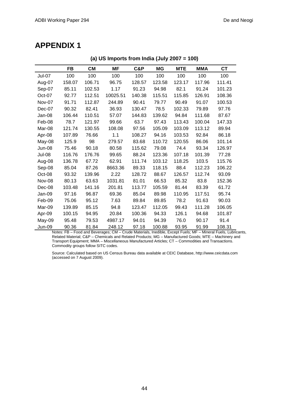## **APPENDIX 1**

|               | -- ,      |           |          |        |        |            |            |           |
|---------------|-----------|-----------|----------|--------|--------|------------|------------|-----------|
|               | <b>FB</b> | <b>CM</b> | MF       | C&P    | ΜG     | <b>MTE</b> | <b>MMA</b> | <b>CT</b> |
| Jul-07        | 100       | 100       | 100      | 100    | 100    | 100        | 100        | 100       |
| Aug-07        | 158.07    | 106.71    | 96.75    | 128.57 | 123.58 | 123.17     | 117.96     | 111.41    |
| Sep-07        | 85.11     | 102.53    | 1.17     | 91.23  | 94.98  | 82.1       | 91.24      | 101.23    |
| Oct-07        | 92.77     | 112.51    | 10025.51 | 140.38 | 115.51 | 115.85     | 126.91     | 108.36    |
| Nov-07        | 91.71     | 112.87    | 244.89   | 90.41  | 79.77  | 90.49      | 91.07      | 100.53    |
| Dec-07        | 90.32     | 82.41     | 36.93    | 130.47 | 78.5   | 102.33     | 79.89      | 97.76     |
| Jan-08        | 106.44    | 110.51    | 57.07    | 144.83 | 139.62 | 94.84      | 111.68     | 87.67     |
| Feb-08        | 78.7      | 121.97    | 99.66    | 63.7   | 97.43  | 113.43     | 100.04     | 147.33    |
| Mar-08        | 121.74    | 130.55    | 108.08   | 97.56  | 105.09 | 103.09     | 113.12     | 89.94     |
| Apr-08        | 107.89    | 76.66     | 1.1      | 108.27 | 94.16  | 103.53     | 92.84      | 86.18     |
| May-08        | 125.9     | 98        | 279.57   | 83.68  | 110.72 | 120.55     | 86.06      | 101.14    |
| Jun-08        | 75.46     | 90.18     | 80.58    | 115.62 | 79.08  | 74.4       | 93.34      | 126.97    |
| Jul-08        | 116.76    | 176.76    | 99.65    | 88.24  | 123.36 | 107.18     | 101.39     | 77.28     |
| Aug-08        | 136.78    | 67.72     | 62.91    | 111.74 | 103.12 | 118.25     | 103.5      | 115.76    |
| Sep-08        | 85.04     | 87.26     | 8663.36  | 89.33  | 118.15 | 88.4       | 112.23     | 106.22    |
| Oct-08        | 93.32     | 139.96    | 2.22     | 128.72 | 88.67  | 126.57     | 112.74     | 93.09     |
| Nov-08        | 80.13     | 63.63     | 1031.81  | 81.01  | 66.53  | 85.32      | 83.8       | 152.36    |
| Dec-08        | 103.48    | 141.16    | 201.81   | 113.77 | 105.59 | 81.44      | 83.39      | 61.72     |
| Jan-09        | 97.16     | 96.87     | 69.36    | 85.04  | 89.98  | 110.95     | 117.51     | 95.74     |
| Feb-09        | 75.06     | 95.12     | 7.63     | 89.84  | 89.85  | 78.2       | 91.63      | 90.03     |
| Mar-09        | 139.89    | 85.15     | 94.8     | 123.47 | 112.05 | 99.43      | 111.28     | 106.05    |
| Apr-09        | 100.15    | 94.95     | 20.84    | 100.36 | 94.33  | 126.1      | 94.68      | 101.87    |
| May-09        | 95.48     | 79.53     | 4987.17  | 94.01  | 94.39  | 76.0       | 90.17      | 91.4      |
| <b>Jun-09</b> | 90.36     | 81.84     | 248.12   | 97.18  | 100.88 | 93.95      | 91.99      | 108.31    |

**(a) US Imports from India (July 2007 = 100)**

Notes: FB – Food and Beverages; CM – Crude Materials, Inedible, Except Fuels; MF – Mineral Fuels, Lubricants, Related Material; C&P – Chemicals and Related Products; MG – Manufactured Goods; MTE – Machinery and Transport Equipment; MMA – Miscellaneous Manufactured Articles; CT – Commodities and Transactions. Commodity groups follow SITC codes.

Source: Calculated based on US Census Bureau data available at CEIC Database, http://www.ceicdata.com (accessed on 7 August 2009).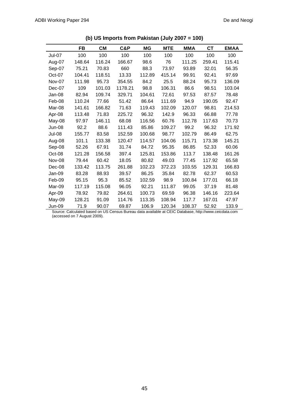|               | <b>FB</b> | <b>CM</b> | C&P     | MG     | <b>MTE</b> | <b>MMA</b> | <b>CT</b> | <b>EMAA</b> |
|---------------|-----------|-----------|---------|--------|------------|------------|-----------|-------------|
| <b>Jul-07</b> | 100       | 100       | 100     | 100    | 100        | 100        | 100       | 100         |
| Aug-07        | 148.64    | 116.24    | 166.67  | 98.6   | 76         | 111.25     | 259.41    | 115.41      |
| Sep-07        | 75.21     | 70.83     | 660     | 88.3   | 73.97      | 93.89      | 32.01     | 56.35       |
| Oct-07        | 104.41    | 118.51    | 13.33   | 112.89 | 415.14     | 99.91      | 92.41     | 97.69       |
| Nov-07        | 111.98    | 95.73     | 354.55  | 84.2   | 25.5       | 88.24      | 95.73     | 136.09      |
| Dec-07        | 109       | 101.03    | 1178.21 | 98.8   | 106.31     | 86.6       | 98.51     | 103.04      |
| Jan-08        | 82.94     | 109.74    | 329.71  | 104.61 | 72.61      | 97.53      | 87.57     | 78.48       |
| Feb-08        | 110.24    | 77.66     | 51.42   | 86.64  | 111.69     | 94.9       | 190.05    | 92.47       |
| Mar-08        | 141.61    | 166.82    | 71.63   | 119.43 | 102.09     | 120.07     | 98.81     | 214.53      |
| Apr-08        | 113.48    | 71.83     | 225.72  | 96.32  | 142.9      | 96.33      | 66.88     | 77.78       |
| May-08        | 97.97     | 146.11    | 68.08   | 116.56 | 60.76      | 112.78     | 117.63    | 70.73       |
| <b>Jun-08</b> | 92.2      | 88.6      | 111.43  | 85.86  | 109.27     | 99.2       | 96.32     | 171.92      |
| <b>Jul-08</b> | 155.77    | 83.58     | 152.59  | 100.68 | 98.77      | 102.79     | 86.49     | 62.75       |
| Aug-08        | 101.1     | 133.38    | 120.47  | 114.57 | 104.06     | 115.71     | 173.38    | 145.21      |
| Sep-08        | 52.26     | 67.91     | 31.74   | 84.72  | 95.35      | 86.85      | 52.33     | 60.06       |
| Oct-08        | 121.28    | 156.58    | 397.4   | 125.81 | 153.86     | 113.7      | 138.48    | 161.26      |
| Nov-08        | 79.44     | 60.42     | 18.05   | 80.82  | 49.03      | 77.45      | 117.92    | 65.58       |
| Dec-08        | 133.42    | 113.75    | 261.88  | 102.23 | 372.23     | 103.55     | 129.31    | 166.83      |
| Jan-09        | 83.28     | 88.93     | 39.57   | 86.25  | 35.84      | 82.78      | 62.37     | 60.53       |
| Feb-09        | 95.15     | 95.3      | 85.52   | 102.59 | 98.9       | 100.84     | 177.01    | 66.18       |
| Mar-09        | 117.19    | 115.08    | 96.05   | 92.21  | 111.87     | 99.05      | 37.19     | 81.48       |
| Apr-09        | 78.92     | 79.82     | 264.61  | 100.73 | 69.59      | 96.38      | 146.16    | 223.64      |
| May-09        | 128.21    | 91.09     | 114.76  | 113.35 | 108.94     | 117.7      | 167.01    | 47.97       |
| Jun-09        | 71.9      | 90.07     | 69.87   | 106.9  | 120.34     | 108.37     | 52.92     | 133.9       |

| (b) US Imports from Pakistan (July 2007 = 100) |  |
|------------------------------------------------|--|
|------------------------------------------------|--|

Source: Calculated based on US Census Bureau data available at CEIC Database, http://www.ceicdata.com (accessed on 7 August 2009).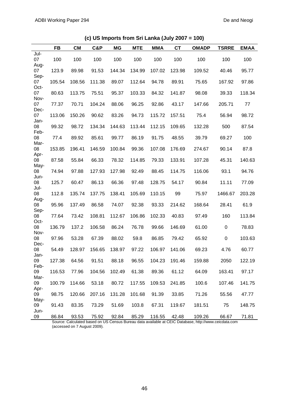|      | <b>FB</b> | <b>CM</b> | C&P    | MG     | <b>MTE</b> | <b>MMA</b> | CT     | <b>OMADP</b> | <b>TSRRE</b> | <b>EMAA</b> |
|------|-----------|-----------|--------|--------|------------|------------|--------|--------------|--------------|-------------|
| Jul- |           |           |        |        |            |            |        |              |              |             |
| 07   | 100       | 100       | 100    | 100    | 100        | 100        | 100    | 100          | 100          | 100         |
| Aug- |           |           |        |        |            |            |        |              |              |             |
| 07   | 123.9     | 89.98     | 91.53  | 144.34 | 134.99     | 107.02     | 123.98 | 109.52       | 40.46        | 95.77       |
| Sep- |           |           |        |        |            |            |        |              |              |             |
| 07   | 105.54    | 108.56    | 111.38 | 89.07  | 112.64     | 94.78      | 89.91  | 75.65        | 167.92       | 97.86       |
| Oct- |           |           |        |        |            |            |        |              |              |             |
| 07   | 80.63     | 113.75    | 75.51  | 95.37  | 103.33     | 84.32      | 141.87 | 98.08        | 39.33        | 118.34      |
| Nov- |           |           |        |        |            |            |        |              |              |             |
| 07   | 77.37     | 70.71     | 104.24 | 88.06  | 96.25      | 92.86      | 43.17  | 147.66       | 205.71       | 77          |
| Dec- |           |           |        |        |            |            |        |              |              |             |
| 07   | 113.06    | 150.26    | 90.62  | 83.26  | 94.73      | 115.72     | 157.51 | 75.4         | 56.94        | 98.72       |
| Jan- |           |           |        |        |            |            |        |              |              |             |
| 08   | 99.32     | 98.72     | 134.34 | 144.63 | 113.44     | 112.15     | 109.65 | 132.28       | 500          | 87.54       |
| Feb- |           |           |        |        |            |            |        |              |              |             |
| 08   | 77.4      | 89.92     | 85.61  | 99.77  | 86.19      | 91.75      | 48.55  | 39.79        | 69.27        | 100         |
| Mar- |           |           |        |        |            |            |        |              |              |             |
| 08   | 153.85    | 196.41    | 146.59 | 100.84 | 99.36      | 107.08     | 176.69 | 274.67       | 90.14        | 87.8        |
| Apr- |           |           |        |        |            |            |        |              |              |             |
| 08   | 87.58     | 55.84     | 66.33  | 78.32  | 114.85     | 79.33      | 133.91 | 107.28       | 45.31        | 140.63      |
| May- |           |           |        |        |            |            |        |              |              |             |
| 08   | 74.94     | 97.88     | 127.93 | 127.98 | 92.49      | 88.45      | 114.75 | 116.06       | 93.1         | 94.76       |
| Jun- |           |           |        |        |            |            |        |              |              |             |
| 08   | 125.7     | 60.47     | 86.13  | 66.36  | 97.48      | 128.75     | 54.17  | 90.84        | 11.11        | 77.09       |
| Jul- |           |           |        |        |            |            |        |              |              |             |
| 08   | 112.8     | 135.74    | 137.75 | 138.41 | 105.69     | 110.15     | 99     | 75.97        | 1466.67      | 203.28      |
| Aug- |           |           |        |        |            |            |        |              |              |             |
| 08   | 95.96     | 137.49    | 86.58  | 74.07  | 92.38      | 93.33      | 214.62 | 168.64       | 28.41        | 61.9        |
| Sep- |           |           |        |        |            |            |        |              |              |             |
| 08   | 77.64     | 73.42     | 108.81 | 112.67 | 106.86     | 102.33     | 40.83  | 97.49        | 160          | 113.84      |
| Oct- |           |           |        |        |            |            |        |              |              |             |
| 08   | 136.79    | 137.2     | 106.58 | 86.24  | 76.78      | 99.66      | 146.69 | 61.00        | $\mathbf 0$  | 78.83       |
| Nov- |           |           |        |        |            |            |        |              |              |             |
| 08   | 97.96     | 53.28     | 67.39  | 88.02  | 59.8       | 86.85      | 79.42  | 65.92        | $\pmb{0}$    | 103.63      |
| Dec- |           |           |        |        |            |            |        |              |              |             |
| 08   | 54.49     | 128.97    | 156.65 | 138.97 | 97.22      | 106.97     | 141.06 | 69.23        | 4.76         | 60.77       |
| Jan- |           |           |        |        |            |            |        |              |              |             |
| 09   | 127.38    | 64.56     | 91.51  | 88.18  | 96.55      | 104.23     | 191.46 | 159.88       | 2050         | 122.19      |
| Feb- |           |           |        |        |            |            |        |              |              |             |
| 09   | 116.53    | 77.96     | 104.56 | 102.49 | 61.38      | 89.36      | 61.12  | 64.09        | 163.41       | 97.17       |
| Mar- |           |           |        |        |            |            |        |              |              |             |
| 09   | 100.79    | 114.66    | 53.18  | 80.72  | 117.55     | 109.53     | 241.85 | 100.6        | 107.46       | 141.75      |
| Apr- |           |           |        |        |            |            |        |              |              |             |
| 09   | 98.75     | 120.66    | 207.16 | 131.28 | 101.68     | 91.39      | 33.85  | 71.26        | 55.56        | 47.77       |
| May- |           |           |        |        |            |            |        |              |              |             |
| 09   | 91.43     | 83.35     | 73.29  | 51.69  | 103.8      | 67.31      | 119.67 | 181.51       | 75           | 148.75      |
| Jun- |           |           |        |        |            |            |        |              |              |             |
| 09   | 86.84     | 93.53     | 75.92  | 92.84  | 85.29      | 116.55     | 42.48  | 109.26       | 66.67        | 71.81       |

**(c) US Imports from Sri Lanka (July 2007 = 100)**

Source: Calculated based on US Census Bureau data available at CEIC Database, http://www.ceicdata.com (accessed on 7 August 2009).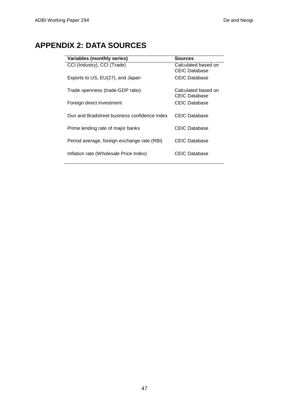# **APPENDIX 2: DATA SOURCES**

| Variables (monthly series)                   | <b>Sources</b>                              |
|----------------------------------------------|---------------------------------------------|
| CCI (Industry), CCI (Trade)                  | Calculated based on<br><b>CEIC Database</b> |
| Exports to US, EU(27), and Japan             | <b>CEIC Database</b>                        |
| Trade openness (trade-GDP ratio)             | Calculated based on<br><b>CEIC Database</b> |
| Foreign direct investment                    | <b>CEIC Database</b>                        |
| Dun and Bradstreet business confidence index | <b>CEIC Database</b>                        |
| Prime lending rate of major banks            | CEIC Database                               |
| Period average, foreign exchange rate (RBI)  | <b>CEIC Database</b>                        |
| Inflation rate (Wholesale Price Index)       | CEIC Database                               |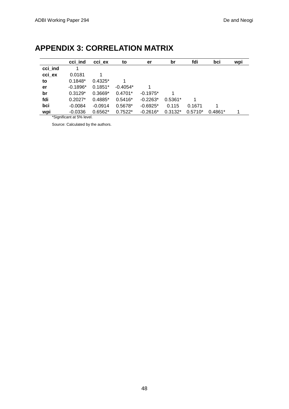|         | cci ind    | cci ex    | to         | er         | br        | fdi       | bci       | wpi |
|---------|------------|-----------|------------|------------|-----------|-----------|-----------|-----|
| cci ind |            |           |            |            |           |           |           |     |
| cci ex  | 0.0181     |           |            |            |           |           |           |     |
| to      | $0.1848*$  | $0.4325*$ |            |            |           |           |           |     |
| er      | $-0.1896*$ | $0.1851*$ | $-0.4054*$ |            |           |           |           |     |
| br      | $0.3129*$  | $0.3669*$ | $0.4701*$  | $-0.1975*$ |           |           |           |     |
| fdi     | $0.2027*$  | $0.4885*$ | $0.5416*$  | $-0.2263*$ | $0.5361*$ |           |           |     |
| bci     | $-0.0084$  | $-0.0914$ | 0.5678*    | $-0.6925*$ | 0.115     | 0.1671    |           |     |
| wpi     | $-0.0336$  | $0.6562*$ | $0.7522*$  | $-0.2616*$ | $0.3132*$ | $0.5710*$ | $0.4861*$ |     |

# **APPENDIX 3: CORRELATION MATRIX**

\*Significant at 5% level.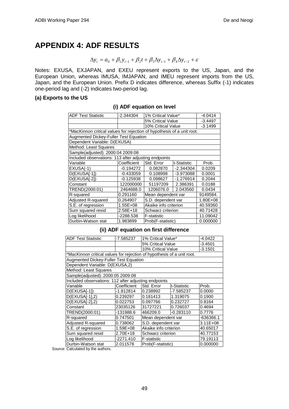## **APPENDIX 4: ADF RESULTS**

```
\Delta y_t = a_0 + \beta_1 y_{t-1} + \beta_2 t + \beta_3 \Delta y_{t-1} + \beta_4 \Delta y_{t-2} + \varepsilon
```
Notes: EXUSA, EXJAPAN, and EXEU represent exports to the US, Japan, and the European Union, whereas IMUSA, IMJAPAN, and IMEU represent imports from the US, Japan, and the European Union. Prefix D indicates difference, whereas Suffix (-1) indicates one-period lag and (-2) indicates two-period lag.

#### **(a) Exports to the US**

#### **(i) ADF equation on level**

| <b>ADF Test Statistic</b>                                              | -2.344304   | 1% Critical Value*                |             | $-4.0414$ |  |  |  |  |  |
|------------------------------------------------------------------------|-------------|-----------------------------------|-------------|-----------|--|--|--|--|--|
|                                                                        |             | 5% Critical Value                 | $-3.4497$   |           |  |  |  |  |  |
|                                                                        |             | 10% Critical Value                |             | $-3.1499$ |  |  |  |  |  |
| *MacKinnon critical values for rejection of hypothesis of a unit root. |             |                                   |             |           |  |  |  |  |  |
| Augmented Dickey-Fuller Test Equation                                  |             |                                   |             |           |  |  |  |  |  |
| Dependent Variable: D(EXUSA)                                           |             |                                   |             |           |  |  |  |  |  |
| Method: Least Squares                                                  |             |                                   |             |           |  |  |  |  |  |
| Sample(adjusted): 2000:04 2009:08                                      |             |                                   |             |           |  |  |  |  |  |
| Included observations: 113 after adjusting endpoints                   |             |                                   |             |           |  |  |  |  |  |
| Variable                                                               | Coefficient | Std. Error                        | t-Statistic | Prob.     |  |  |  |  |  |
| $EXUSA(-1)$                                                            | -0.194272   | 0.082870                          | $-2.344304$ | 0.0209    |  |  |  |  |  |
| D(EXUSA[-1])                                                           | $-0.433059$ | 0.108998                          | $-3.973088$ | 0.0001    |  |  |  |  |  |
| D(EXUSA[-2])                                                           | $-0.125938$ | 0.098627                          | $-1.276914$ | 0.2044    |  |  |  |  |  |
| Constant                                                               | 122000000   | 51197209                          | 2.386391    | 0.0188    |  |  |  |  |  |
| TREND(2000:01)                                                         | 2464688.0   | 1206076.0                         | 2.043560    | 0.0434    |  |  |  |  |  |
| R-squared                                                              | 0.291160    | Mean dependent var                |             | 9149584.  |  |  |  |  |  |
| Adjusted R-squared                                                     | 0.264907    | S.D. dependent var                |             | 1.80E+08  |  |  |  |  |  |
| S.E. of regression                                                     | 1.55E+08    | Akaike info criterion<br>40.59360 |             |           |  |  |  |  |  |
| Sum squared resid<br>2.58E+18<br>Schwarz criterion<br>40.71428         |             |                                   |             |           |  |  |  |  |  |
| Log likelihood                                                         | -2288.538   | <b>F-statistic</b><br>11.09042    |             |           |  |  |  |  |  |
| Durbin-Watson stat                                                     | 1.983899    | Prob(F-statistic)                 |             | 0.000000  |  |  |  |  |  |

**(ii) ADF equation on first difference**

| <b>ADF Test Statistic</b>                                              | -7.585237   | 1% Critical Value*                |             | -4.0422      |  |  |  |  |  |
|------------------------------------------------------------------------|-------------|-----------------------------------|-------------|--------------|--|--|--|--|--|
|                                                                        |             | 5% Critical Value                 |             | $-3.4501$    |  |  |  |  |  |
|                                                                        |             | 10% Critical Value                |             | $-3.1501$    |  |  |  |  |  |
|                                                                        |             |                                   |             |              |  |  |  |  |  |
| *MacKinnon critical values for rejection of hypothesis of a unit root. |             |                                   |             |              |  |  |  |  |  |
| Augmented Dickey-Fuller Test Equation                                  |             |                                   |             |              |  |  |  |  |  |
| Dependent Variable: D(EXUSA,2)                                         |             |                                   |             |              |  |  |  |  |  |
| Method: Least Squares                                                  |             |                                   |             |              |  |  |  |  |  |
| Sample(adjusted): 2000:05 2009:08                                      |             |                                   |             |              |  |  |  |  |  |
| Included observations: 112 after adjusting endpoints                   |             |                                   |             |              |  |  |  |  |  |
| Variable                                                               | Coefficient | Std. Error                        | t-Statistic | Prob.        |  |  |  |  |  |
| D(EXUSA[-1])                                                           | -1.812814   | 0.238992                          | -7.585237   | 0.0000       |  |  |  |  |  |
| $D(EXUSA[-1], 2)$                                                      | 0.239297    | 0.181413                          | 1.319075    | 0.1900       |  |  |  |  |  |
| D(EXUSA[-2],2)                                                         | 0.022753    | 0.097766                          | 0.232727    | 0.8164       |  |  |  |  |  |
| Constant                                                               | 23035126    | 31727221                          | 0.726037    | 0.4694       |  |  |  |  |  |
| TREND(2000:01)                                                         | -131988.6   | 466209.0                          | $-0.283110$ | 0.7776       |  |  |  |  |  |
| R-squared                                                              | 0.747501    | Mean dependent var                |             | -636366.1    |  |  |  |  |  |
| Adjusted R-squared                                                     | 0.738062    | S.D. dependent var                |             | $3.11E + 08$ |  |  |  |  |  |
| S.E. of regression                                                     | 1.59E+08    | Akaike info criterion<br>40.65017 |             |              |  |  |  |  |  |
| Sum squared resid                                                      | 2.70E+18    | 40.77153<br>Schwarz criterion     |             |              |  |  |  |  |  |
| Log likelihood                                                         | -2271.410   | 79.19113<br><b>F-statistic</b>    |             |              |  |  |  |  |  |
| Durbin-Watson stat                                                     | 2.011578    | Prob(F-statistic)<br>0.000000     |             |              |  |  |  |  |  |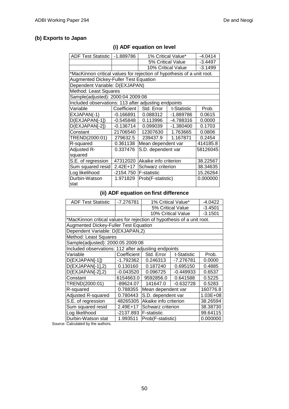### **(b) Exports to Japan**

## **(i) ADF equation on level**

| <b>ADF Test Statistic</b>                                              | -1.889786   | $-4.0414$<br>1% Critical Value* |                    |           |  |  |  |  |  |
|------------------------------------------------------------------------|-------------|---------------------------------|--------------------|-----------|--|--|--|--|--|
|                                                                        |             | 5% Critical Value               | $-3.4497$          |           |  |  |  |  |  |
|                                                                        |             |                                 | 10% Critical Value | $-3.1499$ |  |  |  |  |  |
| *MacKinnon critical values for rejection of hypothesis of a unit root. |             |                                 |                    |           |  |  |  |  |  |
| Augmented Dickey-Fuller Test Equation                                  |             |                                 |                    |           |  |  |  |  |  |
| Dependent Variable: D(EXJAPAN)                                         |             |                                 |                    |           |  |  |  |  |  |
| Method: Least Squares                                                  |             |                                 |                    |           |  |  |  |  |  |
| Sample(adjusted): 2000:04 2009:08                                      |             |                                 |                    |           |  |  |  |  |  |
| Included observations: 113 after adjusting endpoints                   |             |                                 |                    |           |  |  |  |  |  |
| Variable                                                               | Coefficient | Std. Error                      | t-Statistic        | Prob.     |  |  |  |  |  |
| EXJAPAN(-1)                                                            | -0.166891   | 0.088312                        | -1.889786          | 0.0615    |  |  |  |  |  |
| D(EXJAPAN[-1])                                                         | $-0.545848$ | 0.113996                        | -4.788316          | 0.0000    |  |  |  |  |  |
| D(EXJAPAN[-2])                                                         | -0.136714   | 0.099039                        | $-1.380400$        | 0.1703    |  |  |  |  |  |
| Constant                                                               | 21706540    | 12307630                        | 1.763665           | 0.0806    |  |  |  |  |  |
| TREND(2000:01)                                                         | 279632.5    | 239437.9                        | 1.167871           | 0.2454    |  |  |  |  |  |
| R-squared                                                              | 0.361138    | Mean dependent var              |                    | 414185.8  |  |  |  |  |  |
| Adjusted R-                                                            | 0.337476    | S.D. dependent var              |                    | 58126045  |  |  |  |  |  |
| squared                                                                |             |                                 |                    |           |  |  |  |  |  |
| S.E. of regression                                                     | 47312020    | Akaike info criterion           |                    | 38.22567  |  |  |  |  |  |
| Sum squared resid                                                      | $2.42E+17$  | Schwarz criterion<br>38.34635   |                    |           |  |  |  |  |  |
| Log likelihood                                                         | -2154.750   | <b>F-statistic</b><br>15.26264  |                    |           |  |  |  |  |  |
| Durbin-Watson                                                          | 1.971829    | Prob(F-statistic)               |                    | 0.000000  |  |  |  |  |  |
| stat                                                                   |             |                                 |                    |           |  |  |  |  |  |

#### **(ii) ADF equation on first difference**

| <b>ADF Test Statistic</b>                                              | -7.276781                                    |                                   | 1% Critical Value*<br>$-4.0422$ |           |  |  |  |  |  |
|------------------------------------------------------------------------|----------------------------------------------|-----------------------------------|---------------------------------|-----------|--|--|--|--|--|
|                                                                        |                                              | 5% Critical Value                 | $-3.4501$                       |           |  |  |  |  |  |
|                                                                        |                                              |                                   | 10% Critical Value              | $-3.1501$ |  |  |  |  |  |
| *MacKinnon critical values for rejection of hypothesis of a unit root. |                                              |                                   |                                 |           |  |  |  |  |  |
|                                                                        | <b>Augmented Dickey-Fuller Test Equation</b> |                                   |                                 |           |  |  |  |  |  |
| Dependent Variable: D(EXJAPAN,2)                                       |                                              |                                   |                                 |           |  |  |  |  |  |
| Method: Least Squares                                                  |                                              |                                   |                                 |           |  |  |  |  |  |
|                                                                        | Sample(adjusted): 2000:05 2009:08            |                                   |                                 |           |  |  |  |  |  |
| Included observations: 112 after adjusting endpoints                   |                                              |                                   |                                 |           |  |  |  |  |  |
| Variable                                                               | Coefficient                                  | Std. Error                        | t-Statistic                     | Prob.     |  |  |  |  |  |
| D(EXJAPAN[-1])                                                         | -1.792362                                    | 0.246313                          | -7.276781                       | 0.0000    |  |  |  |  |  |
| D(EXJAPAN[-1],2)                                                       | 0.130160                                     | 0.187240                          | 0.695150                        | 0.4885    |  |  |  |  |  |
| D(EXJAPAN[-2],2)                                                       | $-0.043520$                                  | 0.096725                          | $-0.449933$                     | 0.6537    |  |  |  |  |  |
| Constant                                                               | 6154663.0                                    | 9592856.0                         | 0.641588                        | 0.5225    |  |  |  |  |  |
| TREND(2000:01)                                                         | -89624.07                                    | 141647.0                          | $-0.632728$                     | 0.5283    |  |  |  |  |  |
| R-squared                                                              | 0.788355                                     | Mean dependent var                |                                 | 160776.8  |  |  |  |  |  |
| Adjusted R-squared                                                     | 0.780443                                     | S.D. dependent var                |                                 | 1.03E+08  |  |  |  |  |  |
| S.E. of regression                                                     | 48265305                                     | Akaike info criterion<br>38.26594 |                                 |           |  |  |  |  |  |
| Sum squared resid                                                      | 2.49E+17                                     | Schwarz criterion<br>38.38730     |                                 |           |  |  |  |  |  |
| Log likelihood                                                         | -2137.893                                    | <b>F-statistic</b>                |                                 | 99.64115  |  |  |  |  |  |
| Durbin-Watson stat                                                     | 1.993511                                     | Prob(F-statistic)                 |                                 | 0.000000  |  |  |  |  |  |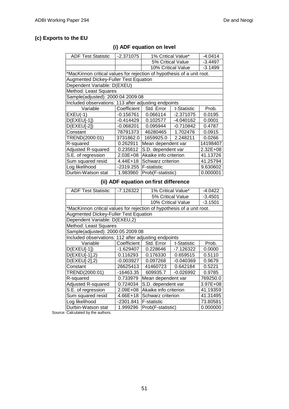4497  $1499$ 

#### **(c) Exports to the EU**

| <b>ADF Test Statistic</b>                                              | $-2.371075$ | $-4.0414$<br>1% Critical Value*        |                    |           |  |
|------------------------------------------------------------------------|-------------|----------------------------------------|--------------------|-----------|--|
|                                                                        |             |                                        | 5% Critical Value  |           |  |
|                                                                        |             |                                        | 10% Critical Value | $-3.1499$ |  |
| *MacKinnon critical values for rejection of hypothesis of a unit root. |             |                                        |                    |           |  |
| <b>Augmented Dickey-Fuller Test Equation</b>                           |             |                                        |                    |           |  |
| Dependent Variable: D(EXEU)                                            |             |                                        |                    |           |  |
| Method: Least Squares                                                  |             |                                        |                    |           |  |
| Sample(adjusted): 2000:04 2009:08                                      |             |                                        |                    |           |  |
| Included observations: 113 after adjusting endpoints                   |             |                                        |                    |           |  |
| Variable                                                               |             | Coefficient   Std. Error   t-Statistic |                    | Prob.     |  |

EXEU(-1) -0.156761 0.066114 -2.371075 0.0195

D(EXEU[-2])  $\vert$  -0.068201 0.095944 -0.710842 0.4787 Constant 78791373 46280465 1.702476 0.0915 TREND(2000:01) 3731862.0 1659925.0 2.248211 0.0266 R-squared **0.262911** Mean dependent var 14198407 Adjusted R-squared  $\vert$  0.235612 S.D. dependent var  $\vert$  2.32E+08 S.E. of regression 2.03E+08 Akaike info criterion 41.13726<br>Sum squared resid 4.44E+18 Schwarz criterion 41.25794 4.44E+18 Schwarz criterion Log likelihood -2319.255 F-statistic 9.630602 Durbin-Watson stat 1.983960 Prob(F-statistic) 0.000001

D(EXEU[-1]) -0.414429 0.102577 -4.040162 0.0001

#### **(i) ADF equation on level**

#### **(ii) ADF equation on first difference**

| <b>ADF Test Statistic</b>                                              | -7.126322   |                                   | 1% Critical Value* | $-4.0422$ |  |  |  |  |
|------------------------------------------------------------------------|-------------|-----------------------------------|--------------------|-----------|--|--|--|--|
|                                                                        |             | 5% Critical Value                 | $-3.4501$          |           |  |  |  |  |
|                                                                        |             |                                   | 10% Critical Value | $-3.1501$ |  |  |  |  |
| *MacKinnon critical values for rejection of hypothesis of a unit root. |             |                                   |                    |           |  |  |  |  |
| <b>Augmented Dickey-Fuller Test Equation</b>                           |             |                                   |                    |           |  |  |  |  |
| Dependent Variable: D(EXEU,2)                                          |             |                                   |                    |           |  |  |  |  |
| Method: Least Squares                                                  |             |                                   |                    |           |  |  |  |  |
| Sample(adjusted): 2000:05 2009:08                                      |             |                                   |                    |           |  |  |  |  |
| Included observations: 112 after adjusting endpoints                   |             |                                   |                    |           |  |  |  |  |
| Variable                                                               | Coefficient | Std. Error                        | t-Statistic        | Prob.     |  |  |  |  |
| $D(EXEUI-1)$                                                           | -1.629407   | 0.228646                          | -7.126322          | 0.0000    |  |  |  |  |
| D(EXEU[-1],2)                                                          | 0.116293    | 0.176330                          | 0.659515           | 0.5110    |  |  |  |  |
| D(EXEU[-2],2)                                                          | $-0.003927$ | 0.097268                          | $-0.040369$        | 0.9679    |  |  |  |  |
| Constant                                                               | 26625413    | 41460723                          | 0.642184           | 0.5221    |  |  |  |  |
| TREND(2000:01)                                                         | -16463.35   | 609935.7                          | $-0.026992$        | 0.9785    |  |  |  |  |
| R-squared                                                              | 0.733979    | Mean dependent var                |                    | 769250.0  |  |  |  |  |
| Adjusted R-squared                                                     | 0.724034    | S.D. dependent var                |                    | 3.97E+08  |  |  |  |  |
| S.E. of regression                                                     | 2.09E+08    | Akaike info criterion<br>41.19359 |                    |           |  |  |  |  |
| Sum squared resid                                                      | 4.66E+18    | 41.31495<br>Schwarz criterion     |                    |           |  |  |  |  |
| Log likelihood                                                         | -2301.841   | 73.80581<br><b>F-statistic</b>    |                    |           |  |  |  |  |
| Durbin-Watson stat                                                     | 1.999296    | Prob(F-statistic)                 |                    | 0.000000  |  |  |  |  |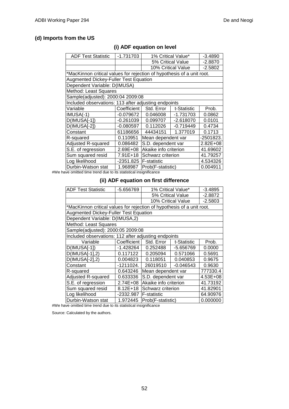### **(d) Imports from the US**

| <b>ADF Test Statistic</b>                                              | $-1.731703$   | 1% Critical Value*    |                    | $-3.4890$ |  |
|------------------------------------------------------------------------|---------------|-----------------------|--------------------|-----------|--|
|                                                                        |               | 5% Critical Value     |                    | $-2.8870$ |  |
|                                                                        |               |                       | 10% Critical Value | $-2.5802$ |  |
| *MacKinnon critical values for rejection of hypothesis of a unit root. |               |                       |                    |           |  |
| Augmented Dickey-Fuller Test Equation                                  |               |                       |                    |           |  |
| Dependent Variable: D(IMUSA)                                           |               |                       |                    |           |  |
| Method: Least Squares                                                  |               |                       |                    |           |  |
| Sample(adjusted): 2000:04 2009:08                                      |               |                       |                    |           |  |
| Included observations: 113 after adjusting endpoints                   |               |                       |                    |           |  |
| Variable                                                               | Coefficient I | Std. Error            | t-Statistic        | Prob.     |  |
| $IMUSA(-1)$                                                            | $-0.079672$   | 0.046008              | $-1.731703$        | 0.0862    |  |
| D(IMUSA[-1])                                                           | $-0.261039$   | 0.099707              | $-2.618070$        | 0.0101    |  |
| D(IMUSA[-2])                                                           | $-0.080597$   | 0.112026              | $-0.719449$        | 0.4734    |  |
| Constant                                                               | 61186656      | 44434151              | 1.377019           | 0.1713    |  |
| R-squared                                                              | 0.110951      | Mean dependent var    | -2501823.          |           |  |
| Adjusted R-squared                                                     | 0.086482      | S.D. dependent var    | 2.82E+08           |           |  |
| S.E. of regression                                                     | 2.69E+08      | Akaike info criterion | 41.69602           |           |  |
| Sum squared resid                                                      | 7.91E+18      | Schwarz criterion     | 41.79257           |           |  |
| Log likelihood                                                         | -2351.825     | <b>F-statistic</b>    | 4.534326           |           |  |
| Durbin-Watson stat                                                     | 1.968987      | Prob(F-statistic)     |                    | 0.004911  |  |
|                                                                        |               |                       |                    |           |  |

### **(i) ADF equation on level**

#We have omitted time trend due to its statistical insignificance

#### **(ii) ADF equation on first difference**

| <b>ADF Test Statistic</b>                                              | -5.656769   | 1% Critical Value*<br>$-3.4895$ |                    |           |  |
|------------------------------------------------------------------------|-------------|---------------------------------|--------------------|-----------|--|
|                                                                        |             | 5% Critical Value               |                    | $-2.8872$ |  |
|                                                                        |             |                                 | 10% Critical Value | $-2.5803$ |  |
| *MacKinnon critical values for rejection of hypothesis of a unit root. |             |                                 |                    |           |  |
| <b>Augmented Dickey-Fuller Test Equation</b>                           |             |                                 |                    |           |  |
| Dependent Variable: D(IMUSA,2)                                         |             |                                 |                    |           |  |
| Method: Least Squares                                                  |             |                                 |                    |           |  |
| Sample(adjusted): 2000:05 2009:08                                      |             |                                 |                    |           |  |
| Included observations: 112 after adjusting endpoints                   |             |                                 |                    |           |  |
| Variable                                                               | Coefficient | Std. Error                      | t-Statistic        | Prob.     |  |
| D(IMUSA[-1])                                                           | -1.428264   | 0.252488                        | -5.656769          | 0.0000    |  |
| D(IMUSA[-1],2)                                                         | 0.117122    | 0.205094                        | 0.571066           | 0.5691    |  |
| D(IMUSA[-2],2)                                                         | 0.004823    | 0.118051                        | 0.040853           | 0.9675    |  |
| Constant                                                               | -1211024.   | 26019510                        | $-0.046543$        | 0.9630    |  |
| R-squared                                                              | 0.643246    | Mean dependent var              |                    | 777330.4  |  |
| Adjusted R-squared                                                     | 0.633336    | S.D. dependent var              |                    | 4.53E+08  |  |
| S.E. of regression                                                     | 2.74E+08    | Akaike info criterion           | 41.73192           |           |  |
| Sum squared resid                                                      | 8.12E+18    | Schwarz criterion               | 41.82901           |           |  |
| Log likelihood                                                         | -2332.987   | F-statistic                     |                    | 64.90976  |  |
| Durbin-Watson stat                                                     | 1.972445    | Prob(F-statistic)               |                    | 0.000000  |  |

#We have omitted time trend due to its statistical insignificance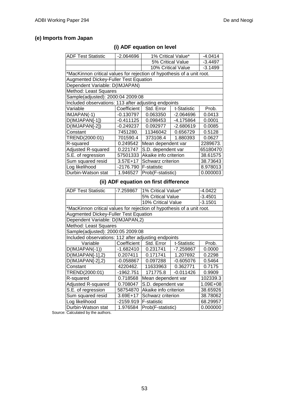### **(e) Imports from Japan**

## **(i) ADF equation on level**

| <b>ADF Test Statistic</b>                                              | $-2.064696$                                  | 1% Critical Value*    | $-4.0414$          |           |  |  |
|------------------------------------------------------------------------|----------------------------------------------|-----------------------|--------------------|-----------|--|--|
|                                                                        |                                              |                       | 5% Critical Value  | $-3.4497$ |  |  |
|                                                                        |                                              |                       | 10% Critical Value | $-3.1499$ |  |  |
| *MacKinnon critical values for rejection of hypothesis of a unit root. |                                              |                       |                    |           |  |  |
|                                                                        | <b>Augmented Dickey-Fuller Test Equation</b> |                       |                    |           |  |  |
| Dependent Variable: D(IMJAPAN)                                         |                                              |                       |                    |           |  |  |
| Method: Least Squares                                                  |                                              |                       |                    |           |  |  |
| Sample(adjusted): 2000:04 2009:08                                      |                                              |                       |                    |           |  |  |
| Included observations: 113 after adjusting endpoints                   |                                              |                       |                    |           |  |  |
| Variable                                                               | Coefficient                                  | Std. Error            | t-Statistic        | Prob.     |  |  |
| IMJAPAN(-1)                                                            | $-0.130797$                                  | 0.063350              | -2.064696          | 0.0413    |  |  |
| D(IMJAPAN[-1])                                                         | $-0.411125$                                  | 0.098453              | -4.175864          | 0.0001    |  |  |
| D(IMJAPAN[-2])                                                         | -0.249237                                    | 0.092977              | -2.680619          | 0.0085    |  |  |
| Constant                                                               | 7451280.                                     | 11346042              | 0.656729           | 0.5128    |  |  |
| TREND(2000:01)                                                         | 701590.4                                     | 373108.4              | 1.880393           | 0.0627    |  |  |
| R-squared                                                              | 0.249542                                     | Mean dependent var    |                    | 2289673.  |  |  |
| Adjusted R-squared                                                     | 0.221747                                     | S.D. dependent var    |                    | 65180470  |  |  |
| S.E. of regression                                                     | 57501333                                     | Akaike info criterion | 38.61575           |           |  |  |
| Sum squared resid                                                      | $3.57E+17$                                   | Schwarz criterion     | 38.73643           |           |  |  |
| Log likelihood                                                         | -2176.790                                    | <b>F-statistic</b>    |                    | 8.978013  |  |  |
| Durbin-Watson stat                                                     | 1.946527                                     | Prob(F-statistic)     |                    | 0.000003  |  |  |

## **(ii) ADF equation on first difference**

| ADF Test Statistic                                                     | -7.259867   | 1% Critical Value*    |             | -4.0422   |  |
|------------------------------------------------------------------------|-------------|-----------------------|-------------|-----------|--|
|                                                                        |             | 5% Critical Value     |             | $-3.4501$ |  |
|                                                                        |             | 10% Critical Value    |             | $-3.1501$ |  |
| *MacKinnon critical values for rejection of hypothesis of a unit root. |             |                       |             |           |  |
| <b>Augmented Dickey-Fuller Test Equation</b>                           |             |                       |             |           |  |
| Dependent Variable: D(IMJAPAN,2)                                       |             |                       |             |           |  |
| Method: Least Squares                                                  |             |                       |             |           |  |
| Sample(adjusted): 2000:05 2009:08                                      |             |                       |             |           |  |
| Included observations: 112 after adjusting endpoints                   |             |                       |             |           |  |
| Variable                                                               | Coefficient | Std. Error            | t-Statistic | Prob.     |  |
| $D(IMJAPAN(-1))$                                                       | $-1.682410$ | 0.231741              | -7.259867   | 0.0000    |  |
| $D(IMJAPAN[-1],2)$                                                     | 0.207411    | 0.171741              | 1.207692    | 0.2298    |  |
| $D(IMJAPAN[-2],2)$                                                     | -0.058867   | 0.097288              | $-0.605076$ | 0.5464    |  |
| Constant                                                               | 4220462.    | 11633963              | 0.362771    | 0.7175    |  |
| TREND(2000:01)                                                         | -1962.751   | 171775.8              | $-0.011426$ | 0.9909    |  |
| R-squared                                                              | 0.718568    | Mean dependent var    |             | 102339.3  |  |
| Adjusted R-squared                                                     | 0.708047    | S.D. dependent var    |             | 1.09E+08  |  |
| S.E. of regression                                                     | 58754870    | Akaike info criterion | 38.65926    |           |  |
| Sum squared resid                                                      | 3.69E+17    | Schwarz criterion     | 38.78062    |           |  |
| Log likelihood                                                         | $-2159.919$ | <b>F-statistic</b>    |             | 68.29957  |  |
| Durbin-Watson stat                                                     | 1.976584    | Prob(F-statistic)     |             | 0.000000  |  |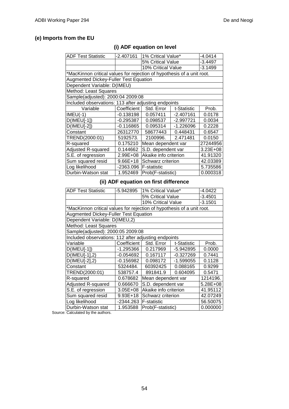### **(e) Imports from the EU**

| <b>ADF Test Statistic</b>                                              | $-2.407161$   | 1% Critical Value*    |             | $-4.0414$ |  |
|------------------------------------------------------------------------|---------------|-----------------------|-------------|-----------|--|
|                                                                        |               | 5% Critical Value     |             | $-3.4497$ |  |
|                                                                        |               | 10% Critical Value    |             | $-3.1499$ |  |
| *MacKinnon critical values for rejection of hypothesis of a unit root. |               |                       |             |           |  |
| Augmented Dickey-Fuller Test Equation                                  |               |                       |             |           |  |
| Dependent Variable: D(IMEU)                                            |               |                       |             |           |  |
| Method: Least Squares                                                  |               |                       |             |           |  |
| Sample(adjusted): 2000:04 2009:08                                      |               |                       |             |           |  |
| Included observations: 113 after adjusting endpoints                   |               |                       |             |           |  |
| Variable                                                               | Coefficient I | Std. Error            | t-Statistic | Prob.     |  |
| $IMEU(-1)$                                                             | $-0.138198$   | 0.057411              | $-2.407161$ | 0.0178    |  |
| $D($ IMEU[-1])                                                         | $-0.295387$   | 0.098537              | -2.997721   | 0.0034    |  |
| $D($ IMEU[-2])                                                         | $-0.116865$   | 0.095314              | -1.226096   | 0.2228    |  |
| Constant                                                               | 26312770      | 58677443              | 0.448431    | 0.6547    |  |
| TREND(2000:01)                                                         | 5192573.      | 2100996.              | 2.471481    | 0.0150    |  |
| R-squared                                                              | 0.175210      | Mean dependent var    |             | 27244956  |  |
| Adjusted R-squared                                                     | 0.144662      | S.D. dependent var    |             | 3.23E+08  |  |
| S.E. of regression                                                     | 2.99E+08      | Akaike info criterion | 41.91320    |           |  |
| Sum squared resid                                                      | 9.66E+18      | Schwarz criterion     | 42.03389    |           |  |
| Log likelihood                                                         | -2363.096     | <b>F-statistic</b>    |             | 5.735586  |  |
| Durbin-Watson stat                                                     | 1.952469      | Prob(F-statistic)     |             | 0.000318  |  |

## **(i) ADF equation on level**

### **(ii) ADF equation on first difference**

| ADF Test Statistic                                                     | -5.942895     | 1% Critical Value*    | -4.0422     |           |  |
|------------------------------------------------------------------------|---------------|-----------------------|-------------|-----------|--|
|                                                                        |               | 5% Critical Value     |             | $-3.4501$ |  |
|                                                                        |               | 10% Critical Value    |             | $-3.1501$ |  |
| *MacKinnon critical values for rejection of hypothesis of a unit root. |               |                       |             |           |  |
| <b>Augmented Dickey-Fuller Test Equation</b>                           |               |                       |             |           |  |
| Dependent Variable: D(IMEU,2)                                          |               |                       |             |           |  |
| Method: Least Squares                                                  |               |                       |             |           |  |
| Sample(adjusted): 2000:05 2009:08                                      |               |                       |             |           |  |
| Included observations: 112 after adjusting endpoints                   |               |                       |             |           |  |
| Variable                                                               | Coefficient I | Std. Error            | t-Statistic | Prob.     |  |
| $D($ IMEU[-1])                                                         | -1.295366     | 0.217969              | -5.942895   | 0.0000    |  |
| D(IMEU[-1],2)                                                          | $-0.054692$   | 0.167117              | $-0.327269$ | 0.7441    |  |
| $D$ (IMEU[-2],2)                                                       | -0.156982     | 0.098172              | -1.599055   | 0.1128    |  |
| Constant                                                               | 5324484.      | 60392425              | 0.088165    | 0.9299    |  |
| TREND(2000:01)                                                         | 538757.4      | 891841.9              | 0.604095    | 0.5471    |  |
| R-squared                                                              | 0.678682      | Mean dependent var    |             | 1214196.  |  |
| Adjusted R-squared                                                     | 0.666670      | S.D. dependent var    | 5.28E+08    |           |  |
| S.E. of regression                                                     | $3.05E + 08$  | Akaike info criterion | 41.95112    |           |  |
| Sum squared resid                                                      | 9.93E+18      | Schwarz criterion     | 42.07249    |           |  |
| Log likelihood                                                         | -2344.263     | <b>F-statistic</b>    | 56.50075    |           |  |
| Durbin-Watson stat                                                     | 1.953588      | Prob(F-statistic)     |             | 0.000000  |  |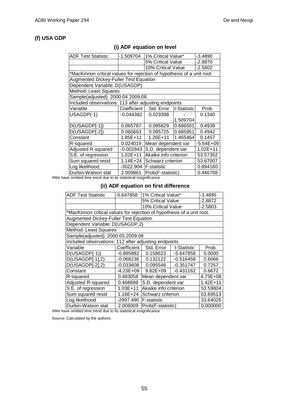#### **(f) USA GDP**

#### **(i) ADF equation on level**

| <b>ADF Test Statistic</b>                                              | -1.509704    | 1% Critical Value*                |             | $-3.4890$ |  |  |
|------------------------------------------------------------------------|--------------|-----------------------------------|-------------|-----------|--|--|
|                                                                        |              | 5% Critical Value                 |             | -2.8870   |  |  |
|                                                                        |              | 10% Critical Value                |             | $-2.5802$ |  |  |
| *MacKinnon critical values for rejection of hypothesis of a unit root. |              |                                   |             |           |  |  |
| <b>Augmented Dickey-Fuller Test Equation</b>                           |              |                                   |             |           |  |  |
| Dependent Variable: D(USAGDP)                                          |              |                                   |             |           |  |  |
| Method: Least Squares                                                  |              |                                   |             |           |  |  |
| Sample(adjusted): 2000:04 2009:08                                      |              |                                   |             |           |  |  |
| Included observations: 113 after adjusting endpoints                   |              |                                   |             |           |  |  |
| Variable                                                               | Coefficient  | Std. Error                        | t-Statistic | Prob.     |  |  |
| USAGDP(-1)                                                             | -0.044382 l  | 0.029398                          |             | 0.1340    |  |  |
|                                                                        |              |                                   | 1.509704    |           |  |  |
| D(USAGDP[-1])                                                          | 0.065787     | 0.095829                          | 0.686501    | 0.4939    |  |  |
| D(USAGDP[-2])                                                          | 0.065663     | 0.095725                          | 0.685951    | 0.4942    |  |  |
| Constant                                                               | 1.85E+11     | 1.26E+11                          | 1.465464    | 0.1457    |  |  |
| R-squared                                                              | 0.024019     | Mean dependent var                |             | -5.54E+09 |  |  |
| Adjusted R-squared                                                     | $-0.002843$  | S.D. dependent var                |             | 1.02E+11  |  |  |
| S.E. of regression                                                     | $1.02E + 11$ | Akaike info criterion<br>53.57352 |             |           |  |  |
| Sum squared resid                                                      | $1.14E + 24$ | 53.67007<br>Schwarz criterion     |             |           |  |  |
| Log likelihood                                                         | -3022.904    | 0.894160<br><b>F-statistic</b>    |             |           |  |  |
| Durbin-Watson stat                                                     | 2.009861     | Prob(F-statistic)                 |             | 0.446708  |  |  |
|                                                                        |              |                                   |             |           |  |  |

#We have omitted time trend due to its statistical insignificance

#### **(ii) ADF equation on first difference**

| <b>ADF Test Statistic</b>                                              | -5.647858   | 1% Critical Value*                |             | $-3.4895$    |  |
|------------------------------------------------------------------------|-------------|-----------------------------------|-------------|--------------|--|
|                                                                        |             | 5% Critical Value                 |             | -2.8872      |  |
|                                                                        |             | 10% Critical Value                |             | $-2.5803$    |  |
| *MacKinnon critical values for rejection of hypothesis of a unit root. |             |                                   |             |              |  |
| <b>Augmented Dickey-Fuller Test Equation</b>                           |             |                                   |             |              |  |
| Dependent Variable: D(USAGDP,2)                                        |             |                                   |             |              |  |
| Method: Least Squares                                                  |             |                                   |             |              |  |
| Sample(adjusted): 2000:05 2009:08                                      |             |                                   |             |              |  |
| Included observations: 112 after adjusting endpoints                   |             |                                   |             |              |  |
| Variable                                                               | Coefficient | Std. Error                        | t-Statistic | Prob.        |  |
| $D(USAGDP(-1))$                                                        | -0.895882   | 0.158623                          | -5.647858   | 0.0000       |  |
| $D(USAGDP[-1], 2)$                                                     | $-0.068236$ | 0.132122                          | $-0.516458$ | 0.6066       |  |
| $D(USAGDP[-2], 2)$                                                     | $-0.033608$ | 0.095546                          | $-0.351747$ | 0.7257       |  |
| Constant                                                               | -4.23E+09   | $9.82E + 09$                      | $-0.431162$ | 0.6672       |  |
| R-squared                                                              | 0.483058    | Mean dependent var                |             | 4.73E+08     |  |
| <b>Adjusted R-squared</b>                                              | 0.468698    | S.D. dependent var                |             | $1.42E + 11$ |  |
| S.E. of regression                                                     | 1.03E+11    | Akaike info criterion<br>53.59804 |             |              |  |
| Sum squared resid                                                      | 1.16E+24    | Schwarz criterion                 | 53.69513    |              |  |
| Log likelihood                                                         | -2997.490   | <b>F-statistic</b>                | 33.64026    |              |  |
| Durbin-Watson stat                                                     | 2.006009    | Prob(F-statistic)<br>0.000000     |             |              |  |

#We have omitted time trend due to its statistical insignificance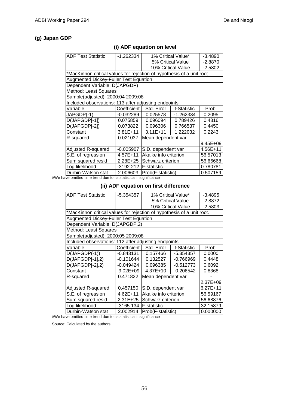### **(g) Japan GDP**

### **(i) ADF equation on level**

| <b>ADF Test Statistic</b>                                              | -1.262334     |                       | 1% Critical Value* | $-3.4890$ |  |
|------------------------------------------------------------------------|---------------|-----------------------|--------------------|-----------|--|
|                                                                        |               | 5% Critical Value     |                    | $-2.8870$ |  |
|                                                                        |               |                       | 10% Critical Value | $-2.5802$ |  |
| *MacKinnon critical values for rejection of hypothesis of a unit root. |               |                       |                    |           |  |
| <b>Augmented Dickey-Fuller Test Equation</b>                           |               |                       |                    |           |  |
| Dependent Variable: D(JAPGDP)                                          |               |                       |                    |           |  |
| Method: Least Squares                                                  |               |                       |                    |           |  |
| Sample(adjusted): 2000:04 2009:08                                      |               |                       |                    |           |  |
| Included observations: 113 after adjusting endpoints                   |               |                       |                    |           |  |
| Variable                                                               | Coefficient I | Std. Error            | t-Statistic        | Prob.     |  |
| JAPGDP(-1)                                                             | $-0.032289$   | 0.025578              | -1.262334          | 0.2095    |  |
| D(JAPGDP[-1])                                                          | 0.075859      | 0.096094              | 0.789426           | 0.4316    |  |
| D(JAPGDP[-2])                                                          | 0.073822      | 0.096306              | 0.766537           | 0.4450    |  |
| Constant                                                               | $3.81E + 11$  | $3.11E + 11$          | 0.2243             |           |  |
| R-squared                                                              | 0.021037      | Mean dependent var    |                    |           |  |
|                                                                        |               |                       |                    | 9.45E+09  |  |
| Adjusted R-squared                                                     | $-0.005907$   | S.D. dependent var    |                    | 4.56E+11  |  |
| S.E. of regression                                                     | 4.57E+11      | Akaike info criterion |                    | 56.57013  |  |
| Sum squared resid                                                      | 2.28E+25      | Schwarz criterion     | 56.66668           |           |  |
| Log likelihood                                                         | -3192.212     | <b>F-statistic</b>    | 0.780781           |           |  |
| Durbin-Watson stat                                                     | 2.006603      | Prob(F-statistic)     |                    | 0.507159  |  |
|                                                                        |               |                       |                    |           |  |

#We have omitted time trend due to its statistical insignificance

#### **(ii) ADF equation on first difference**

| <b>ADF Test Statistic</b>                                              | $-5.354357$   | 1% Critical Value*<br>$-3.4895$ |                    |           |  |
|------------------------------------------------------------------------|---------------|---------------------------------|--------------------|-----------|--|
|                                                                        |               | 5% Critical Value               |                    | $-2.8872$ |  |
|                                                                        |               |                                 | 10% Critical Value | $-2.5803$ |  |
| *MacKinnon critical values for rejection of hypothesis of a unit root. |               |                                 |                    |           |  |
| <b>Augmented Dickey-Fuller Test Equation</b>                           |               |                                 |                    |           |  |
| Dependent Variable: D(JAPGDP,2)                                        |               |                                 |                    |           |  |
| Method: Least Squares                                                  |               |                                 |                    |           |  |
| Sample(adjusted): 2000:05 2009:08                                      |               |                                 |                    |           |  |
| Included observations: 112 after adjusting endpoints                   |               |                                 |                    |           |  |
| Variable                                                               | Coefficient I | Std. Error                      | t-Statistic        | Prob.     |  |
| $D(JAPGDP(-1))$                                                        | $-0.843131$   | 0.157466                        | $-5.354357$        | 0.0000    |  |
| $D(JAPGDP[-1],2)$                                                      | -0.101644     | 0.132527                        | $-0.766969$        | 0.4448    |  |
| D(JAPGDP[-2],2)                                                        | -0.049424     | 0.096385                        | $-0.512773$        | 0.6092    |  |
| Constant                                                               | $-9.02E + 09$ | 4.37E+10                        | $-0.206542$        | 0.8368    |  |
| R-squared                                                              | 0.471822      | Mean dependent var              |                    |           |  |
|                                                                        |               |                                 |                    | 2.37E+09  |  |
| Adjusted R-squared                                                     | 0.457150      | S.D. dependent var              |                    | 6.27E+11  |  |
| S.E. of regression                                                     | 4.62E+11      | Akaike info criterion           |                    | 56.59167  |  |
| Sum squared resid                                                      | 2.31E+25      | Schwarz criterion               | 56.68876           |           |  |
| Log likelihood                                                         | -3165.134     | <b>F-statistic</b>              |                    | 32.15879  |  |
| Durbin-Watson stat                                                     | 2.002914      | Prob(F-statistic)               |                    | 0.000000  |  |

#We have omitted time trend due to its statistical insignificance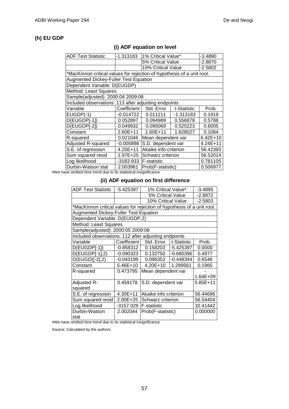#### **(h) EU GDP**

| <b>ADF Test Statistic</b>                                              | -1.313183     | 1% Critical Value*    | -3.4890     |            |  |
|------------------------------------------------------------------------|---------------|-----------------------|-------------|------------|--|
|                                                                        |               | 5% Critical Value     |             | -2.8870    |  |
|                                                                        |               | 10% Critical Value    |             | -2.5802    |  |
| *MacKinnon critical values for rejection of hypothesis of a unit root. |               |                       |             |            |  |
| <b>Augmented Dickey-Fuller Test Equation</b>                           |               |                       |             |            |  |
| Dependent Variable: D(EUGDP)                                           |               |                       |             |            |  |
| Method: Least Squares                                                  |               |                       |             |            |  |
| Sample(adjusted): 2000:04 2009:08                                      |               |                       |             |            |  |
| Included observations: 113 after adjusting endpoints                   |               |                       |             |            |  |
| Variable                                                               | Coefficient I | Std. Error            | t-Statistic | Prob.      |  |
| $EUGDP(-1)$                                                            | -0.014722     | 0.011211              | $-1.313183$ | 0.1919     |  |
| D(EUGDP[-1])                                                           | 0.052897      | 0.094989              | 0.556878    | 0.5788     |  |
| D(EUGDP[-2])                                                           | 0.049932      | 0.095069              | 0.525223    | 0.6005     |  |
| Constant                                                               | 2.60E+11      | 1.60E+11              | 1.628027    | 0.1064     |  |
| R-squared                                                              | 0.021046      | Mean dependent var    |             | $6.42E+10$ |  |
| Adjusted R-squared                                                     | $-0.005898$   | S.D. dependent var    |             | $4.24E+11$ |  |
| S.E. of regression                                                     | 4.25E+11      | Akaike info criterion | 56.42360    |            |  |
| Sum squared resid                                                      | 1.97E+25      | Schwarz criterion     | 56.52014    |            |  |
| Log likelihood                                                         | -3183.933     | <b>F-statistic</b>    | 0.781105    |            |  |
| Durbin-Watson stat                                                     | 2.003961      | Prob(F-statistic)     |             | 0.506977   |  |

#### **(i) ADF equation on level**

#We have omitted time trend due to its statistical insignificance

#### **(ii) ADF equation on first difference**

| <b>ADF Test Statistic</b>                                              | $-5.425397$ | 1% Critical Value*<br>$-3.4895$   |             |           |  |
|------------------------------------------------------------------------|-------------|-----------------------------------|-------------|-----------|--|
|                                                                        |             | 5% Critical Value                 |             | -2.8872   |  |
|                                                                        |             | 10% Critical Value                |             | $-2.5803$ |  |
| *MacKinnon critical values for rejection of hypothesis of a unit root. |             |                                   |             |           |  |
| <b>Augmented Dickey-Fuller Test Equation</b>                           |             |                                   |             |           |  |
| Dependent Variable: D(EUGDP,2)                                         |             |                                   |             |           |  |
| Method: Least Squares                                                  |             |                                   |             |           |  |
| Sample(adjusted): 2000:05 2009:08                                      |             |                                   |             |           |  |
| Included observations: 112 after adjusting endpoints                   |             |                                   |             |           |  |
| Variable                                                               | Coefficient | Std. Error                        | t-Statistic | Prob.     |  |
| D(EUGDP[-1])                                                           | -0.858312   | 0.158203                          | -5.425397   | 0.0000    |  |
| D(EUGDP[-1],2)                                                         | $-0.090323$ | 0.132750                          | $-0.680396$ | 0.4977    |  |
| D(EUGD([-2],2)                                                         | -0.043199   | 0.096353                          | $-0.448344$ | 0.6548    |  |
| Constant                                                               | 5.46E+10    | 4.20E+10                          | 1.299561    | 0.1965    |  |
| R-squared                                                              | 0.473795    | Mean dependent var                |             |           |  |
|                                                                        |             |                                   |             | 1.64E+09  |  |
| Adjusted R-                                                            | 0.459178    | S.D. dependent var                |             | 5.85E+11  |  |
| squared                                                                |             |                                   |             |           |  |
| S.E. of regression                                                     | 4.30E+11    | Akaike info criterion<br>56.44696 |             |           |  |
| Sum squared resid                                                      | 2.00E+25    | Schwarz criterion                 |             | 56.54404  |  |
| Log likelihood                                                         | $-3157.029$ | <b>F-statistic</b>                | 32.41442    |           |  |
| Durbin-Watson<br>stat                                                  | 2.002044    | Prob(F-statistic)                 |             | 0.000000  |  |

#We have omitted time trend due to its statistical insignificance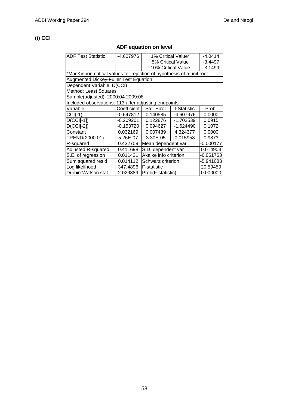## **(i) CCI**

## **ADF equation on level**

| <b>ADF Test Statistic</b>                                              | -4.607976   |                                      | 1% Critical Value* | $-4.0414$   |  |  |
|------------------------------------------------------------------------|-------------|--------------------------------------|--------------------|-------------|--|--|
|                                                                        |             |                                      | 5% Critical Value  | $-3.4497$   |  |  |
|                                                                        |             |                                      | 10% Critical Value | $-3.1499$   |  |  |
| *MacKinnon critical values for rejection of hypothesis of a unit root. |             |                                      |                    |             |  |  |
| Augmented Dickey-Fuller Test Equation                                  |             |                                      |                    |             |  |  |
| Dependent Variable: D(CCI)                                             |             |                                      |                    |             |  |  |
| Method: Least Squares                                                  |             |                                      |                    |             |  |  |
| Sample(adjusted): 2000:04 2009:08                                      |             |                                      |                    |             |  |  |
| Included observations: 113 after adjusting endpoints                   |             |                                      |                    |             |  |  |
| Variable                                                               | Coefficient | Std. Error                           | t-Statistic        | Prob.       |  |  |
| $CCI(-1)$                                                              | -0.647812   | 0.140585                             | -4.607976          | 0.0000      |  |  |
| $D(CCI[-1])$                                                           | $-0.209201$ | 0.122876                             | $-1.702539$        | 0.0915      |  |  |
| $D(CCI[-2])$                                                           | $-0.153720$ | 0.094627                             | $-1.624490$        | 0.1072      |  |  |
| Constant                                                               | 0.032169    | 0.007439                             | 4.324377           | 0.0000      |  |  |
| TREND(2000:01)                                                         | 5.26E-07    | 3.30E-05                             | 0.015958           | 0.9873      |  |  |
| R-squared                                                              | 0.432709    | Mean dependent var                   |                    | $-0.000177$ |  |  |
| Adjusted R-squared                                                     | 0.411698    | S.D. dependent var                   |                    | 0.014903    |  |  |
| S.E. of regression                                                     | 0.011431    | Akaike info criterion<br>$-6.061763$ |                    |             |  |  |
| Sum squared resid                                                      | 0.014112    | -5.941083<br>Schwarz criterion       |                    |             |  |  |
| Log likelihood                                                         | 347.4896    | <b>F-statistic</b>                   |                    | 20.59459    |  |  |
| Durbin-Watson stat                                                     | 2.029389    | Prob(F-statistic)                    |                    | 0.000000    |  |  |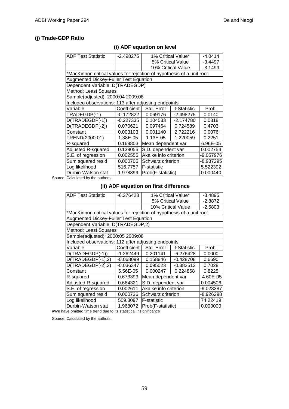### **(j) Trade-GDP Ratio**

| <b>ADF Test Statistic</b>                                              | $-2.498275$              | 1% Critical Value*    |             | $-4.0414$ |  |
|------------------------------------------------------------------------|--------------------------|-----------------------|-------------|-----------|--|
|                                                                        |                          | 5% Critical Value     |             | $-3.4497$ |  |
|                                                                        |                          | 10% Critical Value    |             | $-3.1499$ |  |
| *MacKinnon critical values for rejection of hypothesis of a unit root. |                          |                       |             |           |  |
| <b>Augmented Dickey-Fuller Test Equation</b>                           |                          |                       |             |           |  |
| Dependent Variable: D(TRADEGDP)                                        |                          |                       |             |           |  |
| Method: Least Squares                                                  |                          |                       |             |           |  |
| Sample(adjusted): 2000:04 2009:08                                      |                          |                       |             |           |  |
| Included observations: 113 after adjusting endpoints                   |                          |                       |             |           |  |
| Variable                                                               | Coefficient              | Std. Error            | t-Statistic | Prob.     |  |
| TRADEGDP(-1)                                                           | $-0.172822$              | 0.069176              | -2.498275   | 0.0140    |  |
| D(TRADEGDP[-1])                                                        | $-0.227335$              | 0.104533              | $-2.174780$ | 0.0318    |  |
| D(TRADEGDP[-2])                                                        | 0.070621                 | 0.097464              | 0.724589    | 0.4703    |  |
| Constant                                                               | 0.003103                 | 0.001140              | 2.722216    | 0.0076    |  |
| TREND(2000:01)                                                         | 1.38E-05                 | 1.13E-05              | 1.220059    | 0.2251    |  |
| R-squared                                                              | 0.169803                 | Mean dependent var    |             | 6.96E-05  |  |
| Adjusted R-squared                                                     | 0.139055                 | S.D. dependent var    |             | 0.002754  |  |
| S.E. of regression                                                     | 0.002555                 | Akaike info criterion |             | -9.057976 |  |
| Sum squared resid                                                      | <b>Schwarz criterion</b> |                       | -8.937295   |           |  |
| Log likelihood                                                         | 516.7757                 | <b>F-statistic</b>    |             | 5.522392  |  |
| Durbin-Watson stat                                                     | 1.978899                 | Prob(F-statistic)     |             | 0.000440  |  |

### **(i) ADF equation on level**

Source: Calculated by the authors.

#### **(ii) ADF equation on first difference**

| <b>ADF Test Statistic</b>                                              | $-6.276428$ | 1% Critical Value*<br>$-3.4895$ |                    |           |  |
|------------------------------------------------------------------------|-------------|---------------------------------|--------------------|-----------|--|
|                                                                        |             | 5% Critical Value               |                    | $-2.8872$ |  |
|                                                                        |             |                                 | 10% Critical Value | $-2.5803$ |  |
| *MacKinnon critical values for rejection of hypothesis of a unit root. |             |                                 |                    |           |  |
| <b>Augmented Dickey-Fuller Test Equation</b>                           |             |                                 |                    |           |  |
| Dependent Variable: D(TRADEGDP,2)                                      |             |                                 |                    |           |  |
| Method: Least Squares                                                  |             |                                 |                    |           |  |
| Sample(adjusted): 2000:05 2009:08                                      |             |                                 |                    |           |  |
| Included observations: 112 after adjusting endpoints                   |             |                                 |                    |           |  |
| Variable                                                               | Coefficient | Std. Error                      | t-Statistic        | Prob.     |  |
| D(TRADEGDP(-1))                                                        | $-1.262449$ | 0.201141                        | $-6.276428$        | 0.0000    |  |
| D(TRADEGDP[-1],2)                                                      | $-0.068099$ | 0.158846                        | $-0.428708$        | 0.6690    |  |
| D(TRADEGDP[-2],2)                                                      | $-0.036347$ | 0.095023                        | $-0.382512$        | 0.7028    |  |
| Constant                                                               | 5.56E-05    | 0.000247                        | 0.224868           | 0.8225    |  |
| R-squared                                                              | 0.673393    | Mean dependent var              |                    | -4.60E-05 |  |
| Adjusted R-squared                                                     | 0.664321    | S.D. dependent var              |                    | 0.004506  |  |
| S.E. of regression                                                     | 0.002611    | Akaike info criterion           |                    | -9.023387 |  |
| Sum squared resid                                                      | 0.000736    | -8.926298<br>Schwarz criterion  |                    |           |  |
| Log likelihood                                                         | 509.3097    | <b>F-statistic</b>              |                    | 74.22419  |  |
| Durbin-Watson stat                                                     | 1.968072    | Prob(F-statistic)               |                    | 0.000000  |  |

#We have omitted time trend due to its statistical insignificance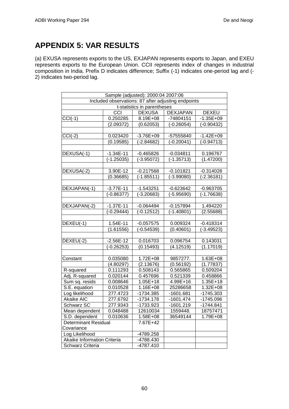# **APPENDIX 5: VAR RESULTS**

(a) EXUSA represents exports to the US, EXJAPAN represents exports to Japan, and EXEU represents exports to the European Union. CCII represents index of changes in industrial composition in India. Prefix D indicates difference; Suffix (-1) indicates one-period lag and (- 2) indicates two-period lag.

| Sample (adjusted): 2000:04 2007:06 |              |                             |                                                     |               |
|------------------------------------|--------------|-----------------------------|-----------------------------------------------------|---------------|
|                                    |              |                             | Included observations: 87 after adjusting endpoints |               |
|                                    |              | t-statistics in parentheses |                                                     |               |
|                                    | CCI          | <b>DEXUSA</b>               | <b>DEXJAPAN</b>                                     | <b>DEXEU</b>  |
| $CCI(-1)$                          | 0.250285     | 8.19E+08                    | -74804151                                           | $-1.35E + 09$ |
|                                    | (2.09372)    | (0.62053)                   | $(-0.26054)$                                        | $(-0.90432)$  |
|                                    |              |                             |                                                     |               |
| $CCI(-2)$                          | 0.023420     | $-3.76E + 09$               | -57555840                                           | $-1.42E + 09$ |
|                                    | (0.19585)    | (-2.84682)                  | (-0.20041)                                          | $(-0.94713)$  |
|                                    |              |                             |                                                     |               |
| DEXUSA(-1)                         | $-1.34E-11$  | $-0.465826$                 | $-0.034811$                                         | 0.196767      |
|                                    | $(-1.25035)$ | (-3.95072)                  | $(-1.35713)$                                        | (1.47200)     |
|                                    |              |                             |                                                     |               |
| DEXUSA(-2)                         | 3.90E-12     | $-0.217568$                 | $-0.101821$                                         | $-0.314028$   |
|                                    | (0.36685)    | $(-1.85511)$                | $(-3.99080)$                                        | $(-2.36181)$  |
|                                    |              |                             |                                                     |               |
| DEXJAPAN(-1)                       | $-3.77E-11$  | $-1.543251$                 | $-0.623642$                                         | $-0.963705$   |
|                                    | $(-0.86377)$ | $(-3.20683)$                | (-5.95690)                                          | $(-1.76638)$  |
|                                    |              |                             |                                                     |               |
| DEXJAPAN(-2)                       | $-1.37E-11$  | $-0.064494$                 | $-0.157894$                                         | 1.494220      |
|                                    | $-0.29444$   | $(-0.12512)$                | (-1.40801)                                          | (2.55688)     |
|                                    |              |                             |                                                     |               |
| DEXEU(-1)                          | 1.54E-11     | $-0.057575$                 | 0.009324                                            | $-0.418314$   |
|                                    | (1.61556)    | $(-0.54539)$                | (0.40601)                                           | $(-3.49523)$  |
|                                    |              |                             |                                                     |               |
| DEXEU(-2)                          | $-2.56E-12$  | 0.016703                    | 0.096754                                            | 0.143031      |
|                                    | $-0.26253$   | (0.15493)                   | (4.12519)                                           | (1.17019)     |
|                                    |              |                             |                                                     |               |
| Constant                           | 0.035080     | 1.72E+08                    | 9857277.                                            | 1.63E+08      |
|                                    | (4.80297)    | (2.13676)                   | (0.56192)                                           | (1.77837)     |
| R-squared                          | 0.111293     | 0.508143                    | 0.565865                                            | 0.509204      |
| Adj. R-squared                     | 0.020144     | 0.457696                    | 0.521339                                            | 0.458866      |
| Sum sq. resids                     | 0.008646     | $1.05E + 18$                | 4.99E+16                                            | 1.35E+18      |
| S.E. equation                      | 0.010528     | 1.16E+08                    | 25286658                                            | 1.32E+08      |
| Log likelihood                     | 277.4723     | -1734.385                   | -1601.681                                           | -1745.303     |
| Akaike AIC                         | 277.6792     | -1734.178                   | $-1601.474$                                         | -1745.096     |
| Schwarz SC                         | 277.9343     | -1733.923                   | $-1601.219$                                         | $-1744.841$   |
| Mean dependent                     | 0.048488     | 12610034                    | 1559448.                                            | 18757471      |
| S.D. dependent                     | 0.010636     | 1.58E+08                    | 36549144                                            | 1.79E+08      |
| <b>Determinant Residual</b>        |              | 7.67E+42                    |                                                     |               |
| Covariance                         |              |                             |                                                     |               |
| Log Likelihood                     |              | -4789.258                   |                                                     |               |
| Akaike Information Criteria        |              | -4788.430                   |                                                     |               |
| <b>Schwarz Criteria</b>            |              | -4787.410                   |                                                     |               |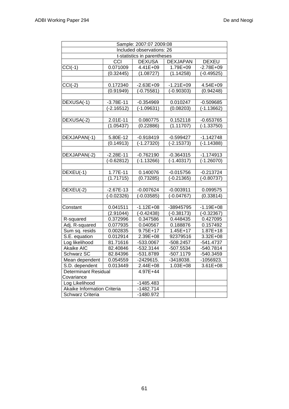| Sample: 2007:07 2009:08     |              |                             |                     |               |
|-----------------------------|--------------|-----------------------------|---------------------|---------------|
|                             |              | Included observations: 26   |                     |               |
|                             |              | t-statistics in parentheses |                     |               |
|                             | CCI          | <b>DEXUSA</b>               | <b>DEXJAPAN</b>     | <b>DEXEU</b>  |
| $CCI(-1)$                   | 0.071009     | 4.41E+09                    | 1.79E+09            | $-2.78E + 09$ |
|                             | (0.32445)    | (1.08727)                   | (1.14258)           | $(-0.49525)$  |
|                             |              |                             |                     |               |
| $CCI(-2)$                   | 0.172340     | $-2.63E + 09$               | $-1.21E + 09$       | 4.54E+09      |
|                             | (0.91949)    | $(-0.75581)$                | $(-0.90303)$        | (0.94248)     |
|                             |              |                             |                     |               |
| DEXUSA(-1)                  | $-3.78E-11$  | $-0.354969$                 | 0.010247            | $-0.509685$   |
|                             | $(-2.16512)$ | $(-1.09631)$                | (0.08203)           | $(-1.13662)$  |
|                             |              |                             |                     |               |
| DEXUSA(-2)                  | 2.01E-11     | 0.080775                    | 0.152118            | $-0.653765$   |
|                             | (1.05437)    | (0.22886)                   | (1.11707)           | $(-1.33750)$  |
|                             |              |                             |                     |               |
| DEXJAPAN(-1)                | 5.80E-12     | $-0.918419$                 | $-0.599427$         | $-1.142748$   |
|                             | (0.14913)    | $(-1.27320)$                | $(-2.15373)$        | $(-1.14388)$  |
|                             |              |                             |                     |               |
| DEXJAPAN(-2)                | $-2.28E-11$  | $-0.762190$                 | $-0.364315$         | $-1.174913$   |
|                             | (-0.62812)   | $(-1.13266)$                | $(-1.40317)$        | $(-1.26070)$  |
|                             |              |                             |                     |               |
| DEXEU(-1)                   | 1.77E-11     | 0.140076                    | $-0.015756$         | $-0.213724$   |
|                             | (1.71715)    | (0.73285)                   | $(-0.21365)$        | $(-0.80737)$  |
|                             |              |                             |                     |               |
| DEXEU(-2)                   | $-2.67E-13$  | $-0.007624$                 | $-0.003911$         | 0.099575      |
|                             | (-0.02326)   | $(-0.03585)$                | $(-0.04767)$        | (0.33814)     |
|                             |              |                             |                     |               |
| Constant                    | 0.041511     | $-1.12E + 08$               | -38945795           | $-1.19E + 08$ |
|                             | (2.91044)    | $(-0.42438)$                | $\sqrt{(-0.38173)}$ | $(-0.32367)$  |
| R-squared                   | 0.372996     | 0.347586                    | 0.448435            | 0.427095      |
| Adj. R-squared              | 0.077935     | 0.040567                    | 0.188876            | 0.157492      |
| Sum sq. resids              | 0.002835     | $9.75E+17$                  | $1.45E+17$          | $1.87E + 18$  |
| S.E. equation               | 0.012914     | 2.39E+08                    | 92379516            | $3.32E + 08$  |
| Log likelihood              | 81.71616     | -533.0067                   | $-508.2457$         | $-541.4737$   |
| Akaike AIC                  | 82.40846     | -532.3144                   | -507.5534           | -540.7814     |
| <b>Schwarz SC</b>           | 82.84396     | -531.8789                   | $-507.1179$         | -540.3459     |
| Mean dependent              | 0.054559     | -2429615.                   | -3418038.           | -1056923.     |
| S.D. dependent              | 0.013449     | 2.44E+08                    | $1.03E + 08$        | 3.61E+08      |
| <b>Determinant Residual</b> |              | 4.97E+44                    |                     |               |
| Covariance                  |              |                             |                     |               |
| Log Likelihood              |              | -1485.483                   |                     |               |
| Akaike Information Criteria |              | $-1482.714$                 |                     |               |
| Schwarz Criteria            |              | -1480.972                   |                     |               |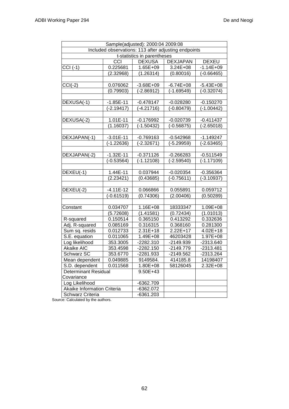| Sample(adjusted): 2000:04 2009:08  |              |                             |                                                      |               |
|------------------------------------|--------------|-----------------------------|------------------------------------------------------|---------------|
|                                    |              |                             | Included observations: 113 after adjusting endpoints |               |
|                                    |              | t-statistics in parentheses |                                                      |               |
|                                    | CCI          | <b>DEXUSA</b>               | <b>DEXJAPAN</b>                                      | <b>DEXEU</b>  |
| $CCI(-1)$                          | 0.225681     | $1.65E + 09$                | $3.24E + 08$                                         | $-1.14E + 09$ |
|                                    | (2.32968)    | (1.26314)                   | (0.80016)                                            | $(-0.66465)$  |
|                                    |              |                             |                                                      |               |
| $CCI(-2)$                          | 0.076062     | $-3.68E + 09$               | $-6.74E + 08$                                        | $-5.43E + 08$ |
|                                    | (0.79903)    | $(-2.86912)$                | $(-1.69549)$                                         | $(-0.32074)$  |
|                                    |              |                             |                                                      |               |
| DEXUSA(-1)                         | $-1.85E-11$  | $-0.478147$                 | $-0.028280$                                          | $-0.150270$   |
|                                    | $(-2.19417)$ | $(-4.21716)$                | $(-0.80479)$                                         | $(-1.00442)$  |
|                                    |              |                             |                                                      |               |
| DEXUSA(-2)                         | 1.01E-11     | $-0.176992$                 | $-0.020739$                                          | $-0.411437$   |
|                                    | (1.16037)    | $(-1.50432)$                | $(-0.56875)$                                         | $(-2.65018)$  |
|                                    |              |                             |                                                      |               |
| DEXJAPAN(-1)                       | $-3.01E-11$  | $-0.769163$                 | $-0.542968$                                          | $-1.149247$   |
|                                    | $(-1.22636)$ | $(-2.32671)$                | $(-5.29959)$                                         | $(-2.63465)$  |
|                                    |              |                             |                                                      |               |
| DEXJAPAN(-2)                       | $-1.32E-11$  | $-0.371126$                 | $-0.266283$                                          | $-0.511549$   |
|                                    | $(-0.53564)$ | $(-1.12108)$                | $(-2.59540)$                                         | $(-1.17109)$  |
|                                    |              |                             |                                                      |               |
| DEXEU(-1)                          | 1.44E-11     | 0.037944                    | $-0.020354$                                          | $-0.356364$   |
|                                    | (2.23421)    | (0.43685)                   | $(-0.75611)$                                         | $(-3.10937)$  |
|                                    |              |                             |                                                      |               |
| DEXEU(-2)                          | $-4.11E-12$  | 0.066866                    | 0.055891                                             | 0.059712      |
|                                    | $(-0.61519)$ | (0.74306)                   | (2.00406)                                            | (0.50289)     |
|                                    |              |                             |                                                      |               |
| Constant                           | 0.034707     | 1.16E+08                    | 18333347                                             | 1.09E+08      |
|                                    | (5.72608)    | (1.41581)                   | (0.72434)                                            | (1.01013)     |
| R-squared                          | 0.150514     | 0.365150                    | 0.413292                                             | 0.332636      |
| Adj. R-squared                     | 0.085169     | 0.316315                    | 0.368160                                             | 0.281300      |
| Sum sq. resids                     | 0.012733     | $2.31E+18$                  | 2.22E+17                                             | $4.02E + 18$  |
| S.E. equation                      | 0.011065     | 1.49E+08                    | 46203428                                             | 1.97E+08      |
| Log likelihood                     | 353.3005     | $-2282.310$                 | -2149.939                                            | -2313.640     |
| Akaike AIC                         | 353.4598     | $-2282.150$                 | $-2149.779$                                          | $-2313.481$   |
| Schwarz SC                         | 353.6770     | $-2281.933$                 | $-2149.562$                                          | -2313.264     |
| Mean dependent                     | 0.049885     | 9149584.                    | 414185.8                                             | 14198407      |
| S.D. dependent                     | 0.011568     | 1.80E+08                    | 58126045                                             | 2.32E+08      |
| <b>Determinant Residual</b>        |              | 9.50E+43                    |                                                      |               |
| Covariance                         |              |                             |                                                      |               |
| Log Likelihood                     |              | -6362.709                   |                                                      |               |
| <b>Akaike Information Criteria</b> |              | $-6362.072$                 |                                                      |               |
| <b>Schwarz Criteria</b>            |              | $-6361.203$                 |                                                      |               |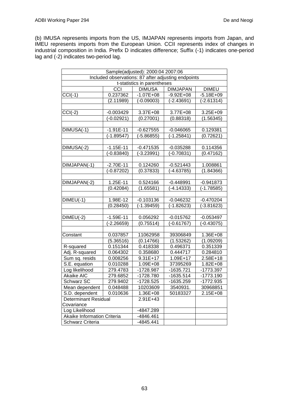(b) IMUSA represents imports from the US, IMJAPAN represents imports from Japan, and IMEU represents imports from the European Union. CCII represents index of changes in industrial composition in India. Prefix D indicates difference; Suffix (-1) indicates one-period lag and (-2) indicates two-period lag.

| Sample(adjusted): 2000:04 2007:06 |             |                             |                                                     |               |  |
|-----------------------------------|-------------|-----------------------------|-----------------------------------------------------|---------------|--|
|                                   |             |                             | Included observations: 87 after adjusting endpoints |               |  |
|                                   |             | t-statistics in parentheses |                                                     |               |  |
|                                   | CCI         | <b>DIMUSA</b>               | <b>DIMJAPAN</b>                                     | <b>DIMEU</b>  |  |
| $CCI(-1)$                         | 0.237362    | $-1.07E + 08$               | $-9.92E + 08$                                       | $-5.18E + 09$ |  |
|                                   | (2.11989)   | (-0.09003)                  | (-2.43691)                                          | $(-2.61314)$  |  |
|                                   |             |                             |                                                     |               |  |
| $CCI(-2)$                         | $-0.003429$ | 3.37E+08                    | 3.77E+08                                            | 3.25E+09      |  |
|                                   | (-0.02921)  | (0.27001)                   | (0.88318)                                           | (1.56345)     |  |
|                                   |             |                             |                                                     |               |  |
| DIMUSA(-1)                        | $-1.91E-11$ | $-0.627555$                 | $-0.046065$                                         | 0.129381      |  |
|                                   | (-1.89547)  | (-5.86855)                  | $(-1.25841)$                                        | (0.72621)     |  |
|                                   |             |                             |                                                     |               |  |
| DIMUSA(-2)                        | $-1.15E-11$ | $-0.471535$                 | $-0.035288$                                         | 0.114356      |  |
|                                   | (-0.83840)  | $(-3.23991)$                | (-0.70831)                                          | (0.47162)     |  |
|                                   |             |                             |                                                     |               |  |
| DIMJAPAN(-1)                      | $-2.70E-11$ | 0.124260                    | $-0.521443$                                         | 1.008861      |  |
|                                   | (-0.87202)  | (0.37833)                   | (-4.63785)                                          | (1.84366)     |  |
|                                   |             |                             |                                                     |               |  |
| DIMJAPAN(-2)                      | 1.25E-11    | 0.524166                    | $-0.448991$                                         | $-0.941873$   |  |
|                                   | (0.42084)   | (1.65581)                   | $(-4.14333)$                                        | $(-1.78585)$  |  |
|                                   |             |                             |                                                     |               |  |
| $DIMEU(-1)$                       | 1.98E-12    | $-0.103136$                 | $-0.046232$                                         | $-0.470204$   |  |
|                                   | (0.28450)   | (-1.39459)                  | (-1.82623)                                          | $(-3.81623)$  |  |
|                                   |             |                             |                                                     |               |  |
| $DIMEU(-2)$                       | $-1.59E-11$ | 0.056292                    | $-0.015762$                                         | $-0.053497$   |  |
|                                   | (-2.26659)  | (0.75514)                   | $(-0.61767)$                                        | $(-0.43075)$  |  |
|                                   |             |                             |                                                     |               |  |
| Constant                          | 0.037857    | 11062958                    | 39306849                                            | 1.36E+08      |  |
|                                   | (5.36516)   | (0.14766)                   | (1.53262)                                           | (1.09209)     |  |
| R-squared                         | 0.151344    | 0.418338                    | 0.496371                                            | 0.351339      |  |
| Adj. R-squared                    | 0.064302    | 0.358680                    | 0.444717                                            | 0.284810      |  |
| Sum sq. resids                    | 0.008256    | $9.31E+17$                  | 1.09E+17                                            | 2.58E+18      |  |
| S.E. equation                     | 0.010288    | 1.09E+08                    | 37395269                                            | 1.82E+08      |  |
| Log likelihood                    | 279.4783    | -1728.987                   | $-1635.721$                                         | -1773.397     |  |
| <b>Akaike AIC</b>                 | 279.6852    | -1728.780                   | $-1635.514$                                         | $-1773.190$   |  |
| <b>Schwarz SC</b>                 | 279.9402    | -1728.525                   | -1635.259                                           | -1772.935     |  |
| Mean dependent                    | 0.048488    | 10203609                    | 3540931.                                            | 30968851      |  |
| S.D. dependent                    | 0.010636    | 1.36E+08                    | 50183327                                            | 2.15E+08      |  |
| <b>Determinant Residual</b>       |             | 2.91E+43                    |                                                     |               |  |
| Covariance                        |             |                             |                                                     |               |  |
| Log Likelihood                    |             | -4847.289                   |                                                     |               |  |
| Akaike Information Criteria       |             | -4846.461                   |                                                     |               |  |
| Schwarz Criteria                  |             | -4845.441                   |                                                     |               |  |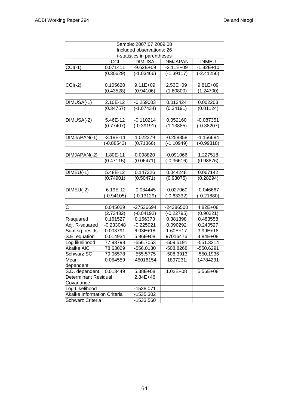|                             |               | Sample: 2007:07 2009:08     |                 |              |
|-----------------------------|---------------|-----------------------------|-----------------|--------------|
|                             |               | Included observations: 26   |                 |              |
|                             |               | t-statistics in parentheses |                 |              |
|                             | CCI           | <b>DIMUSA</b>               | <b>DIMJAPAN</b> | <b>DIMEU</b> |
| $CCI(-1)$                   | 0.071411      | $-9.62E + 09$               | $-2.11E+09$     | $-1.82E+10$  |
|                             | (0.30629)     | $(-1.03466)$                | $(-1.39117)$    | $(-2.41256)$ |
|                             |               |                             |                 |              |
| $CCI(-2)$                   | 0.105620      | 9.11E+09                    | 2.53E+09        | 9.81E+09     |
|                             | (0.43528)     | (0.94106)                   | (1.60800)       | (1.24700)    |
|                             |               |                             |                 |              |
| DIMUSA(-1)                  | 2.10E-12      | $-0.259003$                 | 0.013424        | 0.002203     |
|                             | (0.34757)     | $(-1.07434)$                | (0.34191)       | (0.01124)    |
|                             |               |                             |                 |              |
| DIMUSA(-2)                  | 5.46E-12      | $-0.110214$                 | 0.052160        | $-0.087351$  |
|                             | (0.77407)     | $(-0.39191)$                | (1.13885)       | $(-0.38207)$ |
|                             |               |                             |                 |              |
| DIMJAPAN(-1)                | $-3.18E - 11$ | 1.022379                    | $-0.258858$     | $-1.156684$  |
|                             | $(-0.88543)$  | (0.71366)                   | $(-1.10949)$    | $(-0.99318)$ |
|                             |               |                             |                 |              |
| DIMJAPAN(-2)                | 1.80E-11      | 0.098820                    | $-0.091066$     | 1.227518     |
|                             | (0.47115)     | (0.06471)                   | $(-0.36616)$    | (0.98876)    |
|                             |               |                             |                 |              |
| $DIMEU(-1)$                 | 5.48E-12      | 0.147326                    | 0.044248        | 0.067142     |
|                             | (0.74901)     | (0.50471)                   | (0.93075)       | (0.28294)    |
|                             |               |                             |                 |              |
| $DIMEU(-2)$                 | $-6.19E-12$   | $-0.034445$                 | $-0.027060$     | $-0.046667$  |
|                             | $(-0.94105)$  | $(-0.13129)$                | $(-0.63332)$    | $(-0.21880)$ |
|                             |               |                             |                 |              |
| $\overline{\text{c}}$       | 0.045029      | -27536694                   | -24386500       | 4.82E+08     |
|                             | (2.73432)     | $(-0.04192)$                | $(-0.22795)$    | (0.90221)    |
| R-squared                   | 0.161527      | 0.166373                    | 0.381398        | 0.483558     |
| Adj. R-squared              | $-0.233048$   | $-0.225921$                 | 0.090292        | 0.240527     |
| Sum sq. resids              | 0.003791      | $6.03E + 18$                | 1.60E+17        | 3.99E+18     |
| S.E. equation               | 0.014934      | 5.96E+08                    | 97016476        | 4.84E+08     |
| Log likelihood              | 77.93798      | -556.7053                   | $-509.5191$     | $-551.3214$  |
| <b>Akaike AIC</b>           | 78.63029      | -556.0130                   | -508.8268       | -550.6291    |
| <b>Schwarz SC</b>           | 79.06578      | $-555.5775$                 | -508.3913       | -550.1936    |
| Mean                        | 0.054559      | -45016154                   | -1897231.       | 14784231     |
| dependent                   |               |                             |                 |              |
| S.D. dependent              | 0.013449      | 5.38E+08                    | $1.02E + 08$    | 5.56E+08     |
| <b>Determinant Residual</b> |               | $2.84E + 46$                |                 |              |
| Covariance                  |               |                             |                 |              |
| Log Likelihood              |               | -1538.071                   |                 |              |
| Akaike Information Criteria |               | -1535.302                   |                 |              |
| Schwarz Criteria            |               | -1533.560                   |                 |              |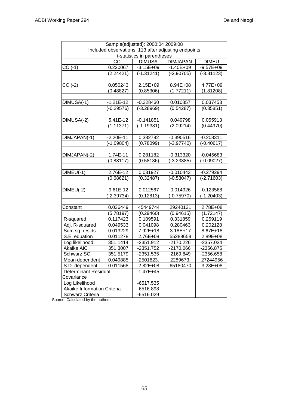| Sample(adjusted): 2000:04 2009:08 |              |                             |                                                      |               |
|-----------------------------------|--------------|-----------------------------|------------------------------------------------------|---------------|
|                                   |              |                             | Included observations: 113 after adjusting endpoints |               |
|                                   |              | t-statistics in parentheses |                                                      |               |
|                                   | CCI          | <b>DIMUSA</b>               | <b>DIMJAPAN</b>                                      | <b>DIMEU</b>  |
| $CCI(-1)$                         | 0.220067     | $-3.15E + 09$               | $-1.40E + 09$                                        | $-9.57E + 09$ |
|                                   | (2.24421)    | $(-1.31241)$                | $(-2.90705)$                                         | $(-3.81123)$  |
|                                   |              |                             |                                                      |               |
| $CCI(-2)$                         | 0.050243     | 2.15E+09                    | 8.94E+08                                             | 4.77E+09      |
|                                   | (0.48827)    | (0.85306)                   | (1.77211)                                            | (1.81208)     |
|                                   |              |                             |                                                      |               |
| DIMUSA(-1)                        | $-1.21E-12$  | $-0.328430$                 | 0.010857                                             | 0.037453      |
|                                   | $(-0.29576)$ | $(-3.28969)$                | (0.54287)                                            | (0.35851)     |
|                                   |              |                             |                                                      |               |
| DIMUSA(-2)                        | 5.41E-12     | $-0.141851$                 | 0.049798                                             | 0.055913      |
|                                   | (1.11371)    | $(-1.19381)$                | (2.09214)                                            | (0.44970)     |
|                                   |              |                             |                                                      |               |
| DIMJAPAN(-1)                      | $-2.20E-11$  | 0.382792                    | $-0.390516$                                          | $-0.208311$   |
|                                   | $(-1.09804)$ | (0.78099)                   | $(-3.97740)$                                         | $(-0.40617)$  |
|                                   |              |                             |                                                      |               |
| DIMJAPAN(-2)                      | 1.74E-11     | 0.281182                    | $-0.313320$                                          | $-0.045683$   |
|                                   | (0.88117)    | (0.58136)                   | $(-3.23385)$                                         | $(-0.09027)$  |
|                                   |              |                             |                                                      |               |
| $DIMEU(-1)$                       | 2.76E-12     | 0.031927                    | $-0.010443$                                          | $-0.279294$   |
|                                   | (0.68621)    | (0.32487)                   | $(-0.53047)$                                         | $(-2.71603)$  |
|                                   |              |                             |                                                      |               |
| $DIMEU(-2)$                       | $-9.61E-12$  | 0.012567                    | $-0.014926$                                          | $-0.123568$   |
|                                   | $(-2.39734)$ | (0.12813)                   | $(-0.75970)$                                         | $(-1.20403)$  |
|                                   |              |                             |                                                      |               |
| Constant                          | 0.036449     | 45449744                    | 29240131                                             | 2.78E+08      |
|                                   | (5.78197)    | (0.29460)                   | (0.94615)                                            | (1.72147)     |
| R-squared                         | 0.117423     | 0.109591                    | 0.331859                                             | 0.259119      |
| Adj. R-squared                    | 0.049533     | 0.041098                    | 0.280463                                             | 0.202128      |
| Sum sq. resids                    | 0.013229     | 7.92E+18                    | 3.18E+17                                             | 8.67E+18      |
| S.E. equation                     | 0.011278     | 2.76E+08                    | 55289658                                             | 2.89E+08      |
| Log likelihood                    | 351.1414     | $-2351.912$                 | $-2170.226$                                          | -2357.034     |
| Akaike AIC                        | 351.3007     | $-2351.752$                 | $-2170.066$                                          | -2356.875     |
| Schwarz SC                        | 351.5179     | $-2351.535$                 | -2169.849                                            | -2356.658     |
| Mean dependent                    | 0.049885     | -2501823.                   | 2289673.                                             | 27244956      |
| S.D. dependent                    | 0.011568     | 2.82E+08                    | 65180470                                             | $3.23E + 08$  |
| <b>Determinant Residual</b>       |              | 1.47E+45                    |                                                      |               |
| Covariance                        |              |                             |                                                      |               |
| Log Likelihood                    |              | $-6517.535$                 |                                                      |               |
| Akaike Information Criteria       |              | $-6516.898$                 |                                                      |               |
| Schwarz Criteria                  |              | $-6516.029$                 |                                                      |               |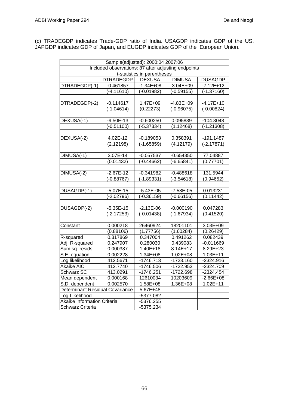(c) TRADEGDP indicates Trade-GDP ratio of India. USAGDP indicates GDP of the US, JAPGDP indicates GDP of Japan, and EUGDP indicates GDP of the European Union.

| Sample(adjusted): 2000:04 2007:06 |                                                     |                             |               |                |
|-----------------------------------|-----------------------------------------------------|-----------------------------|---------------|----------------|
|                                   | Included observations: 87 after adjusting endpoints |                             |               |                |
|                                   |                                                     | t-statistics in parentheses |               |                |
|                                   | <b>DTRADEGDP</b>                                    | <b>DEXUSA</b>               | <b>DIMUSA</b> | <b>DUSAGDP</b> |
| DTRADEGDP(-1)                     | $-0.461857$                                         | $-1.34E + 08$               | $-3.04E + 09$ | $-7.12E+12$    |
|                                   | $(-4.11610)$                                        | $(-0.01982)$                | $(-0.59155)$  | $(-1.37160)$   |
|                                   |                                                     |                             |               |                |
| DTRADEGDP(-2)                     | $-0.114617$                                         | 1.47E+09                    | $-4.83E + 09$ | $-4.17E+10$    |
|                                   | $(-1.04614)$                                        | (0.22273)                   | $(-0.96075)$  | $(-0.00824)$   |
|                                   |                                                     |                             |               |                |
| DEXUSA(-1)                        | $-9.50E-13$                                         | $-0.600250$                 | 0.095839      | $-104.3048$    |
|                                   | $(-0.51100)$                                        | $(-5.37334)$                | (1.12468)     | $(-1.21308)$   |
|                                   |                                                     |                             |               |                |
| DEXUSA(-2)                        | 4.02E-12                                            | $-0.189053$                 | 0.358391      | $-191.1487$    |
|                                   | (2.12198)                                           | $(-1.65859)$                | (4.12179)     | $(-2.17871)$   |
|                                   |                                                     |                             |               |                |
| DIMUSA(-1)                        | 3.07E-14                                            | $-0.057537$                 | $-0.654350$   | 77.04887       |
|                                   | (0.01432)                                           | $(-0.44662)$                | $(-6.65841)$  | (0.77701)      |
|                                   |                                                     |                             |               |                |
| DIMUSA(-2)                        | $-2.67E-12$                                         | $-0.341982$                 | $-0.488618$   | 131.5944       |
|                                   | $(-0.88767)$                                        | $(-1.89331)$                | $(-3.54618)$  | (0.94652)      |
|                                   |                                                     |                             |               |                |
| DUSAGDP(-1)                       | $-5.07E - 15$                                       | $-5.43E - 05$               | $-7.58E - 05$ | 0.013231       |
|                                   | $(-2.02796)$                                        | $(-0.36159)$                | $(-0.66156)$  | (0.11442)      |
|                                   |                                                     |                             |               |                |
| DUSAGDP(-2)                       | $-5.35E-15$                                         | $-2.13E - 06$               | $-0.000190$   | 0.047283       |
|                                   | $\overline{(-2.17253)}$                             | $(-0.01438)$                | $(-1.67934)$  | (0.41520)      |
|                                   |                                                     |                             |               |                |
| Constant                          | 0.000218                                            | 26460924                    | 18201101      | 3.03E+09       |
|                                   | (0.88106)                                           | (1.77756)                   | (1.60284)     | (0.26429)      |
| R-squared                         | 0.317869                                            | 0.347004                    | 0.491262      | 0.082439       |
| Adj. R-squared                    | 0.247907                                            | 0.280030                    | 0.439083      | $-0.011669$    |
| Sum sq. resids                    | 0.000387                                            | $1.40E + 18$                | 8.14E+17      | 8.29E+23       |
| S.E. equation                     | 0.002228                                            | 1.34E+08                    | 1.02E+08      | $1.03E + 11$   |
| Log likelihood                    | 412.5671                                            | $-1746.713$                 | $-1723.160$   | $-2324.916$    |
| <b>Akaike AIC</b>                 | 412.7740                                            | $-1746.506$                 | $-1722.953$   | -2324.709      |
| Schwarz SC                        | 413.0291                                            | $-1746.251$                 | $-1722.698$   | $-2324.454$    |
| Mean dependent                    | 0.000168                                            | 12610034                    | 10203609      | $-2.66E + 08$  |
| S.D. dependent                    | 0.002570                                            | 1.58E+08                    | 1.36E+08      | $1.02E + 11$   |
| Determinant Residual Covariance   |                                                     | 5.67E+48                    |               |                |
| Log Likelihood                    |                                                     | -5377.082                   |               |                |
| Akaike Information Criteria       |                                                     | -5376.255                   |               |                |
| <b>Schwarz Criteria</b>           |                                                     | $-5375.234$                 |               |                |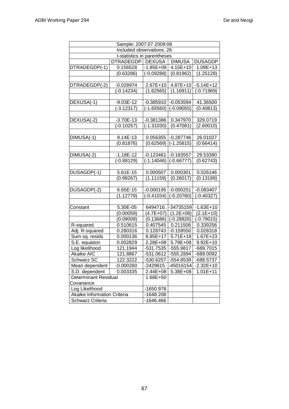| Sample: 2007:07 2009:08     |                             |               |               |                         |
|-----------------------------|-----------------------------|---------------|---------------|-------------------------|
|                             | Included observations: 26   |               |               |                         |
|                             | t-statistics in parentheses |               |               |                         |
|                             | DTRADEGDP   DEXUSA          |               | <b>DIMUSA</b> | <b>DUSAGDP</b>          |
| DTRADEGDP(-1)               | 0.156528                    | $-1.85E + 09$ | 4.15E+10      | 1.09E+13                |
|                             | (0.63286)                   | $(-0.09288)$  | (0.81962)     | (1.25128)               |
|                             |                             |               |               |                         |
| DTRADEGDP(-2)               | $-0.028974$                 | 2.67E+10      | 4.87E+10      | $-5.14E+12$             |
|                             | $(-0.14234)$                | (1.62565)     | (1.16911)     | (-0.71969)              |
|                             |                             |               |               |                         |
| DEXUSA(-1)                  | $-9.03E-12$                 | $-0.385910$   | $-0.053594$   | 41.36500                |
|                             | $(-3.12317)$                | $(-1.65560)$  | $(-0.09055)$  | (0.40813)               |
|                             |                             |               |               |                         |
| DEXUSA(-2)                  | $-3.70E-13$                 | $-0.381386$   | 0.347970      | 329.0719                |
|                             | $(-0.10257)$                | $(-1.31030)$  | (0.47081)     | (2.60010)               |
|                             |                             |               |               |                         |
| DIMUSA(-1)                  | 9.14E-13                    | 0.056355      | $-0.287746$   | 26.01027                |
|                             | (0.81876)                   | (0.62569)     | $(-1.25815)$  | (0.66414)               |
|                             |                             |               |               |                         |
| DIMUSA(-2)                  | $-1.18E-12$                 | $-0.123461$   | $-0.183557$   | 29.53390                |
|                             | $(-0.88129)$                | $(-1.14046)$  | $(-0.66777)$  | (0.62743)               |
|                             |                             |               |               |                         |
| DUSAGDP(-1)                 | 5.61E-15                    | 0.000507      | 0.000301      | 0.026146                |
|                             | (0.99267)                   | (1.11159)     | (0.26017)     | (0.13189)               |
|                             |                             |               |               |                         |
| DUSAGDP(-2)                 | 6.65E-15<br>(1.12779)       | $-0.000195$   | $-0.000251$   | $-0.083407$             |
|                             |                             | $(-0.41034)$  | $(-0.20760)$  | $(-0.40327)$            |
| Constant                    | 5.30E-05                    | 6494716.      | -34735159     | $-1.63E+10$             |
|                             | (0.00059)                   | $(4.7E+07)$   | $(1.2E+08)$   | $(2.1E+10)$             |
|                             | (0.09009)                   | (0.13686)     | $(-0.28826)$  | $\overline{(-0.79015)}$ |
| R-squared                   | 0.510615                    | 0.407545      | 0.211506      | 0.339256                |
| Adj. R-squared              | 0.280316                    | 0.128743      | $-0.159550$   | 0.028318                |
| Sum sq. resids              | 0.000136                    | 8.85E+17      | $5.71E+18$    | 1.67E+23                |
| S.E. equation               | 0.002829                    | $2.28E + 08$  | 5.79E+08      | $9.92E + 10$            |
| Log likelihood              | 121.1944                    | -531.7535     | $-555.9817$   | $-689.7015$             |
| <b>Akaike AIC</b>           | 121.8867                    | $-531.0612$   | $-555.2894$   | -689.0092               |
| Schwarz SC                  | 122.3222                    | -530.6257     | -554.8539     | -688.5737               |
| Mean dependent              | $-0.000260$                 | -2429615.     | -45016154     | $-2.32E+10$             |
| S.D. dependent              | 0.003335                    | 2.44E+08      | 5.38E+08      | $1.01E + 11$            |
| <b>Determinant Residual</b> |                             | 1.68E+50      |               |                         |
| Covariance                  |                             |               |               |                         |
| Log Likelihood              |                             | -1650.978     |               |                         |
| Akaike Information Criteria |                             | $-1648.208$   |               |                         |
| Schwarz Criteria            |                             | -1646.466     |               |                         |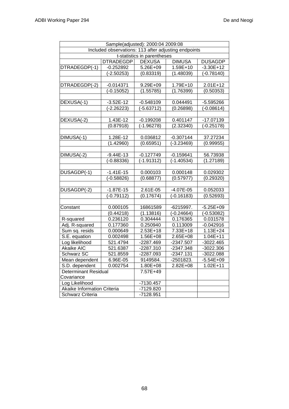| Sample(adjusted): 2000:04 2009:08 |                                                      |                             |               |                |
|-----------------------------------|------------------------------------------------------|-----------------------------|---------------|----------------|
|                                   | Included observations: 113 after adjusting endpoints |                             |               |                |
|                                   |                                                      | t-statistics in parentheses |               |                |
|                                   | <b>DTRADEGDP</b>                                     | <b>DEXUSA</b>               | <b>DIMUSA</b> | <b>DUSAGDP</b> |
| DTRADEGDP(-1)                     | $-0.252892$                                          | 5.26E+09                    | 1.59E+10      | $-3.30E+12$    |
|                                   |                                                      |                             |               |                |
|                                   | $(-2.50253)$                                         | (0.83319)                   | (1.48039)     | $(-0.78140)$   |
| DTRADEGDP(-2)                     | $-0.014371$                                          | 9.29E+09                    | 1.79E+10      | $2.01E+12$     |
|                                   | $(-0.15052)$                                         | (1.55785)                   | (1.76399)     | (0.50353)      |
|                                   |                                                      |                             |               |                |
| DEXUSA(-1)                        | $-3.52E-12$                                          | $-0.548109$                 | 0.044491      | $-5.595266$    |
|                                   | $(-2.26223)$                                         | $(-5.63712)$                | (0.26898)     | $(-0.08614)$   |
|                                   |                                                      |                             |               |                |
| DEXUSA(-2)                        | 1.43E-12                                             | $-0.199208$                 | 0.401147      | -17.07139      |
|                                   | (0.87918)                                            | $(-1.96278)$                | (2.32340)     | $(-0.25178)$   |
|                                   |                                                      |                             |               |                |
| DIMUSA(-1)                        | 1.28E-12                                             | 0.036812                    | $-0.307144$   | 37.27234       |
|                                   | (1.42960)                                            | (0.65951)                   | $(-3.23469)$  | (0.99955)      |
|                                   |                                                      |                             |               |                |
| DIMUSA(-2)                        | $-9.44E-13$                                          | $-0.127749$                 | $-0.159641$   | 56.73938       |
|                                   | $(-0.88336)$                                         | $(-1.91312)$                | $(-1.40534)$  | (1.27189)      |
|                                   |                                                      |                             |               |                |
| DUSAGDP(-1)                       | $-1.41E-15$                                          | 0.000103                    | 0.000148      | 0.029302       |
|                                   | $(-0.58826)$                                         | (0.68877)                   | (0.57977)     | (0.29320)      |
|                                   |                                                      |                             |               |                |
| DUSAGDP(-2)                       | $-1.87E-15$                                          | 2.61E-05                    | $-4.07E-05$   | 0.052033       |
|                                   | $(-0.79112)$                                         | (0.17674)                   | $(-0.16183)$  | (0.52693)      |
|                                   |                                                      |                             |               |                |
| Constant                          | 0.000105                                             | 16861589                    | $-6215997.$   | $-5.25E + 09$  |
|                                   | (0.44218)                                            | (1.13816)                   | $(-0.24664)$  | $(-0.53082)$   |
| R-squared                         | 0.236120                                             | 0.304444                    | 0.176365      | 0.031578       |
| Adj. R-squared                    | 0.177360                                             | 0.250940                    | 0.113009      | $-0.042916$    |
| Sum sq. resids                    | 0.000649                                             | 2.53E+18                    | 7.33E+18      | $1.13E + 24$   |
| S.E. equation                     | 0.002498                                             | 1.56E+08                    | 2.65E+08      | $1.04E + 11$   |
| Log likelihood                    | 521.4794                                             | $-2287.469$                 | $-2347.507$   | $-3022.465$    |
| Akaike AIC                        | 521.6387                                             | -2287.310                   | $-2347.348$   | $-3022.306$    |
| <b>Schwarz SC</b>                 | 521.8559                                             | -2287.093                   | $-2347.131$   | -3022.088      |
| Mean dependent                    | 6.96E-05                                             | 9149584.                    | -2501823.     | $-5.54E+09$    |
| S.D. dependent                    | 0.002754                                             | 1.80E+08                    | 2.82E+08      | $1.02E + 11$   |
| <b>Determinant Residual</b>       |                                                      | 7.57E+49                    |               |                |
| Covariance                        |                                                      |                             |               |                |
| Log Likelihood                    |                                                      | $-7130.457$                 |               |                |
| Akaike Information Criteria       |                                                      | -7129.820                   |               |                |
| <b>Schwarz Criteria</b>           |                                                      | -7128.951                   |               |                |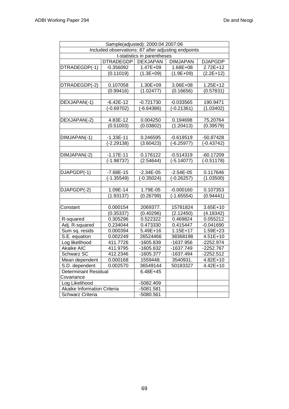| Sample(adjusted): 2000:04 2007:06                   |                  |                 |                 |                |  |
|-----------------------------------------------------|------------------|-----------------|-----------------|----------------|--|
| Included observations: 87 after adjusting endpoints |                  |                 |                 |                |  |
| t-statistics in parentheses                         |                  |                 |                 |                |  |
|                                                     | <b>DTRADEGDP</b> | <b>DEXJAPAN</b> | <b>DIMJAPAN</b> | <b>DJAPGDP</b> |  |
| DTRADEGDP(-1)                                       | $-0.356092$      | 1.47E+09        | 1.68E+08        | $2.72E+12$     |  |
|                                                     | (0.11019)        | $(1.3E+09)$     | $(1.9E+09)$     | $(2.2E+12)$    |  |
|                                                     |                  |                 |                 |                |  |
| DTRADEGDP(-2)                                       | 0.107058         | 1.30E+09        | 3.06E+08        | $1.25E+12$     |  |
|                                                     | (0.99416)        | (1.02477)       | (0.16656)       | (0.57831)      |  |
|                                                     |                  |                 |                 |                |  |
| DEXJAPAN(-1)                                        | $-6.42E-12$      | $-0.721730$     | $-0.033565$     | 190.9471       |  |
|                                                     | $(-0.69702)$     | $(-6.64386)$    | $(-0.21361)$    | (1.03402)      |  |
|                                                     |                  |                 |                 |                |  |
| DEXJAPAN(-2)                                        | 4.83E-12         | 0.004250        | 0.194698        | 75.20764       |  |
|                                                     | (0.51003)        | (0.03802)       | (1.20413)       | (0.39579)      |  |
|                                                     |                  |                 |                 |                |  |
| DIMJAPAN(-1)                                        | $-1.33E-11$      | 0.246595        | $-0.619519$     | -50.87428      |  |
|                                                     | $(-2.29138)$     | (3.60423)       | $(-6.25977)$    | $(-0.43742)$   |  |
|                                                     |                  |                 |                 |                |  |
| DIMJAPAN(-2)                                        | $-1.17E-11$      | 0.176122        | $-0.514319$     | $-60.17209$    |  |
|                                                     | $(-1.98737)$     | (2.54644)       | $(-5.14077)$    | $(-0.51178)$   |  |
|                                                     |                  |                 |                 |                |  |
| DJAPGDP(-1)                                         | $-7.68E-15$      | $-2.34E-05$     | $-2.54E-05$     | 0.117646       |  |
|                                                     | $(-1.35549)$     | $(-0.35024)$    | $(-0.26257)$    | (1.03500)      |  |
|                                                     |                  |                 |                 |                |  |
| DJAPGDP(-2)                                         | 1.09E-14         | 1.79E-05        | $-0.000160$     | 0.107353       |  |
|                                                     | (1.93137)        | (0.26799)       | $(-1.65554)$    | (0.94441)      |  |
|                                                     |                  |                 |                 |                |  |
| Constant                                            | 0.000154         | 2069377.        | 15781824        | $3.65E + 10$   |  |
|                                                     | (0.35337)        | (0.40296)       | (2.12450)       | (4.18342)      |  |
| R-squared                                           | 0.305296         | 0.522322        | 0.469824        | 0.055212       |  |
| Adj. R-squared                                      | 0.234044         | 0.473330        | 0.415447        | $-0.041690$    |  |
| Sum sq. resids                                      | 0.000394         | $5.49E + 16$    | $1.15E+17$      | 1.59E+23       |  |
| S.E. equation                                       | 0.002249         | 26524466        | 38368198        | 4.51E+10       |  |
| Log likelihood                                      | 411.7726         | -1605.839       | $-1637.956$     | $-2252.974$    |  |
| Akaike AIC                                          | 411.9795         | -1605.632       | -1637.749       | $-2252.767$    |  |
| Schwarz SC                                          | 412.2346         | $-1605.377$     | $-1637.494$     | $-2252.512$    |  |
| Mean dependent                                      | 0.000168         | 1559448.        | 3540931.        | 4.82E+10       |  |
| S.D. dependent                                      | 0.002570         | 36549144        | 50183327        | 4.42E+10       |  |
| <b>Determinant Residual</b>                         |                  | $6.48E + 45$    |                 |                |  |
| Covariance                                          |                  |                 |                 |                |  |
| Log Likelihood                                      |                  | -5082.409       |                 |                |  |
| Akaike Information Criteria                         |                  | $-5081.581$     |                 |                |  |
| Schwarz Criteria                                    |                  | -5080.561       |                 |                |  |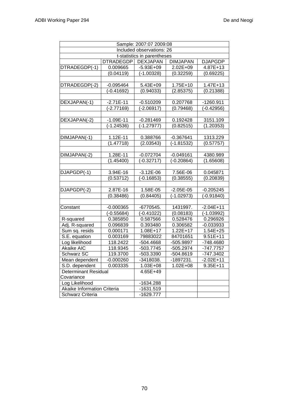| Sample: 2007:07 2009:08     |               |                 |                 |                |  |
|-----------------------------|---------------|-----------------|-----------------|----------------|--|
| Included observations: 26   |               |                 |                 |                |  |
| t-statistics in parentheses |               |                 |                 |                |  |
| <b>DTRADEGDP</b>            |               | <b>DEXJAPAN</b> | <b>DIMJAPAN</b> | <b>DJAPGDP</b> |  |
| DTRADEGDP(-1)               | 0.009665      | $-5.93E+09$     | 2.02E+09        | 4.87E+13       |  |
|                             | (0.04119)     | $(-1.00328)$    | (0.32259)       | (0.69225)      |  |
|                             |               |                 |                 |                |  |
| DTRADEGDP(-2)               | $-0.095464$   | 5.43E+09        | 1.75E+10        | $1.47E + 13$   |  |
|                             | $(-0.41692)$  | (0.94033)       | (2.85375)       | (0.21388)      |  |
|                             |               |                 |                 |                |  |
| DEXJAPAN(-1)                | $-2.71E-11$   | $-0.510209$     | 0.207768        | $-1260.911$    |  |
|                             | $(-2.77169)$  | $(-2.06917)$    | (0.79468)       | $(-0.42956)$   |  |
|                             |               |                 |                 |                |  |
| DEXJAPAN(-2)                | $-1.09E - 11$ | $-0.281469$     | 0.192428        | 3151.109       |  |
|                             | $(-1.24536)$  | $(-1.27977)$    | (0.82515)       | (1.20353)      |  |
|                             |               |                 |                 |                |  |
| DIMJAPAN(-1)                | 1.12E-11      | 0.388766        | $-0.367641$     | 1313.229       |  |
|                             | (1.47718)     | (2.03543)       | $(-1.81532)$    | (0.57757)      |  |
|                             |               |                 |                 |                |  |
| DIMJAPAN(-2)                | 1.28E-11      | $-0.072704$     | $-0.049161$     | 4380.989       |  |
|                             | (1.45400)     | $(-0.32717)$    | $(-0.20864)$    | (1.65608)      |  |
|                             |               |                 |                 |                |  |
| DJAPGDP(-1)                 | 3.94E-16      | $-3.12E - 06$   | 7.56E-06        | 0.045871       |  |
|                             | (0.53712)     | $(-0.16853)$    | (0.38555)       | (0.20839)      |  |
|                             |               |                 |                 |                |  |
| DJAPGDP(-2)                 | 2.87E-16      | 1.58E-05        | $-2.05E-05$     | $-0.205245$    |  |
|                             | (0.38486)     | (0.84405)       | $(-1.02973)$    | $(-0.91840)$   |  |
|                             |               |                 |                 |                |  |
| Constant                    | $-0.000365$   | -6770545.       | 1431997.        | $-2.04E+11$    |  |
|                             | $(-0.55684)$  | $(-0.41022)$    | (0.08183)       | $(-1.03992)$   |  |
| R-squared                   | 0.385850      | 0.587566        | 0.528476        | 0.296926       |  |
| Adj. R-squared              | 0.096839      | 0.393480        | 0.306582        | $-0.033933$    |  |
| Sum sq. resids              | 0.000171      | $1.08E + 17$    | $1.22E+17$      | $1.54E + 25$   |  |
| S.E. equation               | 0.003169      | 79883022        | 84701651        | $9.51E + 11$   |  |
| Log likelihood              | 118.2422      | $-504.4668$     | -505.9897       | -748.4680      |  |
| Akaike AIC                  | 118.9345      | $-503.7745$     | $-505.2974$     | $-747.7757$    |  |
| <b>Schwarz SC</b>           | 119.3700      | -503.3390       | $-504.8619$     | $-747.3402$    |  |
| Mean dependent              | $-0.000260$   | -3418038.       | -1897231.       | $-2.02E + 11$  |  |
| S.D. dependent<br>0.003335  |               | 1.03E+08        | $1.02E + 08$    | $9.35E + 11$   |  |
| <b>Determinant Residual</b> |               | 4.65E+49        |                 |                |  |
| Covariance                  |               |                 |                 |                |  |
| Log Likelihood              |               | -1634.288       |                 |                |  |
| Akaike Information Criteria |               | $-1631.519$     |                 |                |  |
| Schwarz Criteria            |               | $-1629.777$     |                 |                |  |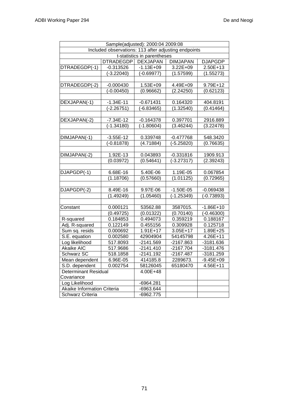| Sample(adjusted): 2000:04 2009:08                    |                  |                 |                 |                |  |
|------------------------------------------------------|------------------|-----------------|-----------------|----------------|--|
| Included observations: 113 after adjusting endpoints |                  |                 |                 |                |  |
| t-statistics in parentheses                          |                  |                 |                 |                |  |
|                                                      | <b>DTRADEGDP</b> | <b>DEXJAPAN</b> | <b>DIMJAPAN</b> | <b>DJAPGDP</b> |  |
| DTRADEGDP(-1)                                        | $-0.313526$      | $-1.13E + 09$   | $3.22E + 09$    | 2.50E+13       |  |
|                                                      | $(-3.22040)$     | $(-0.69977)$    | (1.57599)       | (1.55273)      |  |
|                                                      |                  |                 |                 |                |  |
| DTRADEGDP(-2)                                        | $-0.000430$      | 1.53E+09        | 4.49E+09        | 9.79E+12       |  |
|                                                      | $(-0.00450)$     | (0.96662)       | (2.24250)       | (0.62123)      |  |
|                                                      |                  |                 |                 |                |  |
| DEXJAPAN(-1)                                         | $-1.34E-11$      | $-0.671431$     | 0.164320        | 404.8191       |  |
|                                                      | $(-2.26751)$     | $(-6.83465)$    | (1.32540)       | (0.41464)      |  |
|                                                      |                  |                 |                 |                |  |
| DEXJAPAN(-2)                                         | $-7.34E-12$      | $-0.164378$     | 0.397701        | 2916.889       |  |
|                                                      | $(-1.34180)$     | $(-1.80604)$    | (3.46244)       | (3.22478)      |  |
|                                                      |                  |                 |                 |                |  |
| DIMJAPAN(-1)                                         | $-3.55E-12$      | 0.339748        | $-0.477768$     | 548.3420       |  |
|                                                      | $(-0.81878)$     | (4.71884)       | $(-5.25820)$    | (0.76635)      |  |
|                                                      |                  |                 |                 |                |  |
| DIMJAPAN(-2)                                         | 1.92E-13         | 0.043893        | $-0.331816$     | 1909.913       |  |
|                                                      | (0.03972)        | (0.54641)       | $(-3.27317)$    | (2.39243)      |  |
|                                                      |                  |                 |                 |                |  |
| DJAPGDP(-1)                                          | 6.68E-16         | 5.40E-06        | 1.19E-05        | 0.067854       |  |
|                                                      | (1.18706)        | (0.57660)       | (1.01125)       | (0.72965)      |  |
|                                                      |                  |                 |                 |                |  |
| DJAPGDP(-2)                                          | 8.49E-16         | 9.97E-06        | $-1.50E-05$     | $-0.069438$    |  |
|                                                      | (1.49249)        | (1.05460)       | $(-1.25349)$    | $(-0.73893)$   |  |
|                                                      |                  |                 |                 |                |  |
| Constant                                             | 0.000121         | 53562.88        | 3587015.        | $-1.86E+10$    |  |
|                                                      | (0.49725)        | (0.01322)       | (0.70140)       | $(-0.46300)$   |  |
| R-squared                                            | 0.184853         | 0.494073        | 0.359219        | 0.188167       |  |
| Adj. R-squared                                       | 0.122149         | 0.455156        | 0.309928        | 0.125718       |  |
| Sum sq. resids                                       | 0.000692         | $1.91E+17$      | 3.05E+17        | 1.89E+25       |  |
| S.E. equation                                        | 0.002580         | 42904904        | 54145798        | 4.26E+11       |  |
| Log likelihood                                       | 517.8093         | $-2141.569$     | $-2167.863$     | $-3181.636$    |  |
| Akaike AIC                                           | 517.9686         | $-2141.410$     | $-2167.704$     | $-3181.476$    |  |
| <b>Schwarz SC</b>                                    | 518.1858         | $-2141.192$     | $-2167.487$     | $-3181.259$    |  |
| Mean dependent                                       | 6.96E-05         | 414185.8        | 2289673.        | $-9.45E + 09$  |  |
| S.D. dependent                                       | 0.002754         | 58126045        | 65180470        | 4.56E+11       |  |
| <b>Determinant Residual</b>                          |                  | 4.00E+48        |                 |                |  |
| Covariance                                           |                  |                 |                 |                |  |
| Log Likelihood                                       |                  | -6964.281       |                 |                |  |
| Akaike Information Criteria                          |                  | $-6963.644$     |                 |                |  |
| Schwarz Criteria                                     |                  | $-6962.775$     |                 |                |  |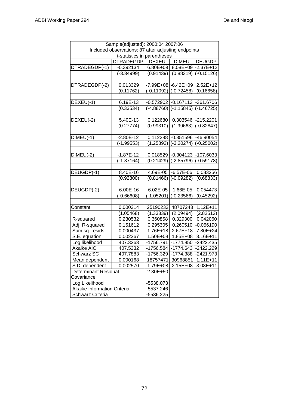| Sample(adjusted): 2000:04 2007:06 |                                                     |                         |                                        |                        |  |  |
|-----------------------------------|-----------------------------------------------------|-------------------------|----------------------------------------|------------------------|--|--|
|                                   | Included observations: 87 after adjusting endpoints |                         |                                        |                        |  |  |
| t-statistics in parentheses       |                                                     |                         |                                        |                        |  |  |
|                                   | DTRADEGDP                                           | <b>DEXEU</b>            | <b>DIMEU</b>                           | <b>DEUGDP</b>          |  |  |
| DTRADEGDP(-1)                     | $-0.392134$                                         | 6.80E+09                |                                        | 8.08E+09 - 2.37E+12    |  |  |
|                                   | $(-3.34999)$                                        | (0.91439)               |                                        | $(0.88319)$ (-0.15126) |  |  |
|                                   |                                                     |                         |                                        |                        |  |  |
| DTRADEGDP(-2)                     | 0.013329                                            |                         | -7.99E+08 -6.42E+09 2.52E+12           |                        |  |  |
|                                   | (0.11762)                                           |                         | $(-0.11092)$ $(-0.72458)$              | (0.16658)              |  |  |
|                                   |                                                     |                         |                                        |                        |  |  |
| DEXEU(-1)                         | 6.19E-13                                            |                         | $-0.572902$ $-0.167113$ $-361.6706$    |                        |  |  |
|                                   | (0.33534)                                           |                         | $(-4.88760)$ $(-1.15845)$ $(-1.46725)$ |                        |  |  |
|                                   |                                                     |                         |                                        |                        |  |  |
| DEXEU(-2)                         | 5.40E-13                                            | 0.122680                | 0.303546 -215.2201                     |                        |  |  |
|                                   | (0.27774)                                           | (0.99310)               |                                        | $(1.99663)$ (-0.82847) |  |  |
|                                   |                                                     |                         |                                        |                        |  |  |
| $\overline{D}$ IMEU(-1)           | $-2.80E-12$                                         |                         | 0.112298 -0.351596 -46.90054           |                        |  |  |
|                                   | $(-1.99553)$                                        | (1.25892)               | $(-3.20274)$ (-0.25002)                |                        |  |  |
|                                   |                                                     |                         |                                        |                        |  |  |
| $DIMEU(-2)$                       | $-1.87E-12$                                         |                         | $0.018529$ -0.304123 -107.6033         |                        |  |  |
|                                   | $\overline{(-1.37164)}$                             |                         | $(0.21429)$ (-2.85796)                 | $(-0.59178)$           |  |  |
|                                   |                                                     |                         |                                        |                        |  |  |
| DEUGDP(-1)                        | 8.40E-16                                            |                         | 4.69E-05 -6.57E-06                     | 0.083256               |  |  |
|                                   | (0.92800)                                           | (0.81466)               | $(-0.09282)$                           | (0.68833)              |  |  |
|                                   |                                                     |                         |                                        |                        |  |  |
| DEUGDP(-2)                        | $-6.00E-16$                                         | $-6.02E - 05$ -1.66E-05 |                                        | 0.054473               |  |  |
|                                   | $(-0.66608)$                                        | $(-1.05201)$            | $(-0.23566)$                           | (0.45292)              |  |  |
|                                   |                                                     |                         |                                        |                        |  |  |
| Constant                          | 0.000314                                            | 25190233                | 48707243                               | $1.12E + 11$           |  |  |
|                                   | (1.05468)                                           | (1.33339)               | (2.09494)                              | (2.82512)              |  |  |
| R-squared                         | 0.230532                                            | 0.360858                | 0.329300                               | 0.042060               |  |  |
| Adj. R-squared                    | 0.151612                                            | 0.295305                | 0.260510                               | $-0.056190$            |  |  |
| Sum sq. resids                    | 0.000437                                            | 1.76E+18                | $2.67E+18$                             | 7.80E+24               |  |  |
| S.E. equation                     | 0.002367                                            | 1.50E+08                | $1.85E + 08$                           | 3.16E+11               |  |  |
| Log likelihood                    | 407.3263                                            | $-1756.791$             | $-1774.850$                            | $-2422.435$            |  |  |
| <b>Akaike AIC</b>                 | 407.5332                                            | $-1756.584$             | $-1774.643$                            | $-2422.229$            |  |  |
| <b>Schwarz SC</b>                 | 407.7883                                            | $-1756.329$             | $-1774.388$                            | $-2421.973$            |  |  |
| Mean dependent                    | 0.000168                                            | 18757471                | 30968851                               | $1.11E + 11$           |  |  |
| S.D. dependent<br>0.002570        |                                                     | 1.79E+08                | 2.15E+08                               | 3.08E+11               |  |  |
| <b>Determinant Residual</b>       |                                                     | 2.30E+50                |                                        |                        |  |  |
| Covariance                        |                                                     |                         |                                        |                        |  |  |
| Log Likelihood                    |                                                     | -5538.073               |                                        |                        |  |  |
| Akaike Information Criteria       |                                                     | -5537.246               |                                        |                        |  |  |
| <b>Schwarz Criteria</b>           |                                                     | -5536.225               |                                        |                        |  |  |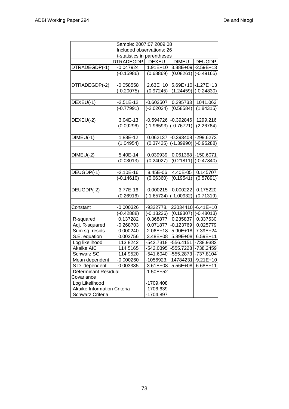| Sample: 2007:07 2009:08     |                   |              |                           |                     |  |
|-----------------------------|-------------------|--------------|---------------------------|---------------------|--|
| Included observations: 26   |                   |              |                           |                     |  |
| t-statistics in parentheses |                   |              |                           |                     |  |
|                             | DTRADEGDP   DEXEU |              | <b>DIMEU</b>              | <b>DEUGDP</b>       |  |
| DTRADEGDP(-1)               | $-0.047924$       | $1.91E+10$   |                           | 3.88E+09 - 2.59E+13 |  |
|                             | $(-0.15986)$      | (0.68869)    | (0.08261)                 | $(-0.49165)$        |  |
|                             |                   |              |                           |                     |  |
| DTRADEGDP(-2)               | $-0.058558$       | 2.63E+10     |                           | 5.69E+10 -1.27E+13  |  |
|                             | $(-0.20075)$      | (0.97245)    | (1.24459)                 | $(-0.24830)$        |  |
|                             |                   |              |                           |                     |  |
| DEXEU(-1)                   | $-2.51E-12$       | $-0.602507$  | 0.295733                  | 1041.063            |  |
|                             | $(-0.77991)$      | $(-2.02024)$ | (0.58584)                 | (1.84315)           |  |
|                             |                   |              |                           |                     |  |
| DEXEU(-2)                   | 3.04E-13          |              | $-0.594726$ $-0.392846$   | 1299.216            |  |
|                             | (0.09296)         |              | $(-1.96593)$ $(-0.76721)$ | (2.26764)           |  |
|                             |                   |              |                           |                     |  |
| $DIMEU(-1)$                 | 1.88E-12          | 0.062137     | $-0.393408$ $-299.6273$   |                     |  |
|                             | (1.04954)         | (0.37425)    | $(-1.39990)$              | $(-0.95288)$        |  |
|                             |                   |              |                           |                     |  |
| $DIMEU(-2)$                 | 5.40E-14          | 0.039939     | 0.061368                  | $-150.6071$         |  |
|                             | (0.03013)         | (0.24027)    | (0.21811)                 | $(-0.47840)$        |  |
|                             |                   |              |                           |                     |  |
| DEUGDP(-1)                  | $-2.10E-16$       | 8.45E-06     | 4.40E-05                  | 0.145707            |  |
|                             | $(-0.14610)$      | (0.06360)    | (0.19541)                 | (0.57891)           |  |
|                             |                   |              |                           |                     |  |
| DEUGDP(-2)                  | 3.77E-16          | $-0.000215$  | $-0.000222$               | 0.175220            |  |
|                             | (0.26916)         | $(-1.65724)$ | $(-1.00932)$              | (0.71319)           |  |
|                             |                   |              |                           |                     |  |
| Constant                    | $-0.000326$       | -9322778.    |                           | 23034410-6.41E+10   |  |
|                             | $(-0.42888)$      | $(-0.13226)$ | (0.19307)                 | $(-0.48013)$        |  |
| R-squared                   | 0.137282          | 0.368877     | 0.235837                  | 0.337530            |  |
| Adj. R-squared              | $-0.268703$       | 0.071877     | $-0.123769$               | 0.025779            |  |
| Sum sq. resids              | 0.000240          |              | 2.06E+18 5.90E+18         | $7.39E + 24$        |  |
| S.E. equation               | 0.003756          | 3.48E+08     | 5.89E+08 6.59E+11         |                     |  |
| Log likelihood              | 113.8242          | $-542.7318$  | $-556.4151$               | -738.9382           |  |
| Akaike AIC                  | 114.5165          | $-542.0395$  | $-555.7228$               | -738.2459           |  |
| <b>Schwarz SC</b>           | 114.9520          | $-541.6040$  | $-555.2873$               | $-737.8104$         |  |
| Mean dependent              | $-0.000260$       | -1056923.    |                           | 14784231-9.21E+10   |  |
| S.D. dependent<br>0.003335  |                   | 3.61E+08     | 5.56E+08                  | $6.68E + 11$        |  |
| <b>Determinant Residual</b> |                   | $1.50E + 52$ |                           |                     |  |
| Covariance                  |                   |              |                           |                     |  |
| Log Likelihood              |                   | -1709.408    |                           |                     |  |
| Akaike Information Criteria |                   | -1706.639    |                           |                     |  |
| Schwarz Criteria            |                   | -1704.897    |                           |                     |  |